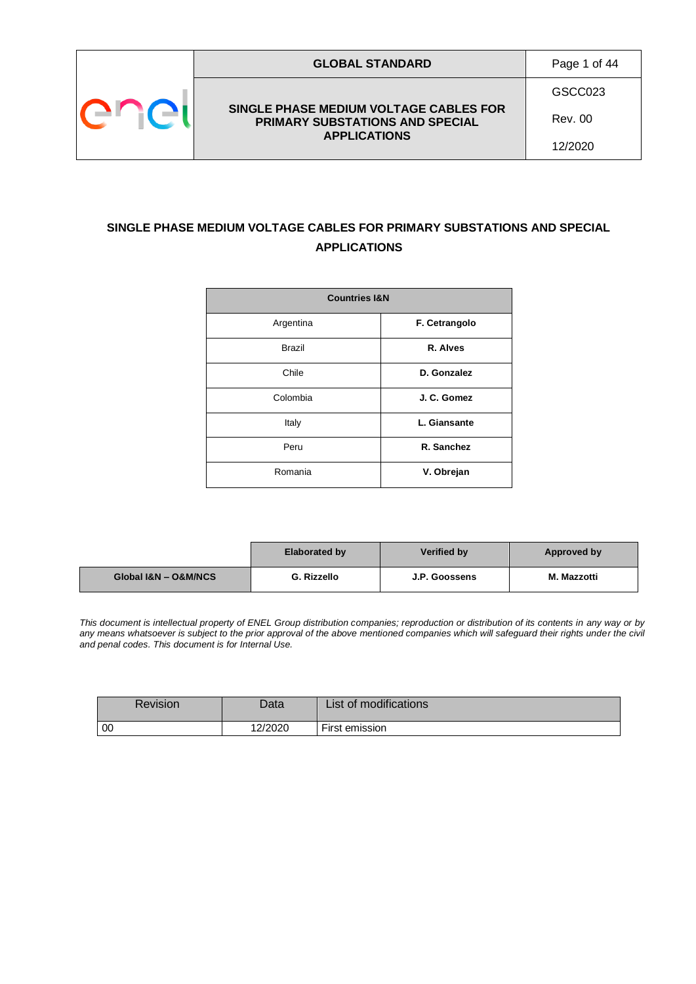

GSCC023

**SINGLE PHASE MEDIUM VOLTAGE CABLES FOR PRIMARY SUBSTATIONS AND SPECIAL APPLICATIONS**

Rev. 00

12/2020

## **SINGLE PHASE MEDIUM VOLTAGE CABLES FOR PRIMARY SUBSTATIONS AND SPECIAL APPLICATIONS**

| <b>Countries I&amp;N</b> |               |  |
|--------------------------|---------------|--|
| Argentina                | F. Cetrangolo |  |
| <b>Brazil</b>            | R. Alves      |  |
| Chile                    | D. Gonzalez   |  |
| Colombia                 | J. C. Gomez   |  |
| Italy                    | L. Giansante  |  |
| Peru                     | R. Sanchez    |  |
| Romania                  | V. Obrejan    |  |

|                      | <b>Elaborated by</b> | Verified by   | Approved by |
|----------------------|----------------------|---------------|-------------|
| Global I&N - O&M/NCS | G. Rizzello          | J.P. Goossens | M. Mazzotti |

*This document is intellectual property of ENEL Group distribution companies; reproduction or distribution of its contents in any way or by*  any means whatsoever is subject to the prior approval of the above mentioned companies which will safeguard their rights under the civil *and penal codes. This document is for Internal Use.*

| Revision       | Data    | List of modifications |
|----------------|---------|-----------------------|
| $\overline{0}$ | 12/2020 | First emission        |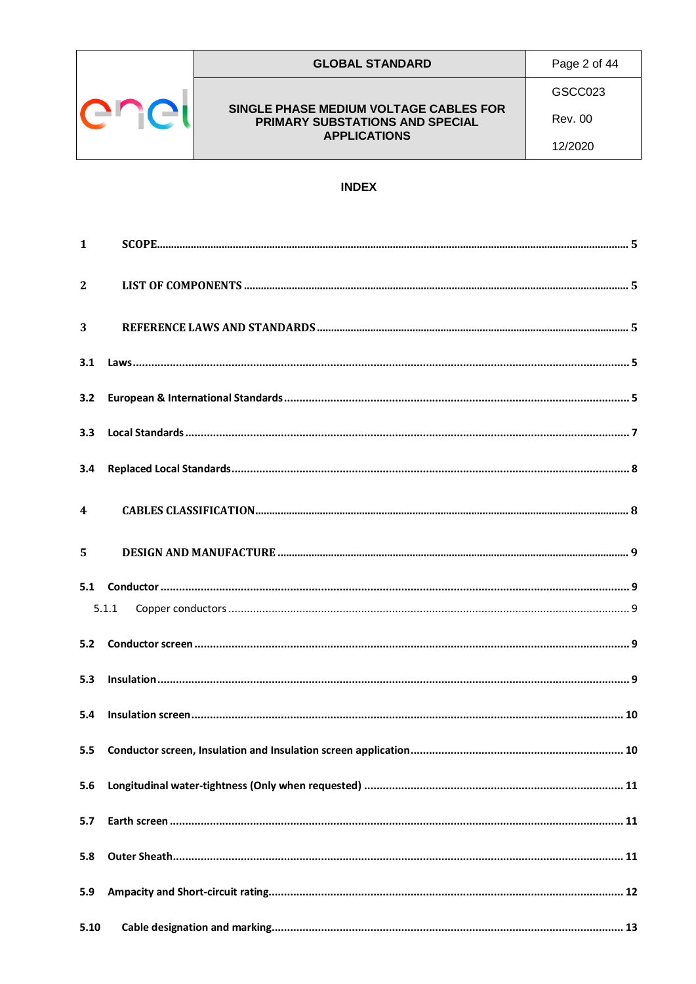

#### **GLOBAL STANDARD**

Page 2 of 44

### SINGLE PHASE MEDIUM VOLTAGE CABLES FOR PRIMARY SUBSTATIONS AND SPECIAL **APPLICATIONS**

GSCC023

**Rev. 00** 

12/2020

### **INDEX**

| $\mathbf{1}$            |       |  |
|-------------------------|-------|--|
| $\overline{2}$          |       |  |
| 3                       |       |  |
| 3.1                     |       |  |
| 3.2                     |       |  |
| 3.3                     |       |  |
| 3.4                     |       |  |
| $\overline{\mathbf{4}}$ |       |  |
| 5                       |       |  |
|                         | 5.1.1 |  |
| 5.2                     |       |  |
| 5.3                     |       |  |
| 5.4                     |       |  |
| $5.5^{\circ}$           |       |  |
| 5.6                     |       |  |
| 5.7                     |       |  |
| 5.8                     |       |  |
| 5.9                     |       |  |
| 5.10                    |       |  |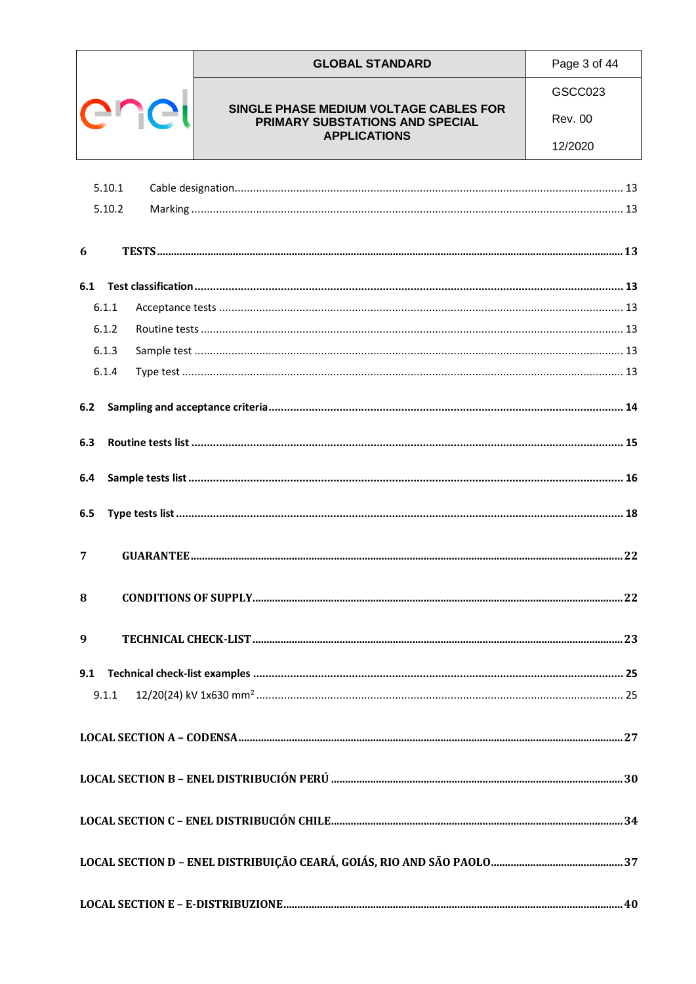|                  | <b>GLOBAL STANDARD</b>                                                    | Page 3 of 44   |
|------------------|---------------------------------------------------------------------------|----------------|
|                  |                                                                           | GSCC023        |
| enell            | SINGLE PHASE MEDIUM VOLTAGE CABLES FOR<br>PRIMARY SUBSTATIONS AND SPECIAL | <b>Rev. 00</b> |
|                  | <b>APPLICATIONS</b>                                                       | 12/2020        |
|                  |                                                                           |                |
| 5.10.1<br>5.10.2 |                                                                           |                |
|                  |                                                                           |                |
| 6                |                                                                           |                |
| 6.1              |                                                                           |                |
| 6.1.1            |                                                                           |                |
| 6.1.2            |                                                                           |                |
| 6.1.3            |                                                                           |                |
| 6.1.4            |                                                                           |                |
| 6.2              |                                                                           |                |
|                  |                                                                           |                |
| 6.3              |                                                                           |                |
| 6.4              |                                                                           |                |
|                  |                                                                           |                |
| 6.5              |                                                                           |                |
| 7                |                                                                           |                |
|                  |                                                                           |                |
| 8                |                                                                           |                |
|                  |                                                                           |                |
| 9                |                                                                           |                |
| 9.1              |                                                                           |                |
| 9.1.1            |                                                                           |                |
|                  |                                                                           |                |
|                  |                                                                           |                |
|                  |                                                                           |                |
|                  |                                                                           |                |
|                  |                                                                           |                |
|                  |                                                                           |                |
|                  |                                                                           |                |
|                  |                                                                           |                |
|                  |                                                                           |                |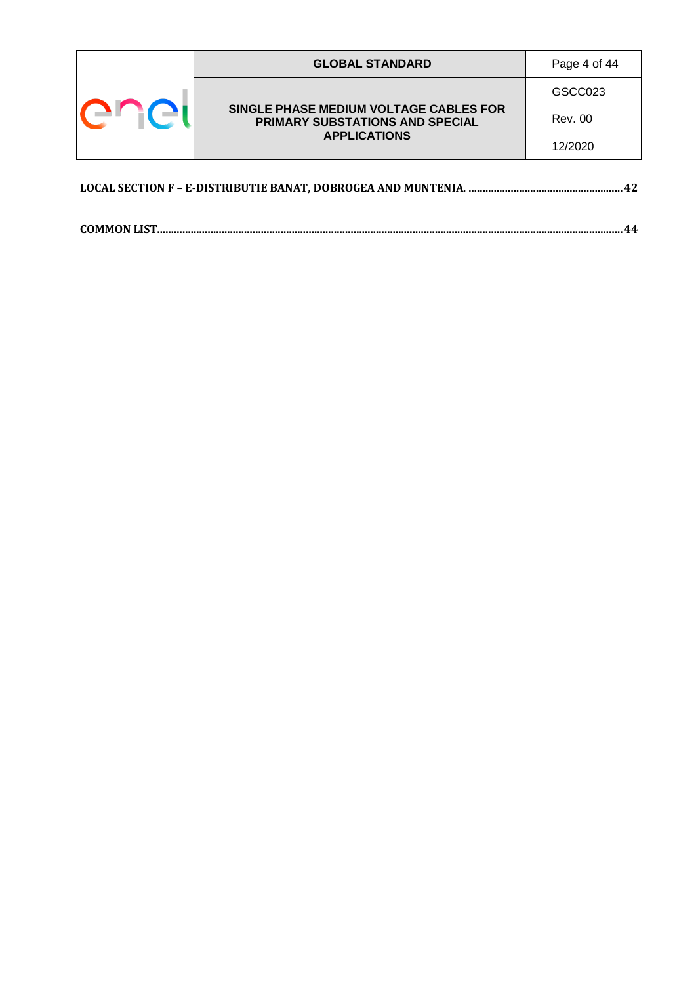|  | <b>GLOBAL STANDARD</b>                                                                                  | Page 4 of 44 |
|--|---------------------------------------------------------------------------------------------------------|--------------|
|  | SINGLE PHASE MEDIUM VOLTAGE CABLES FOR<br><b>PRIMARY SUBSTATIONS AND SPECIAL</b><br><b>APPLICATIONS</b> | GSCC023      |
|  |                                                                                                         | Rev. 00      |
|  |                                                                                                         | 12/2020      |
|  |                                                                                                         |              |

**[COMMON LIST......................................................................................................................................................................44](#page-43-0)**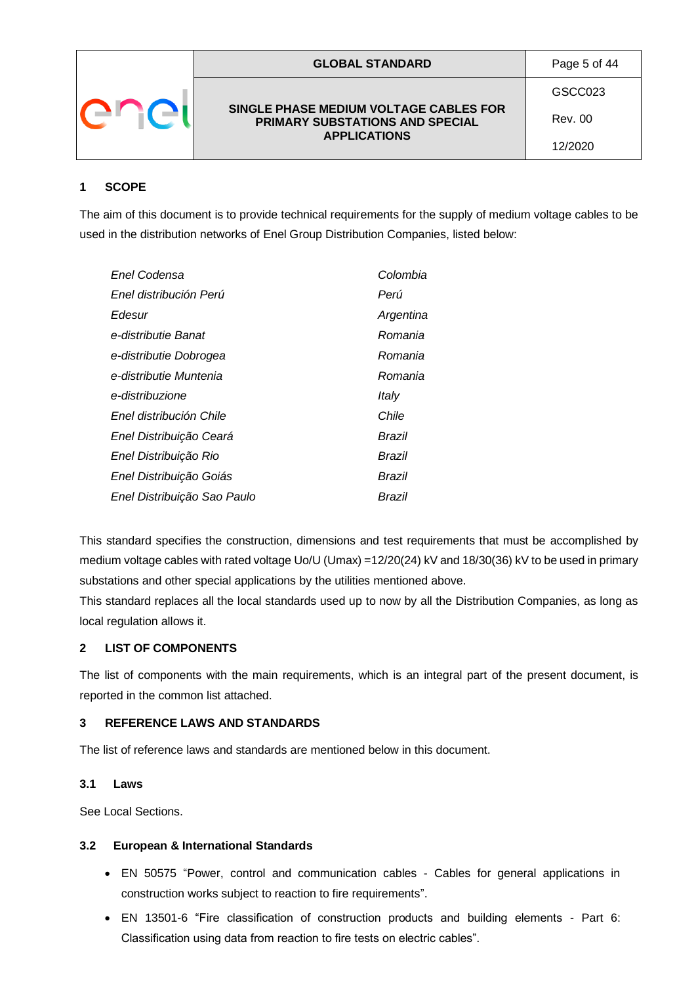|  | <b>GLOBAL STANDARD</b>                                                           | Page 5 of 44 |
|--|----------------------------------------------------------------------------------|--------------|
|  |                                                                                  | GSCC023      |
|  | SINGLE PHASE MEDIUM VOLTAGE CABLES FOR<br><b>PRIMARY SUBSTATIONS AND SPECIAL</b> | Rev. 00      |
|  | <b>APPLICATIONS</b>                                                              | 12/2020      |

### <span id="page-4-0"></span>**1 SCOPE**

The aim of this document is to provide technical requirements for the supply of medium voltage cables to be used in the distribution networks of Enel Group Distribution Companies, listed below:

| Enel Codensa                | Colombia  |
|-----------------------------|-----------|
| Enel distribución Perú      | Perú      |
| Edesur                      | Argentina |
| e-distributie Banat         | Romania   |
| e-distributie Dobrogea      | Romania   |
| e-distributie Muntenia      | Romania   |
| e-distribuzione             | Italy     |
| Enel distribución Chile     | Chile     |
| Enel Distribuição Ceará     | Brazil    |
| Enel Distribuição Rio       | Brazil    |
| Enel Distribuição Goiás     | Brazil    |
| Enel Distribuição Sao Paulo | Brazil    |

This standard specifies the construction, dimensions and test requirements that must be accomplished by medium voltage cables with rated voltage Uo/U (Umax) =12/20(24) kV and 18/30(36) kV to be used in primary substations and other special applications by the utilities mentioned above.

This standard replaces all the local standards used up to now by all the Distribution Companies, as long as local regulation allows it.

### <span id="page-4-1"></span>**2 LIST OF COMPONENTS**

The list of components with the main requirements, which is an integral part of the present document, is reported in the common list attached.

#### <span id="page-4-2"></span>**3 REFERENCE LAWS AND STANDARDS**

The list of reference laws and standards are mentioned below in this document.

#### <span id="page-4-3"></span>**3.1 Laws**

See Local Sections.

#### <span id="page-4-4"></span>**3.2 European & International Standards**

- EN 50575 "Power, control and communication cables Cables for general applications in construction works subject to reaction to fire requirements".
- EN [13501-6](https://www.aenor.es/aenor/normas/normas/fichanorma.asp?tipo=N&codigo=N0054725&PDF=Si) "Fire classification of construction products and building elements Part 6: Classification using data from reaction to fire tests on electric cables".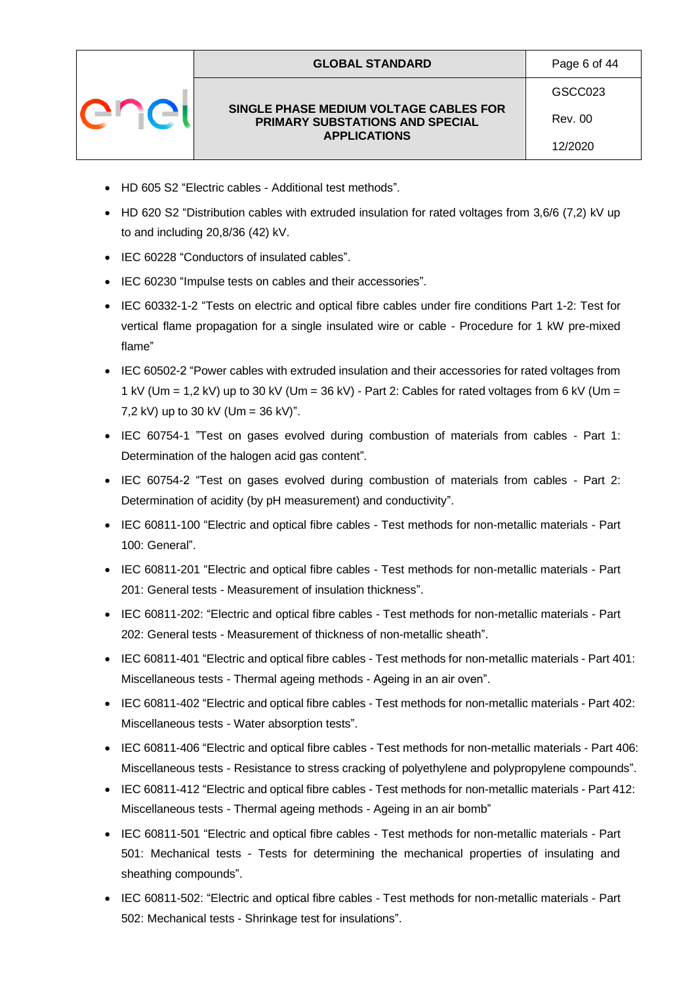|  | <b>GLOBAL STANDARD</b>                                                    | Page 6 of 44 |
|--|---------------------------------------------------------------------------|--------------|
|  |                                                                           | GSCC023      |
|  | SINGLE PHASE MEDIUM VOLTAGE CABLES FOR<br>PRIMARY SUBSTATIONS AND SPECIAL | Rev. 00      |
|  | <b>APPLICATIONS</b>                                                       | 12/2020      |

- HD 605 S2 "Electric cables Additional test methods".
- HD 620 S2 "Distribution cables with extruded insulation for rated voltages from 3,6/6 (7,2) kV up to and including 20,8/36 (42) kV.
- IEC 60228 "Conductors of insulated cables".
- IEC 60230 "Impulse tests on cables and their accessories".
- IEC 60332-1-2 "Tests on electric and optical fibre cables under fire conditions Part 1-2: Test for vertical flame propagation for a single insulated wire or cable - Procedure for 1 kW pre-mixed flame"
- IEC 60502-2 "Power cables with extruded insulation and their accessories for rated voltages from 1 kV (Um = 1,2 kV) up to 30 kV (Um = 36 kV) - Part 2: Cables for rated voltages from 6 kV (Um = 7,2 kV) up to 30 kV (Um = 36 kV)".
- IEC 60754-1 "Test on gases evolved during combustion of materials from cables Part 1: Determination of the halogen acid gas content".
- IEC 60754-2 "Test on gases evolved during combustion of materials from cables Part 2: Determination of acidity (by pH measurement) and conductivity".
- IEC 60811-100 "Electric and optical fibre cables Test methods for non-metallic materials Part 100: General".
- IEC 60811-201 "Electric and optical fibre cables Test methods for non-metallic materials Part 201: General tests - Measurement of insulation thickness".
- IEC 60811-202: "Electric and optical fibre cables Test methods for non-metallic materials Part 202: General tests - Measurement of thickness of non-metallic sheath".
- IEC 60811-401 "Electric and optical fibre cables Test methods for non-metallic materials Part 401: Miscellaneous tests - Thermal ageing methods - Ageing in an air oven".
- IEC 60811-402 "Electric and optical fibre cables Test methods for non-metallic materials Part 402: Miscellaneous tests - Water absorption tests".
- IEC 60811-406 "Electric and optical fibre cables Test methods for non-metallic materials Part 406: Miscellaneous tests - Resistance to stress cracking of polyethylene and polypropylene compounds".
- IEC 60811-412 "Electric and optical fibre cables Test methods for non-metallic materials Part 412: Miscellaneous tests - Thermal ageing methods - Ageing in an air bomb"
- IEC 60811-501 "Electric and optical fibre cables Test methods for non-metallic materials Part 501: Mechanical tests - Tests for determining the mechanical properties of insulating and sheathing compounds".
- IEC 60811-502: "Electric and optical fibre cables Test methods for non-metallic materials Part 502: Mechanical tests - Shrinkage test for insulations".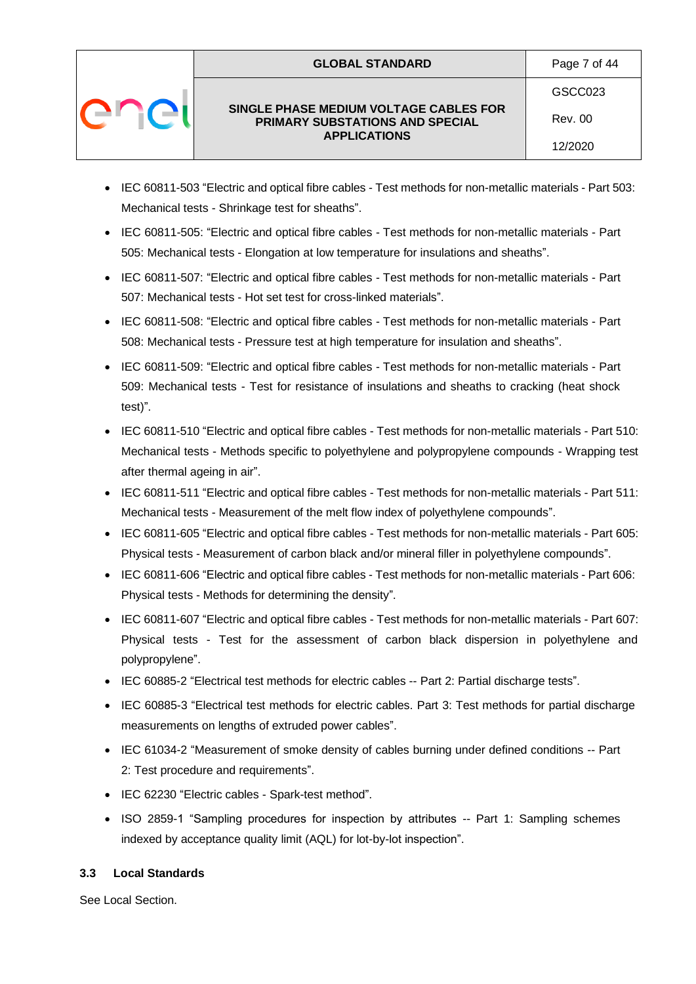|  | <b>GLOBAL STANDARD</b>                                                    | Page 7 of 44   |
|--|---------------------------------------------------------------------------|----------------|
|  |                                                                           | GSCC023        |
|  | SINGLE PHASE MEDIUM VOLTAGE CABLES FOR<br>PRIMARY SUBSTATIONS AND SPECIAL | <b>Rev. 00</b> |
|  | <b>APPLICATIONS</b>                                                       | 12/2020        |

- IEC 60811-503 "Electric and optical fibre cables Test methods for non-metallic materials Part 503: Mechanical tests - Shrinkage test for sheaths".
- IEC 60811-505: "Electric and optical fibre cables Test methods for non-metallic materials Part 505: Mechanical tests - Elongation at low temperature for insulations and sheaths".
- IEC 60811-507: "Electric and optical fibre cables Test methods for non-metallic materials Part 507: Mechanical tests - Hot set test for cross-linked materials".
- IEC 60811-508: "Electric and optical fibre cables Test methods for non-metallic materials Part 508: Mechanical tests - Pressure test at high temperature for insulation and sheaths".
- IEC 60811-509: "Electric and optical fibre cables Test methods for non-metallic materials Part 509: Mechanical tests - Test for resistance of insulations and sheaths to cracking (heat shock test)".
- IEC 60811-510 "Electric and optical fibre cables Test methods for non-metallic materials Part 510: Mechanical tests - Methods specific to polyethylene and polypropylene compounds - Wrapping test after thermal ageing in air".
- IEC 60811-511 "Electric and optical fibre cables Test methods for non-metallic materials Part 511: Mechanical tests - Measurement of the melt flow index of polyethylene compounds".
- IEC 60811-605 "Electric and optical fibre cables Test methods for non-metallic materials Part 605: Physical tests - Measurement of carbon black and/or mineral filler in polyethylene compounds".
- IEC 60811-606 "Electric and optical fibre cables Test methods for non-metallic materials Part 606: Physical tests - Methods for determining the density".
- IEC 60811-607 "Electric and optical fibre cables Test methods for non-metallic materials Part 607: Physical tests - Test for the assessment of carbon black dispersion in polyethylene and polypropylene".
- IEC 60885-2 "Electrical test methods for electric cables -- Part 2: Partial discharge tests".
- IEC 60885-3 "Electrical test methods for electric cables. Part 3: Test methods for partial discharge measurements on lengths of extruded power cables".
- IEC 61034-2 "Measurement of smoke density of cables burning under defined conditions -- Part 2: Test procedure and requirements".
- IEC 62230 "Electric cables Spark-test method".
- ISO 2859-1 "Sampling procedures for inspection by attributes -- Part 1: Sampling schemes indexed by acceptance quality limit (AQL) for lot-by-lot inspection".

### <span id="page-6-0"></span>**3.3 Local Standards**

See Local Section.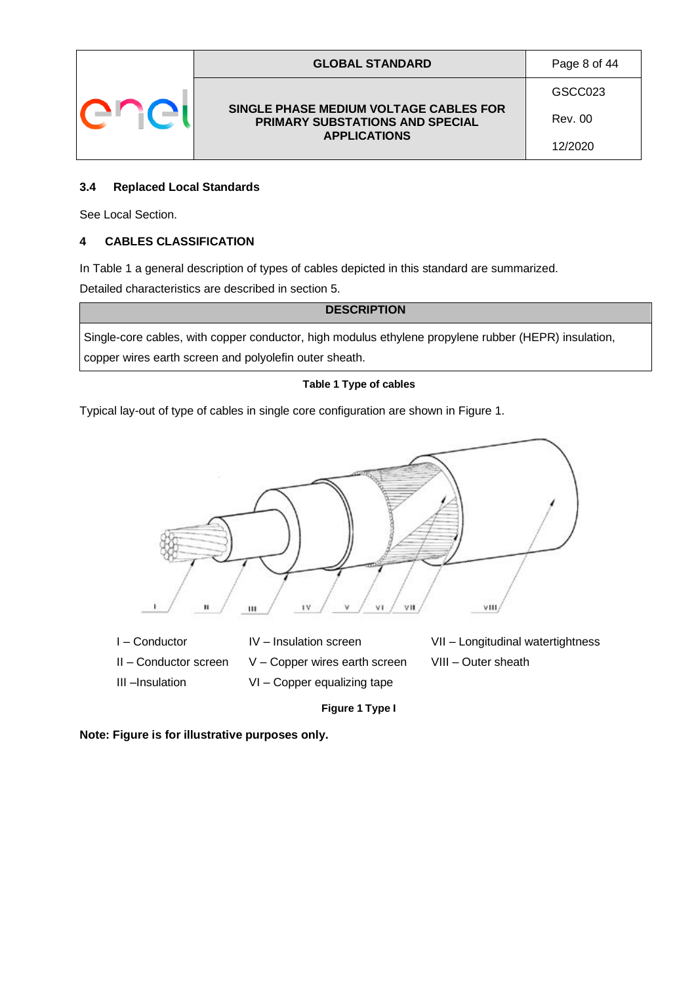|  | <b>GLOBAL STANDARD</b>                                                    | Page 8 of 44 |
|--|---------------------------------------------------------------------------|--------------|
|  |                                                                           | GSCC023      |
|  | SINGLE PHASE MEDIUM VOLTAGE CABLES FOR<br>PRIMARY SUBSTATIONS AND SPECIAL | Rev. 00      |
|  | <b>APPLICATIONS</b>                                                       | 12/2020      |

#### <span id="page-7-0"></span>**3.4 Replaced Local Standards**

See Local Section.

#### <span id="page-7-1"></span>**4 CABLES CLASSIFICATION**

In Table 1 a general description of types of cables depicted in this standard are summarized. Detailed characteristics are described in section 5.

**DESCRIPTION**

Single-core cables, with copper conductor, high modulus ethylene propylene rubber (HEPR) insulation, copper wires earth screen and polyolefin outer sheath.

#### **Table 1 Type of cables**

Typical lay-out of type of cables in single core configuration are shown in Figure 1.



**Figure 1 Type I**

**Note: Figure is for illustrative purposes only.**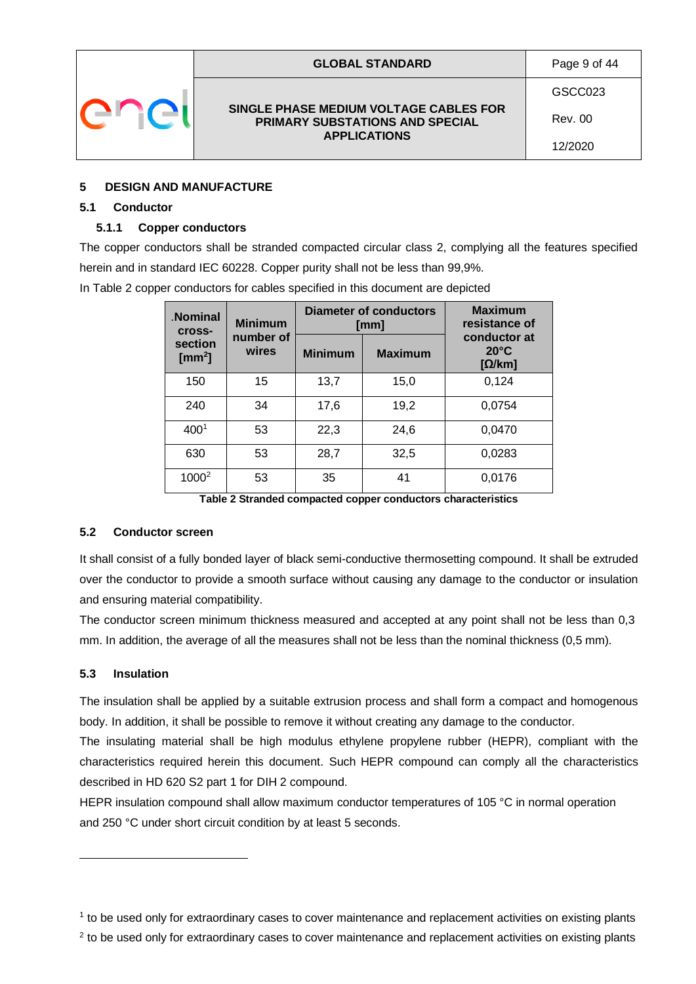|  | <b>GLOBAL STANDARD</b>                                                    | Page 9 of 44   |
|--|---------------------------------------------------------------------------|----------------|
|  |                                                                           | GSCC023        |
|  | SINGLE PHASE MEDIUM VOLTAGE CABLES FOR<br>PRIMARY SUBSTATIONS AND SPECIAL | <b>Rev. 00</b> |
|  | <b>APPLICATIONS</b>                                                       | 12/2020        |

#### <span id="page-8-0"></span>**5 DESIGN AND MANUFACTURE**

#### <span id="page-8-1"></span>**5.1 Conductor**

#### <span id="page-8-2"></span>**5.1.1 Copper conductors**

The copper conductors shall be stranded compacted circular class 2, complying all the features specified herein and in standard IEC 60228. Copper purity shall not be less than 99,9%.

| <b>Nominal</b><br><b>Cross-</b> | <b>Minimum</b>     | <b>Diameter of conductors</b><br>[mm]<br><b>Minimum</b><br><b>Maximum</b> |      | <b>Maximum</b><br>resistance of<br>conductor at<br>$20^{\circ}$ C<br>$[\Omega/km]$ |  |
|---------------------------------|--------------------|---------------------------------------------------------------------------|------|------------------------------------------------------------------------------------|--|
| section<br>[ $mm2$ ]            | number of<br>wires |                                                                           |      |                                                                                    |  |
| 150                             | 15                 | 13,7                                                                      | 15,0 | 0,124                                                                              |  |
| 240                             | 34                 | 17,6                                                                      | 19,2 | 0,0754                                                                             |  |
| 400 <sup>1</sup>                | 53                 | 22,3                                                                      | 24,6 | 0,0470                                                                             |  |
| 630                             | 53                 | 28,7                                                                      | 32,5 | 0,0283                                                                             |  |
| 1000 <sup>2</sup>               | 53                 | 35                                                                        | 41   | 0,0176                                                                             |  |

In Table 2 copper conductors for cables specified in this document are depicted

**Table 2 Stranded compacted copper conductors characteristics**

#### <span id="page-8-3"></span>**5.2 Conductor screen**

It shall consist of a fully bonded layer of black semi-conductive thermosetting compound. It shall be extruded over the conductor to provide a smooth surface without causing any damage to the conductor or insulation and ensuring material compatibility.

The conductor screen minimum thickness measured and accepted at any point shall not be less than 0,3 mm. In addition, the average of all the measures shall not be less than the nominal thickness (0,5 mm).

#### <span id="page-8-4"></span>**5.3 Insulation**

The insulation shall be applied by a suitable extrusion process and shall form a compact and homogenous body. In addition, it shall be possible to remove it without creating any damage to the conductor.

The insulating material shall be high modulus ethylene propylene rubber (HEPR), compliant with the characteristics required herein this document. Such HEPR compound can comply all the characteristics described in HD 620 S2 part 1 for DIH 2 compound.

HEPR insulation compound shall allow maximum conductor temperatures of 105 °C in normal operation and 250 °C under short circuit condition by at least 5 seconds.

<sup>1</sup> to be used only for extraordinary cases to cover maintenance and replacement activities on existing plants

 $2$  to be used only for extraordinary cases to cover maintenance and replacement activities on existing plants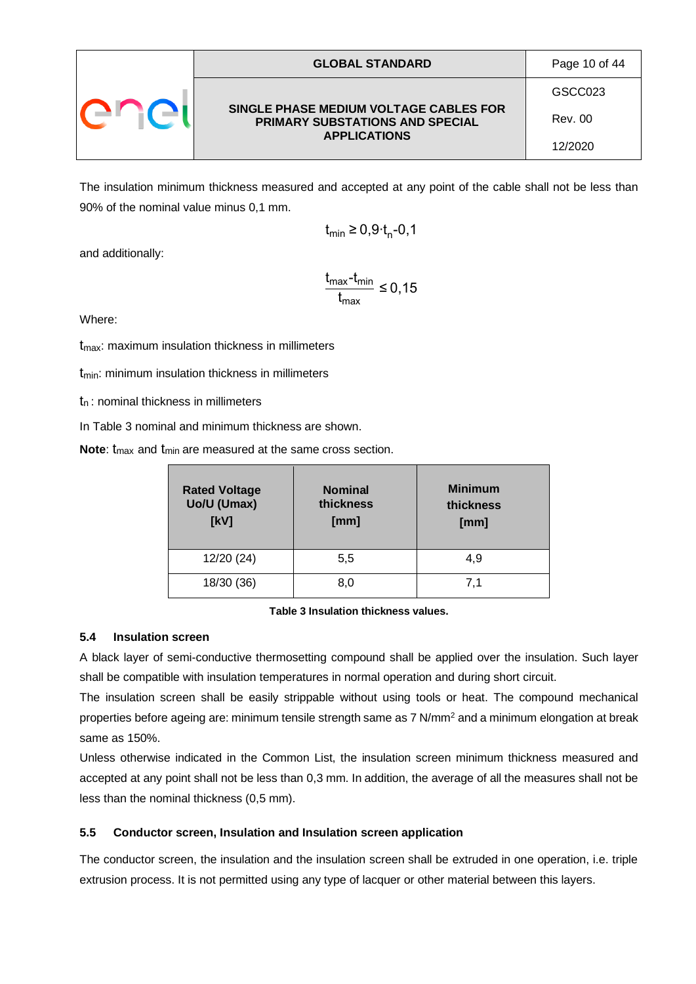|  | <b>GLOBAL STANDARD</b>                                                                           | Page 10 of 44 |
|--|--------------------------------------------------------------------------------------------------|---------------|
|  |                                                                                                  | GSCC023       |
|  | SINGLE PHASE MEDIUM VOLTAGE CABLES FOR<br>PRIMARY SUBSTATIONS AND SPECIAL<br><b>APPLICATIONS</b> | Rev. 00       |
|  |                                                                                                  | 12/2020       |

The insulation minimum thickness measured and accepted at any point of the cable shall not be less than 90% of the nominal value minus 0,1 mm.

$$
t_{\min} \ge 0.9 t_{\text{n}}\text{-}0.1
$$

and additionally:

$$
\frac{t_{\text{max}} - t_{\text{min}}}{t_{\text{max}}} \le 0, 15
$$

Where:

 $t_{\text{max}}$ : maximum insulation thickness in millimeters

 $t_{min}$ : minimum insulation thickness in millimeters

 $t_n$ : nominal thickness in millimeters

In Table 3 nominal and minimum thickness are shown.

**Note:** t<sub>max</sub> and t<sub>min</sub> are measured at the same cross section.

| <b>Rated Voltage</b><br>Uo/U (Umax)<br>[kV] | <b>Nominal</b><br>thickness<br>[mm] | <b>Minimum</b><br>thickness<br>[mm] |
|---------------------------------------------|-------------------------------------|-------------------------------------|
| 12/20 (24)                                  | 5,5                                 | 4,9                                 |
| 18/30 (36)                                  | 8.0                                 | 7.1                                 |

#### **Table 3 Insulation thickness values.**

#### <span id="page-9-0"></span>**5.4 Insulation screen**

A black layer of semi-conductive thermosetting compound shall be applied over the insulation. Such layer shall be compatible with insulation temperatures in normal operation and during short circuit.

The insulation screen shall be easily strippable without using tools or heat. The compound mechanical properties before ageing are: minimum tensile strength same as 7 N/mm<sup>2</sup> and a minimum elongation at break same as 150%.

Unless otherwise indicated in the Common List, the insulation screen minimum thickness measured and accepted at any point shall not be less than 0,3 mm. In addition, the average of all the measures shall not be less than the nominal thickness (0,5 mm).

#### <span id="page-9-1"></span>**5.5 Conductor screen, Insulation and Insulation screen application**

The conductor screen, the insulation and the insulation screen shall be extruded in one operation, i.e. triple extrusion process. It is not permitted using any type of lacquer or other material between this layers.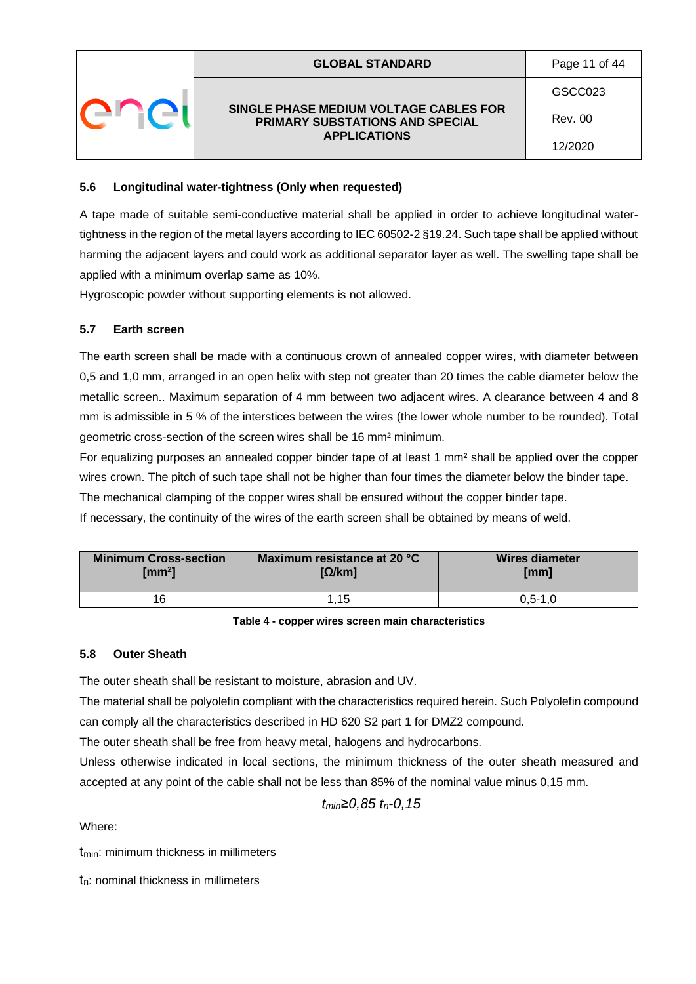|  | <b>GLOBAL STANDARD</b>                                                    | Page 11 of 44 |
|--|---------------------------------------------------------------------------|---------------|
|  |                                                                           | GSCC023       |
|  | SINGLE PHASE MEDIUM VOLTAGE CABLES FOR<br>PRIMARY SUBSTATIONS AND SPECIAL | Rev. 00       |
|  | <b>APPLICATIONS</b>                                                       | 12/2020       |
|  |                                                                           |               |

#### <span id="page-10-0"></span>**5.6 Longitudinal water-tightness (Only when requested)**

A tape made of suitable semi-conductive material shall be applied in order to achieve longitudinal watertightness in the region of the metal layers according to IEC 60502-2 §19.24. Such tape shall be applied without harming the adjacent layers and could work as additional separator layer as well. The swelling tape shall be applied with a minimum overlap same as 10%.

Hygroscopic powder without supporting elements is not allowed.

### <span id="page-10-1"></span>**5.7 Earth screen**

The earth screen shall be made with a continuous crown of annealed copper wires, with diameter between 0,5 and 1,0 mm, arranged in an open helix with step not greater than 20 times the cable diameter below the metallic screen.. Maximum separation of 4 mm between two adjacent wires. A clearance between 4 and 8 mm is admissible in 5 % of the interstices between the wires (the lower whole number to be rounded). Total geometric cross-section of the screen wires shall be 16 mm² minimum.

For equalizing purposes an annealed copper binder tape of at least 1 mm² shall be applied over the copper wires crown. The pitch of such tape shall not be higher than four times the diameter below the binder tape. The mechanical clamping of the copper wires shall be ensured without the copper binder tape.

If necessary, the continuity of the wires of the earth screen shall be obtained by means of weld.

| <b>Minimum Cross-section</b> | Maximum resistance at 20 °C | <b>Wires diameter</b> |
|------------------------------|-----------------------------|-----------------------|
| $\text{Im}m^2$               | $\Omega/km$ ]               | [mm]                  |
| 16                           | 1.15                        | $0.5 - 1.0$           |

#### **Table 4 - copper wires screen main characteristics**

#### <span id="page-10-2"></span>**5.8 Outer Sheath**

The outer sheath shall be resistant to moisture, abrasion and UV.

The material shall be polyolefin compliant with the characteristics required herein. Such Polyolefin compound can comply all the characteristics described in HD 620 S2 part 1 for DMZ2 compound.

The outer sheath shall be free from heavy metal, halogens and hydrocarbons.

Unless otherwise indicated in local sections, the minimum thickness of the outer sheath measured and accepted at any point of the cable shall not be less than 85% of the nominal value minus 0,15 mm.

*tmin≥0,85 tn-0,15*

Where:

t<sub>min</sub>: minimum thickness in millimeters

tn: nominal thickness in millimeters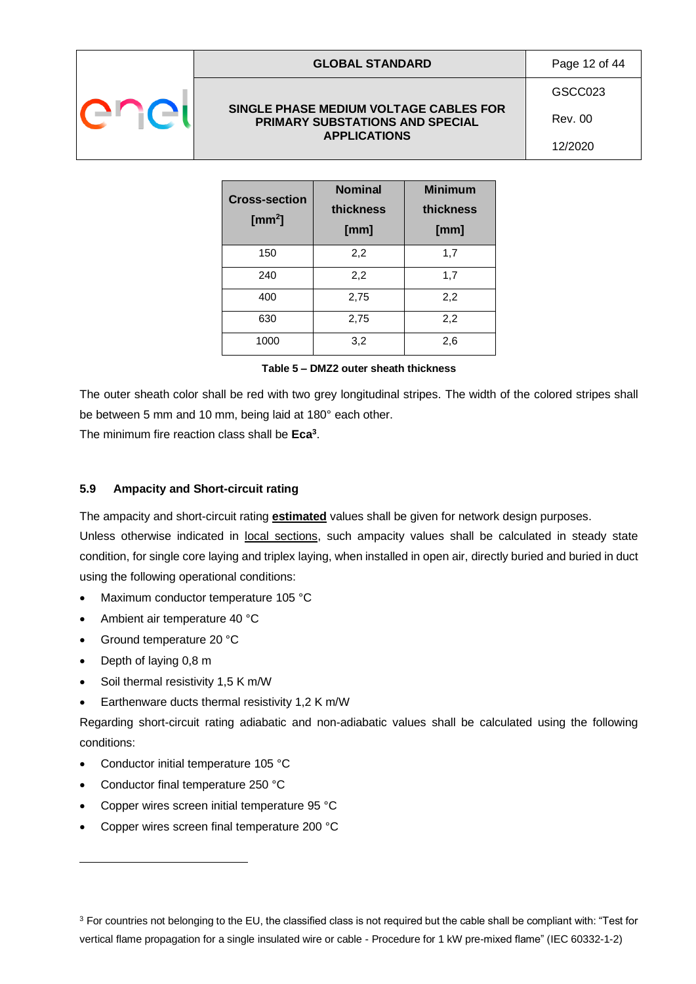#### **GLOBAL STANDARD** Page 12 of 44

#### **SINGLE PHASE MEDIUM VOLTAGE CABLES FOR PRIMARY SUBSTATIONS AND SPECIAL APPLICATIONS**

GSCC023 Rev. 00

12/2020

| <b>Cross-section</b><br>[ $mm2$ ] | <b>Nominal</b><br>thickness<br>[mm] | <b>Minimum</b><br>thickness<br>[mm] |
|-----------------------------------|-------------------------------------|-------------------------------------|
| 150                               | 2,2                                 | 1,7                                 |
| 240                               | 2,2                                 | 1,7                                 |
| 400                               | 2,75                                | 2,2                                 |
| 630                               | 2,75                                | 2,2                                 |
| 1000                              | 3,2                                 | 2,6                                 |

|  |  |  |  | Table 5 – DMZ2 outer sheath thickness |
|--|--|--|--|---------------------------------------|
|--|--|--|--|---------------------------------------|

The outer sheath color shall be red with two grey longitudinal stripes. The width of the colored stripes shall be between 5 mm and 10 mm, being laid at 180° each other.

The minimum fire reaction class shall be **Eca<sup>3</sup>** .

### <span id="page-11-0"></span>**5.9 Ampacity and Short-circuit rating**

The ampacity and short-circuit rating **estimated** values shall be given for network design purposes.

Unless otherwise indicated in local sections, such ampacity values shall be calculated in steady state condition, for single core laying and triplex laying, when installed in open air, directly buried and buried in duct using the following operational conditions:

- Maximum conductor temperature 105 °C
- Ambient air temperature 40 °C
- Ground temperature 20 °C
- Depth of laying 0,8 m
- Soil thermal resistivity 1,5 K m/W
- Earthenware ducts thermal resistivity 1,2 K m/W

Regarding short-circuit rating adiabatic and non-adiabatic values shall be calculated using the following conditions:

- Conductor initial temperature 105 °C
- Conductor final temperature 250 °C
- Copper wires screen initial temperature 95 °C
- Copper wires screen final temperature 200 °C

<sup>&</sup>lt;sup>3</sup> For countries not belonging to the EU, the classified class is not required but the cable shall be compliant with: "Test for vertical flame propagation for a single insulated wire or cable - Procedure for 1 kW pre-mixed flame" (IEC 60332-1-2)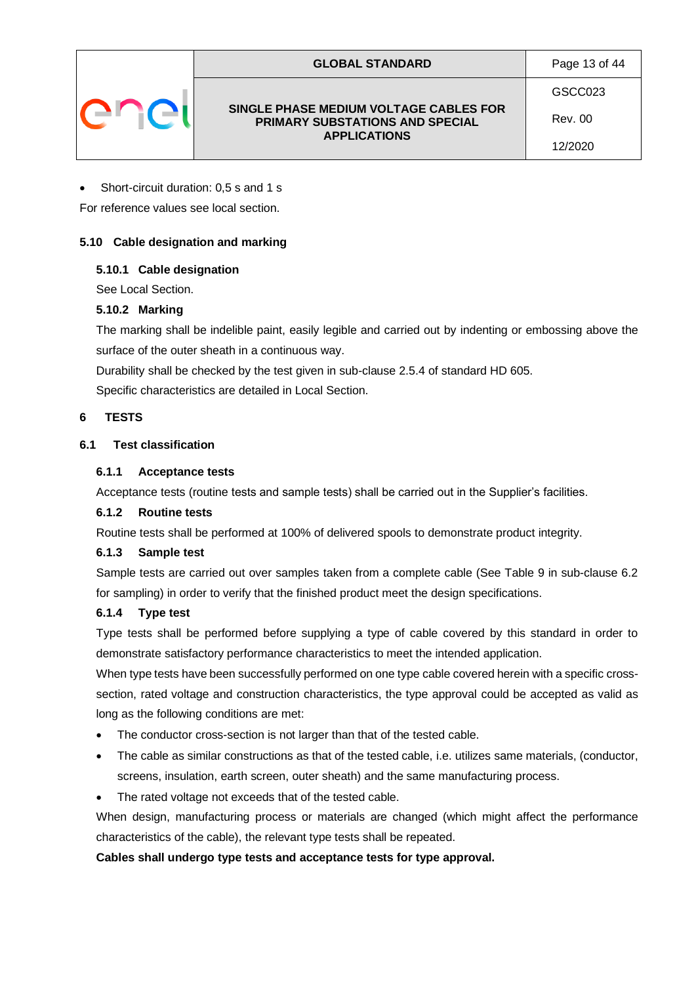| <b>GLOBAL STANDARD</b>                                                                                  |  |
|---------------------------------------------------------------------------------------------------------|--|
| SINGLE PHASE MEDIUM VOLTAGE CABLES FOR<br><b>PRIMARY SUBSTATIONS AND SPECIAL</b><br><b>APPLICATIONS</b> |  |

GSCC023 Rev. 00

Page 13 of 44

12/2020

#### • Short-circuit duration: 0,5 s and 1 s

For reference values see local section.

#### <span id="page-12-0"></span>**5.10 Cable designation and marking**

#### <span id="page-12-1"></span>**5.10.1 Cable designation**

See Local Section.

### <span id="page-12-2"></span>**5.10.2 Marking**

The marking shall be indelible paint, easily legible and carried out by indenting or embossing above the surface of the outer sheath in a continuous way.

Durability shall be checked by the test given in sub-clause 2.5.4 of standard HD 605.

Specific characteristics are detailed in Local Section.

### <span id="page-12-3"></span>**6 TESTS**

### <span id="page-12-4"></span>**6.1 Test classification**

#### <span id="page-12-5"></span>**6.1.1 Acceptance tests**

Acceptance tests (routine tests and sample tests) shall be carried out in the Supplier's facilities.

#### <span id="page-12-6"></span>**6.1.2 Routine tests**

Routine tests shall be performed at 100% of delivered spools to demonstrate product integrity.

#### <span id="page-12-7"></span>**6.1.3 Sample test**

Sample tests are carried out over samples taken from a complete cable (See Table 9 in sub-clause 6.2 for sampling) in order to verify that the finished product meet the design specifications.

#### <span id="page-12-8"></span>**6.1.4 Type test**

Type tests shall be performed before supplying a type of cable covered by this standard in order to demonstrate satisfactory performance characteristics to meet the intended application.

When type tests have been successfully performed on one type cable covered herein with a specific crosssection, rated voltage and construction characteristics, the type approval could be accepted as valid as long as the following conditions are met:

- The conductor cross-section is not larger than that of the tested cable.
- The cable as similar constructions as that of the tested cable, i.e. utilizes same materials, (conductor, screens, insulation, earth screen, outer sheath) and the same manufacturing process.
- The rated voltage not exceeds that of the tested cable.

When design, manufacturing process or materials are changed (which might affect the performance characteristics of the cable), the relevant type tests shall be repeated.

### **Cables shall undergo type tests and acceptance tests for type approval.**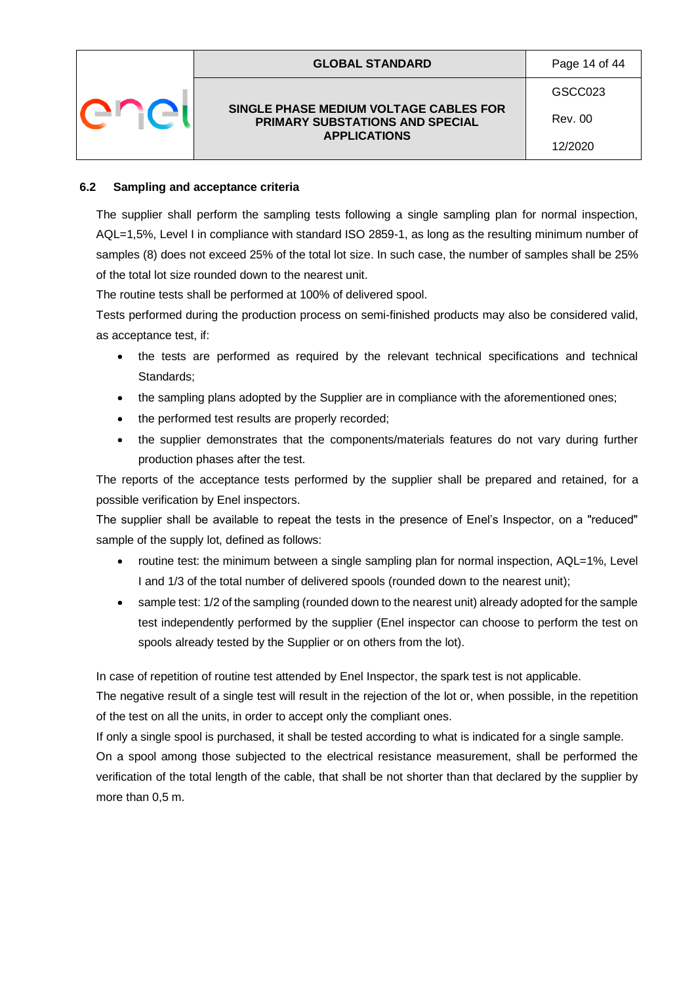| <b>GLOBAL STANDARD</b>                                                    | Page 14 of 44 |
|---------------------------------------------------------------------------|---------------|
|                                                                           | GSCC023       |
| SINGLE PHASE MEDIUM VOLTAGE CABLES FOR<br>PRIMARY SUBSTATIONS AND SPECIAL | Rev. 00       |
| <b>APPLICATIONS</b>                                                       | 12/2020       |

#### <span id="page-13-0"></span>**6.2 Sampling and acceptance criteria**

The supplier shall perform the sampling tests following a single sampling plan for normal inspection, AQL=1,5%, Level I in compliance with standard ISO 2859-1, as long as the resulting minimum number of samples (8) does not exceed 25% of the total lot size. In such case, the number of samples shall be 25% of the total lot size rounded down to the nearest unit.

The routine tests shall be performed at 100% of delivered spool.

Tests performed during the production process on semi-finished products may also be considered valid, as acceptance test, if:

- the tests are performed as required by the relevant technical specifications and technical Standards;
- the sampling plans adopted by the Supplier are in compliance with the aforementioned ones;
- the performed test results are properly recorded;
- the supplier demonstrates that the components/materials features do not vary during further production phases after the test.

The reports of the acceptance tests performed by the supplier shall be prepared and retained, for a possible verification by Enel inspectors.

The supplier shall be available to repeat the tests in the presence of Enel's Inspector, on a "reduced" sample of the supply lot, defined as follows:

- routine test: the minimum between a single sampling plan for normal inspection, AQL=1%, Level I and 1/3 of the total number of delivered spools (rounded down to the nearest unit);
- sample test: 1/2 of the sampling (rounded down to the nearest unit) already adopted for the sample test independently performed by the supplier (Enel inspector can choose to perform the test on spools already tested by the Supplier or on others from the lot).

In case of repetition of routine test attended by Enel Inspector, the spark test is not applicable.

The negative result of a single test will result in the rejection of the lot or, when possible, in the repetition of the test on all the units, in order to accept only the compliant ones.

If only a single spool is purchased, it shall be tested according to what is indicated for a single sample.

On a spool among those subjected to the electrical resistance measurement, shall be performed the verification of the total length of the cable, that shall be not shorter than that declared by the supplier by more than 0,5 m.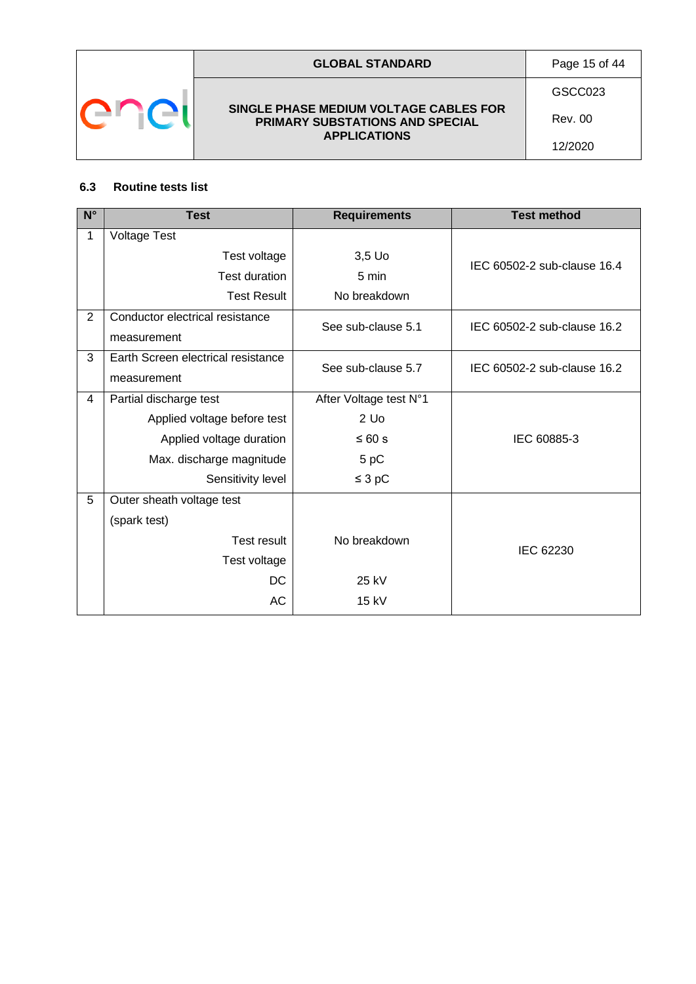

### **GLOBAL STANDARD** Page 15 of 44

**SINGLE PHASE MEDIUM VOLTAGE CABLES FOR PRIMARY SUBSTATIONS AND SPECIAL APPLICATIONS**

GSCC023

Rev. 00 12/2020

### <span id="page-14-0"></span>**6.3 Routine tests list**

| $N^{\circ}$    | <b>Test</b>                        | <b>Requirements</b>    | <b>Test method</b>          |
|----------------|------------------------------------|------------------------|-----------------------------|
| 1              | <b>Voltage Test</b>                |                        |                             |
|                | Test voltage                       | $3,5$ Uo               | IEC 60502-2 sub-clause 16.4 |
|                | <b>Test duration</b>               | 5 min                  |                             |
|                | <b>Test Result</b>                 | No breakdown           |                             |
| $\overline{2}$ | Conductor electrical resistance    | See sub-clause 5.1     | IEC 60502-2 sub-clause 16.2 |
|                | measurement                        |                        |                             |
| 3              | Earth Screen electrical resistance | See sub-clause 5.7     | IEC 60502-2 sub-clause 16.2 |
|                | measurement                        |                        |                             |
| $\overline{4}$ | Partial discharge test             | After Voltage test N°1 |                             |
|                | Applied voltage before test        | $2$ Uo                 |                             |
|                | Applied voltage duration           | ≤ 60 s                 | IEC 60885-3                 |
|                | Max. discharge magnitude           | 5 pC                   |                             |
|                | Sensitivity level                  | $\leq$ 3 pC            |                             |
| 5              | Outer sheath voltage test          |                        |                             |
|                | (spark test)                       |                        |                             |
|                | Test result                        | No breakdown           | IEC 62230                   |
|                | Test voltage                       |                        |                             |
|                | DC                                 | 25 kV                  |                             |
|                | AC                                 | $15$ kV                |                             |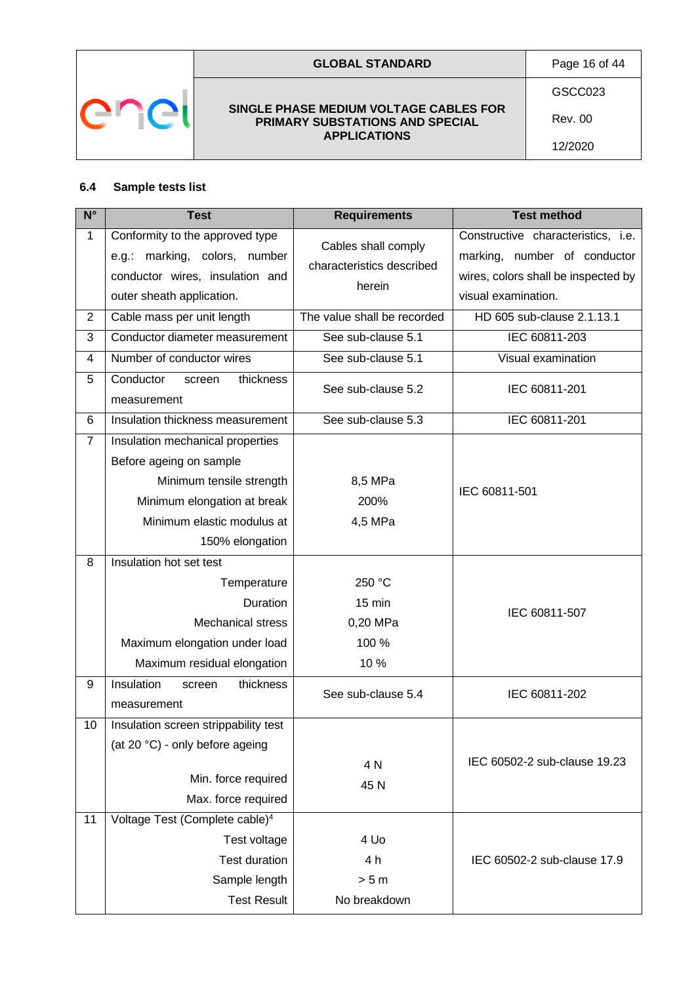

### **GLOBAL STANDARD** Page 16 of 44

#### **SINGLE PHASE MEDIUM VOLTAGE CABLES FOR PRIMARY SUBSTATIONS AND SPECIAL APPLICATIONS**

GSCC023

Rev. 00

12/2020

### <span id="page-15-0"></span>**6.4 Sample tests list**

| $N^{\circ}$    | <b>Test</b>                                                                                                                      | <b>Requirements</b>                                        | <b>Test method</b>                                                                                                               |
|----------------|----------------------------------------------------------------------------------------------------------------------------------|------------------------------------------------------------|----------------------------------------------------------------------------------------------------------------------------------|
| $\mathbf{1}$   | Conformity to the approved type<br>e.g.: marking, colors, number<br>conductor wires, insulation and<br>outer sheath application. | Cables shall comply<br>characteristics described<br>herein | Constructive characteristics, i.e.<br>marking, number of conductor<br>wires, colors shall be inspected by<br>visual examination. |
| $\overline{2}$ | Cable mass per unit length                                                                                                       | The value shall be recorded                                | HD 605 sub-clause 2.1.13.1                                                                                                       |
| 3              | Conductor diameter measurement                                                                                                   | See sub-clause 5.1                                         | IEC 60811-203                                                                                                                    |
| 4              | Number of conductor wires                                                                                                        | See sub-clause 5.1                                         | Visual examination                                                                                                               |
| 5              | Conductor<br>thickness<br>screen<br>measurement                                                                                  | See sub-clause 5.2                                         | IEC 60811-201                                                                                                                    |
| 6              | Insulation thickness measurement                                                                                                 | See sub-clause 5.3                                         | IEC 60811-201                                                                                                                    |
| $\overline{7}$ | Insulation mechanical properties<br>Before ageing on sample<br>Minimum tensile strength                                          | 8,5 MPa                                                    | IEC 60811-501                                                                                                                    |
|                | Minimum elongation at break                                                                                                      | 200%                                                       |                                                                                                                                  |
|                | Minimum elastic modulus at                                                                                                       | 4,5 MPa                                                    |                                                                                                                                  |
|                | 150% elongation                                                                                                                  |                                                            |                                                                                                                                  |
| 8              | Insulation hot set test                                                                                                          |                                                            |                                                                                                                                  |
|                | Temperature                                                                                                                      | 250 °C                                                     |                                                                                                                                  |
|                | <b>Duration</b>                                                                                                                  | 15 min                                                     | IEC 60811-507                                                                                                                    |
|                | <b>Mechanical stress</b>                                                                                                         | 0,20 MPa                                                   |                                                                                                                                  |
|                | Maximum elongation under load                                                                                                    | 100 %                                                      |                                                                                                                                  |
|                | Maximum residual elongation                                                                                                      | 10 %                                                       |                                                                                                                                  |
| 9              | Insulation<br>thickness<br>screen<br>measurement                                                                                 | See sub-clause 5.4                                         | IEC 60811-202                                                                                                                    |
| 10             | Insulation screen strippability test<br>(at 20 °C) - only before ageing<br>Min. force required<br>Max. force required            | 4 N<br>45 N                                                | IEC 60502-2 sub-clause 19.23                                                                                                     |
| 11             | Voltage Test (Complete cable) <sup>4</sup><br>Test voltage                                                                       | 4 Uo                                                       |                                                                                                                                  |
|                | <b>Test duration</b><br>Sample length                                                                                            | 4 h<br>> 5 m                                               | IEC 60502-2 sub-clause 17.9                                                                                                      |
|                | <b>Test Result</b>                                                                                                               | No breakdown                                               |                                                                                                                                  |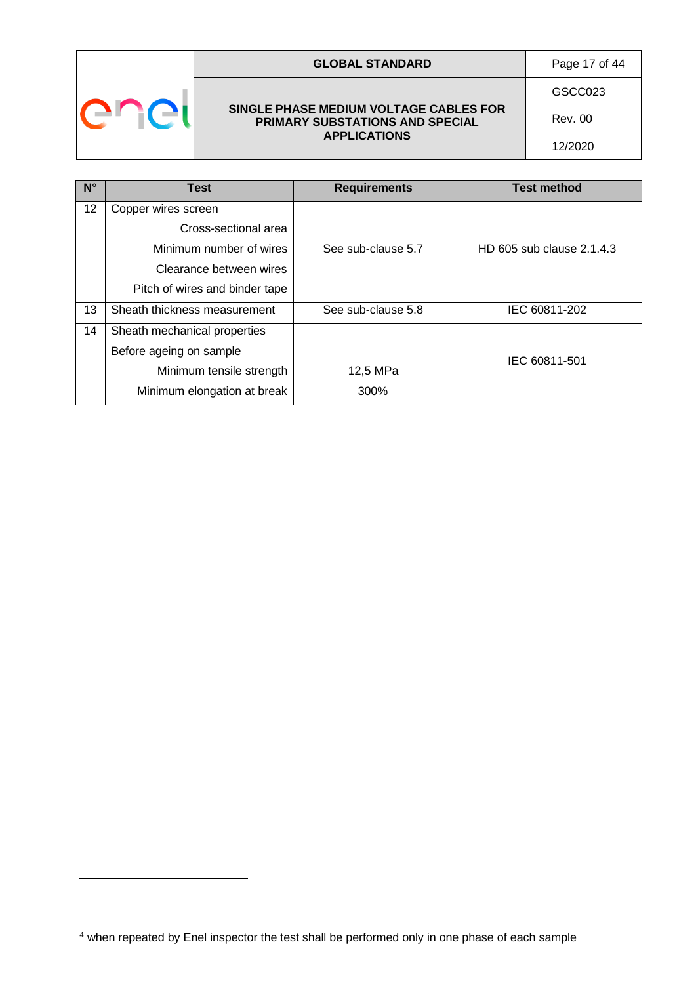|  | <b>GLOBAL STANDARD</b>                                                    | Page 17 of 44 |
|--|---------------------------------------------------------------------------|---------------|
|  |                                                                           | GSCC023       |
|  | SINGLE PHASE MEDIUM VOLTAGE CABLES FOR<br>PRIMARY SUBSTATIONS AND SPECIAL | Rev. 00       |
|  |                                                                           | 12/2020       |
|  | <b>APPLICATIONS</b>                                                       |               |

| $N^{\circ}$ | <b>Test</b>                    | <b>Requirements</b> | <b>Test method</b>        |
|-------------|--------------------------------|---------------------|---------------------------|
| 12          | Copper wires screen            |                     |                           |
|             | Cross-sectional area           |                     |                           |
|             | Minimum number of wires        | See sub-clause 5.7  | HD 605 sub clause 2.1.4.3 |
|             | Clearance between wires        |                     |                           |
|             | Pitch of wires and binder tape |                     |                           |
| 13          | Sheath thickness measurement   | See sub-clause 5.8  | IEC 60811-202             |
| 14          | Sheath mechanical properties   |                     |                           |
|             | Before ageing on sample        |                     | IEC 60811-501             |
|             | Minimum tensile strength       | 12,5 MPa            |                           |
|             | Minimum elongation at break    | 300%                |                           |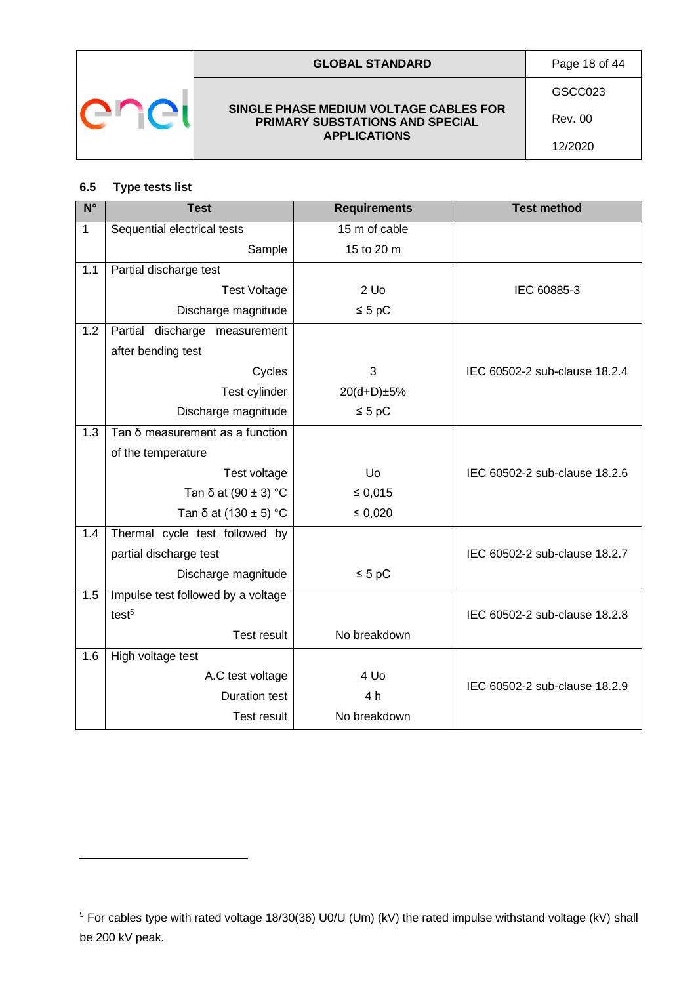

### <span id="page-17-0"></span>**6.5 Type tests list**

| $N^{\circ}$ | <b>Test</b>                        | <b>Requirements</b> | <b>Test method</b>            |
|-------------|------------------------------------|---------------------|-------------------------------|
| $\mathbf 1$ | Sequential electrical tests        | 15 m of cable       |                               |
|             | Sample                             | 15 to 20 m          |                               |
| 1.1         | Partial discharge test             |                     |                               |
|             | <b>Test Voltage</b>                | $2$ Uo              | IEC 60885-3                   |
|             | Discharge magnitude                | $\leq 5$ pC         |                               |
| 1.2         | Partial discharge measurement      |                     |                               |
|             | after bending test                 |                     |                               |
|             | Cycles                             | 3                   | IEC 60502-2 sub-clause 18.2.4 |
|             | Test cylinder                      | 20(d+D)±5%          |                               |
|             | Discharge magnitude                | $\leq 5$ pC         |                               |
| 1.3         | Tan δ measurement as a function    |                     |                               |
|             | of the temperature                 |                     |                               |
|             | Test voltage                       | Uo                  | IEC 60502-2 sub-clause 18.2.6 |
|             | Tan $\delta$ at (90 $\pm$ 3) °C    | $\leq 0,015$        |                               |
|             | Tan $\delta$ at (130 $\pm$ 5) °C   | $\leq 0,020$        |                               |
| 1.4         | Thermal cycle test followed by     |                     |                               |
|             | partial discharge test             |                     | IEC 60502-2 sub-clause 18.2.7 |
|             | Discharge magnitude                | $\leq 5$ pC         |                               |
| 1.5         | Impulse test followed by a voltage |                     |                               |
|             | test <sup>5</sup>                  |                     | IEC 60502-2 sub-clause 18.2.8 |
|             | <b>Test result</b>                 | No breakdown        |                               |
| 1.6         | High voltage test                  |                     |                               |
|             | A.C test voltage                   | 4 Uo                | IEC 60502-2 sub-clause 18.2.9 |
|             | <b>Duration test</b>               | 4 h                 |                               |
|             | <b>Test result</b>                 | No breakdown        |                               |

<sup>5</sup> For cables type with rated voltage 18/30(36) U0/U (Um) (kV) the rated impulse withstand voltage (kV) shall be 200 kV peak.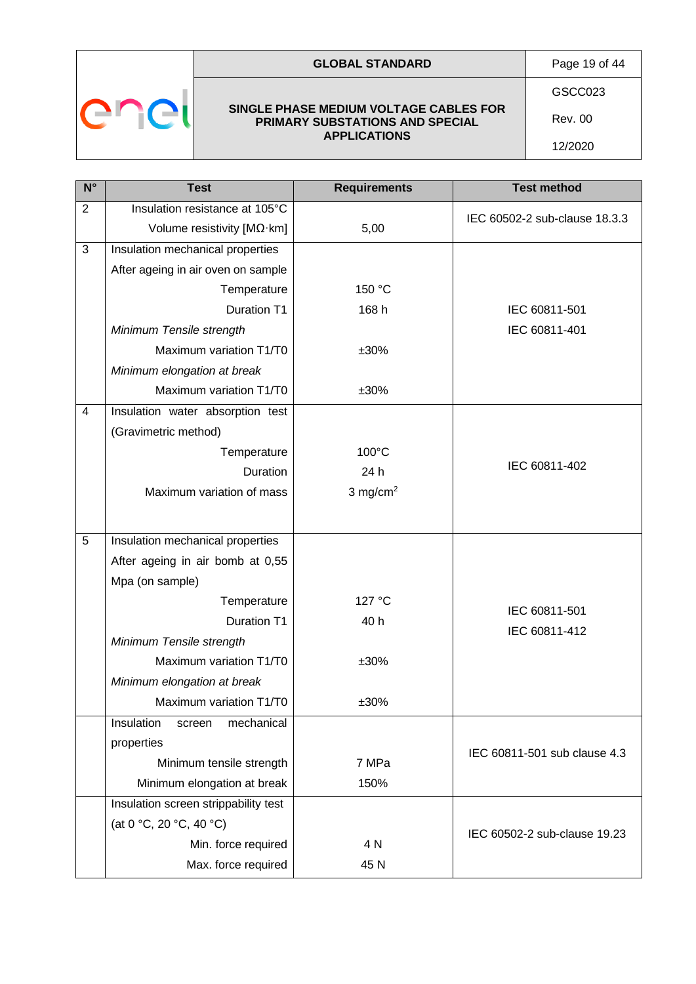| Page 19 of 44<br><b>GLOBAL STANDARD</b> |
|-----------------------------------------|
|-----------------------------------------|



# **SINGLE PHASE MEDIUM VOLTAGE CABLES FOR PRIMARY SUBSTATIONS AND SPECIAL**

**APPLICATIONS**

GSCC023

Rev. 00

12/2020

| $N^{\circ}$    | <b>Test</b>                            | <b>Requirements</b> | <b>Test method</b>            |
|----------------|----------------------------------------|---------------------|-------------------------------|
| $\overline{2}$ | Insulation resistance at 105°C         |                     | IEC 60502-2 sub-clause 18.3.3 |
|                | Volume resistivity $[M\Omega\cdot km]$ | 5,00                |                               |
| 3              | Insulation mechanical properties       |                     |                               |
|                | After ageing in air oven on sample     |                     |                               |
|                | Temperature                            | 150 °C              |                               |
|                | <b>Duration T1</b>                     | 168 h               | IEC 60811-501                 |
|                | Minimum Tensile strength               |                     | IEC 60811-401                 |
|                | Maximum variation T1/T0                | ±30%                |                               |
|                | Minimum elongation at break            |                     |                               |
|                | Maximum variation T1/T0                | ±30%                |                               |
| 4              | Insulation water absorption test       |                     |                               |
|                | (Gravimetric method)                   |                     |                               |
|                | Temperature                            | 100°C               |                               |
|                | Duration                               | 24 h                | IEC 60811-402                 |
|                | Maximum variation of mass              | 3 mg/cm $^2$        |                               |
|                |                                        |                     |                               |
| 5              | Insulation mechanical properties       |                     |                               |
|                | After ageing in air bomb at 0,55       |                     |                               |
|                | Mpa (on sample)                        |                     |                               |
|                | Temperature                            | 127 °C              |                               |
|                | <b>Duration T1</b>                     | 40 h                | IEC 60811-501                 |
|                | Minimum Tensile strength               |                     | IEC 60811-412                 |
|                | Maximum variation T1/T0                | ±30%                |                               |
|                | Minimum elongation at break            |                     |                               |
|                | Maximum variation T1/T0                | $±30\%$             |                               |
|                | Insulation<br>mechanical<br>screen     |                     |                               |
|                | properties                             |                     | IEC 60811-501 sub clause 4.3  |
|                | Minimum tensile strength               | 7 MPa               |                               |
|                | Minimum elongation at break            | 150%                |                               |
|                | Insulation screen strippability test   |                     |                               |
|                | (at 0 °C, 20 °C, 40 °C)                |                     | IEC 60502-2 sub-clause 19.23  |
|                | Min. force required                    | 4 N                 |                               |
|                | Max. force required                    | 45 N                |                               |
|                |                                        |                     |                               |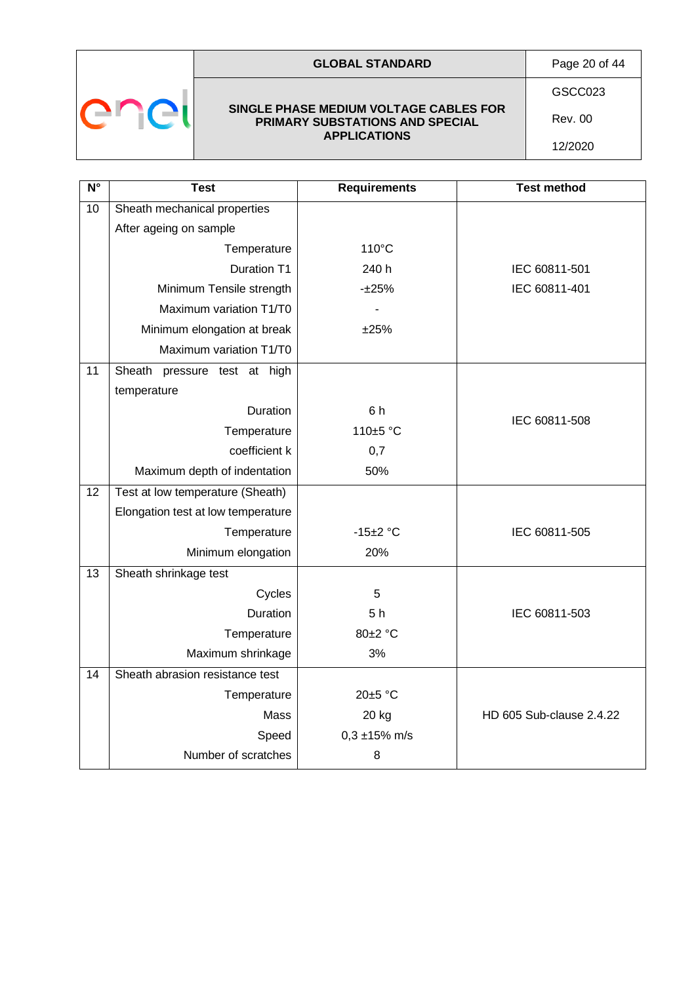| <b>GLOBAL STANDARD</b> | Page 20 of 44 |
|------------------------|---------------|
|                        |               |



#### **SINGLE PHASE MEDIUM VOLTAGE CABLES FOR PRIMARY SUBSTATIONS AND SPECIAL APPLICATIONS**

GSCC023

Rev. 00 12/2020

| $N^{\circ}$     | <b>Test</b>                        | <b>Requirements</b> | <b>Test method</b>       |
|-----------------|------------------------------------|---------------------|--------------------------|
| $\overline{10}$ | Sheath mechanical properties       |                     |                          |
|                 | After ageing on sample             |                     |                          |
|                 | Temperature                        | $110^{\circ}$ C     |                          |
|                 | <b>Duration T1</b>                 | 240 h               | IEC 60811-501            |
|                 | Minimum Tensile strength           | $-125%$             | IEC 60811-401            |
|                 | Maximum variation T1/T0            |                     |                          |
|                 | Minimum elongation at break        | ±25%                |                          |
|                 | Maximum variation T1/T0            |                     |                          |
| 11              | Sheath<br>pressure test at high    |                     |                          |
|                 | temperature                        |                     |                          |
|                 | Duration                           | 6 h                 | IEC 60811-508            |
|                 | Temperature                        | 110±5 °C            |                          |
|                 | coefficient k                      | 0,7                 |                          |
|                 | Maximum depth of indentation       | 50%                 |                          |
| $\overline{12}$ | Test at low temperature (Sheath)   |                     |                          |
|                 | Elongation test at low temperature |                     |                          |
|                 | Temperature                        | $-15+2$ °C          | IEC 60811-505            |
|                 | Minimum elongation                 | 20%                 |                          |
| 13              | Sheath shrinkage test              |                     |                          |
|                 | Cycles                             | 5                   |                          |
|                 | Duration                           | 5h                  | IEC 60811-503            |
|                 | Temperature                        | 80±2 °C             |                          |
|                 | Maximum shrinkage                  | 3%                  |                          |
| 14              | Sheath abrasion resistance test    |                     |                          |
|                 | Temperature                        | 20±5 °C             |                          |
|                 | <b>Mass</b>                        | 20 kg               | HD 605 Sub-clause 2.4.22 |
|                 | Speed                              | $0,3 \pm 15\%$ m/s  |                          |
|                 | Number of scratches                | 8                   |                          |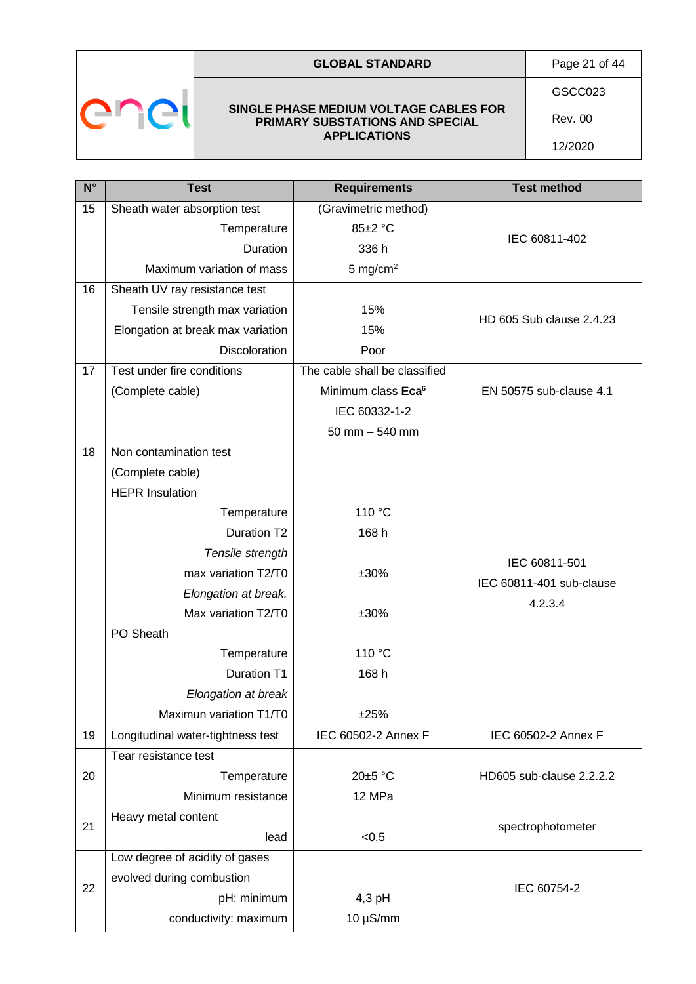

### **GLOBAL STANDARD** Page 21 of 44

**SINGLE PHASE MEDIUM VOLTAGE CABLES FOR PRIMARY SUBSTATIONS AND SPECIAL APPLICATIONS**

GSCC023

Rev. 00 12/2020

| $N^{\circ}$ | <b>Test</b>                       | <b>Requirements</b>            | <b>Test method</b>       |
|-------------|-----------------------------------|--------------------------------|--------------------------|
| 15          | Sheath water absorption test      | (Gravimetric method)           |                          |
|             | Temperature                       | 85±2 °C                        | IEC 60811-402            |
|             | <b>Duration</b>                   | 336 h                          |                          |
|             | Maximum variation of mass         | 5 mg/cm <sup>2</sup>           |                          |
| 16          | Sheath UV ray resistance test     |                                |                          |
|             | Tensile strength max variation    | 15%                            | HD 605 Sub clause 2.4.23 |
|             | Elongation at break max variation | 15%                            |                          |
|             | Discoloration                     | Poor                           |                          |
| 17          | Test under fire conditions        | The cable shall be classified  |                          |
|             | (Complete cable)                  | Minimum class Eca <sup>6</sup> | EN 50575 sub-clause 4.1  |
|             |                                   | IEC 60332-1-2                  |                          |
|             |                                   | $50$ mm $-540$ mm              |                          |
| 18          | Non contamination test            |                                |                          |
|             | (Complete cable)                  |                                |                          |
|             | <b>HEPR Insulation</b>            |                                |                          |
|             | Temperature                       | 110 °C                         |                          |
|             | Duration T2                       | 168 h                          |                          |
|             | Tensile strength                  |                                | IEC 60811-501            |
|             | max variation T2/T0               | ±30%                           | IEC 60811-401 sub-clause |
|             | Elongation at break.              |                                | 4.2.3.4                  |
|             | Max variation T2/T0               | ±30%                           |                          |
|             | PO Sheath                         |                                |                          |
|             | Temperature                       | 110 °C                         |                          |
|             | <b>Duration T1</b>                | 168 h                          |                          |
|             | Elongation at break               |                                |                          |
|             | Maximun variation T1/T0           | ±25%                           |                          |
| 19          | Longitudinal water-tightness test | IEC 60502-2 Annex F            | IEC 60502-2 Annex F      |
|             | Tear resistance test              |                                |                          |
| 20          | Temperature                       | 20±5 °C                        | HD605 sub-clause 2.2.2.2 |
|             | Minimum resistance                | 12 MPa                         |                          |
| 21          | Heavy metal content               |                                | spectrophotometer        |
|             | lead                              | < 0, 5                         |                          |
|             | Low degree of acidity of gases    |                                |                          |
| 22          | evolved during combustion         |                                | IEC 60754-2              |
|             | pH: minimum                       | 4,3 pH                         |                          |
|             | conductivity: maximum             | $10 \mu S/mm$                  |                          |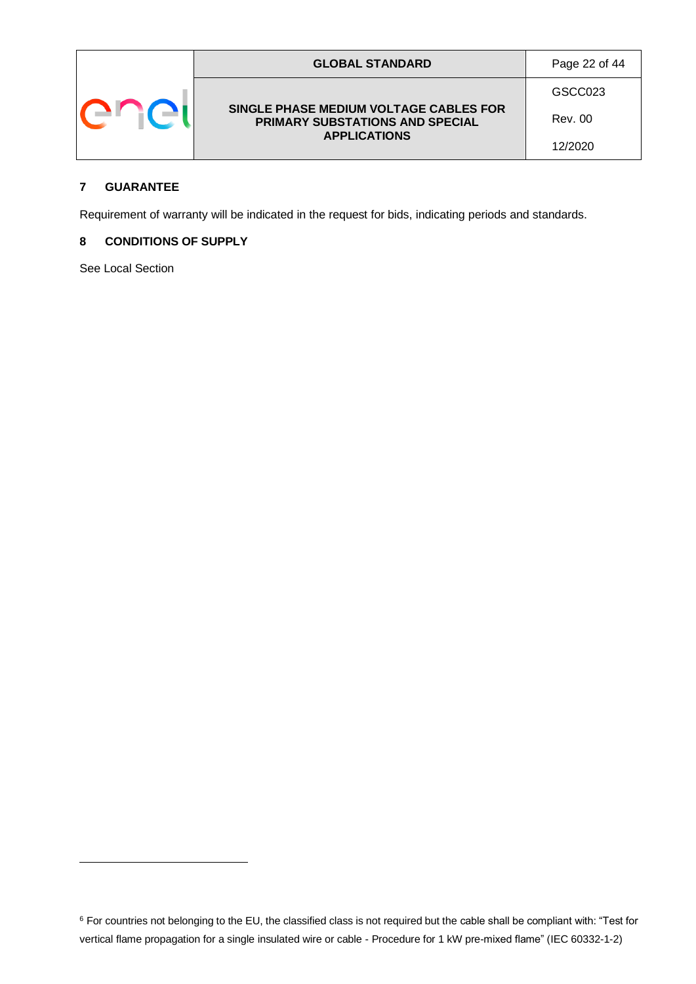|  | <b>GLOBAL STANDARD</b>                                                                           | Page 22 of 44 |
|--|--------------------------------------------------------------------------------------------------|---------------|
|  |                                                                                                  | GSCC023       |
|  | SINGLE PHASE MEDIUM VOLTAGE CABLES FOR<br>PRIMARY SUBSTATIONS AND SPECIAL<br><b>APPLICATIONS</b> | Rev. 00       |
|  |                                                                                                  | 12/2020       |

### <span id="page-21-0"></span>**7 GUARANTEE**

Requirement of warranty will be indicated in the request for bids, indicating periods and standards.

#### <span id="page-21-1"></span>**8 CONDITIONS OF SUPPLY**

See Local Section

<sup>&</sup>lt;sup>6</sup> For countries not belonging to the EU, the classified class is not required but the cable shall be compliant with: "Test for vertical flame propagation for a single insulated wire or cable - Procedure for 1 kW pre-mixed flame" (IEC 60332-1-2)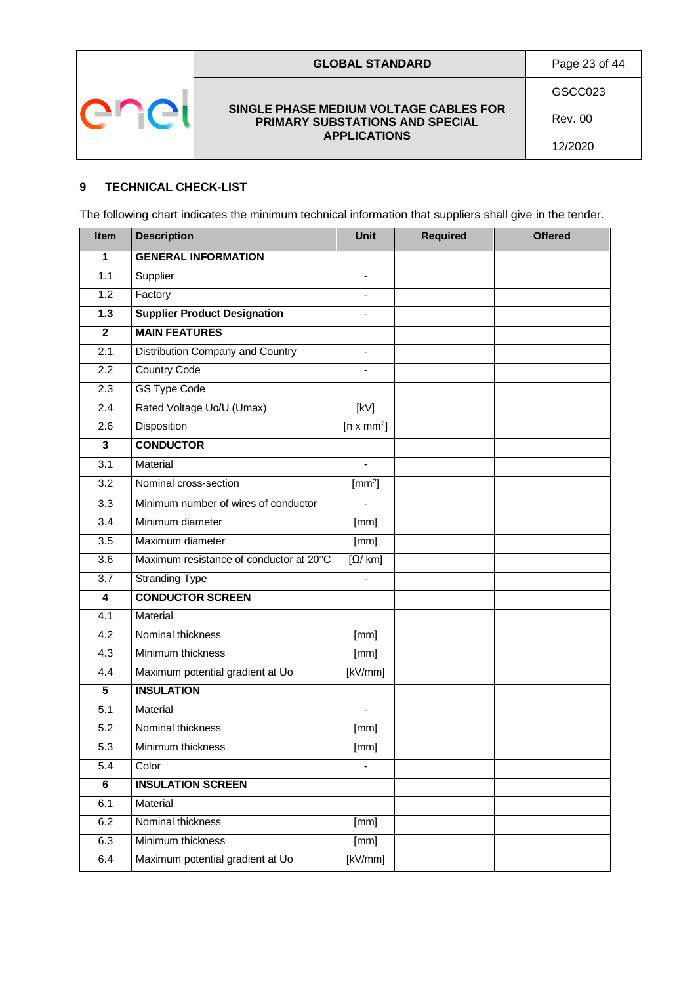

### **GLOBAL STANDARD** Page 23 of 44

GSCC023

Rev. 00 12/2020

### <span id="page-22-0"></span>**9 TECHNICAL CHECK-LIST**

The following chart indicates the minimum technical information that suppliers shall give in the tender.

| Item                    | <b>Description</b>                      | <b>Unit</b>                  | <b>Required</b> | <b>Offered</b> |
|-------------------------|-----------------------------------------|------------------------------|-----------------|----------------|
| 1                       | <b>GENERAL INFORMATION</b>              |                              |                 |                |
| 1.1                     | Supplier                                | $\overline{\phantom{a}}$     |                 |                |
| 1.2                     | Factory                                 |                              |                 |                |
| 1.3                     | <b>Supplier Product Designation</b>     | $\qquad \qquad \blacksquare$ |                 |                |
| $\mathbf{2}$            | <b>MAIN FEATURES</b>                    |                              |                 |                |
| 2.1                     | Distribution Company and Country        | $\overline{\phantom{a}}$     |                 |                |
| 2.2                     | <b>Country Code</b>                     | $\blacksquare$               |                 |                |
| 2.3                     | <b>GS Type Code</b>                     |                              |                 |                |
| 2.4                     | Rated Voltage Uo/U (Umax)               | [kV]                         |                 |                |
| 2.6                     | <b>Disposition</b>                      | $[n \times mm^2]$            |                 |                |
| 3                       | <b>CONDUCTOR</b>                        |                              |                 |                |
| 3.1                     | Material                                | $\overline{a}$               |                 |                |
| 3.2                     | Nominal cross-section                   | [mm <sup>2</sup> ]           |                 |                |
| 3.3                     | Minimum number of wires of conductor    |                              |                 |                |
| 3.4                     | Minimum diameter                        | [mm]                         |                 |                |
| 3.5                     | Maximum diameter                        | [mm]                         |                 |                |
| 3.6                     | Maximum resistance of conductor at 20°C | [Ω/ km]                      |                 |                |
| 3.7                     | <b>Stranding Type</b>                   |                              |                 |                |
| 4                       | <b>CONDUCTOR SCREEN</b>                 |                              |                 |                |
| 4.1                     | Material                                |                              |                 |                |
| 4.2                     | Nominal thickness                       | [mm]                         |                 |                |
| 4.3                     | Minimum thickness                       | [mm]                         |                 |                |
| 4.4                     | Maximum potential gradient at Uo        | [kV/mm]                      |                 |                |
| $\overline{5}$          | <b>INSULATION</b>                       |                              |                 |                |
| 5.1                     | Material                                |                              |                 |                |
| 5.2                     | Nominal thickness                       | [mm]                         |                 |                |
| 5.3                     | Minimum thickness                       | [mm]                         |                 |                |
| 5.4                     | Color                                   |                              |                 |                |
| $\overline{\mathbf{6}}$ | <b>INSULATION SCREEN</b>                |                              |                 |                |
| 6.1                     | Material                                |                              |                 |                |
| 6.2                     | Nominal thickness                       | [mm]                         |                 |                |
| 6.3                     | Minimum thickness                       | [mm]                         |                 |                |
| 6.4                     | Maximum potential gradient at Uo        | [kV/mm]                      |                 |                |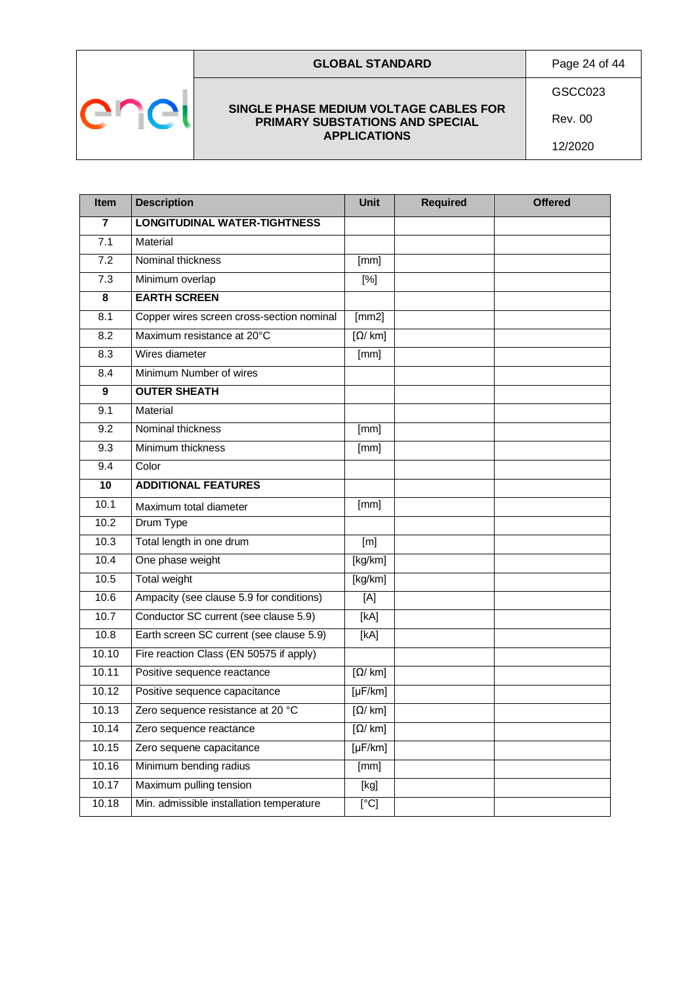

### **GLOBAL STANDARD** Page 24 of 44

#### **SINGLE PHASE MEDIUM VOLTAGE CABLES FOR PRIMARY SUBSTATIONS AND SPECIAL APPLICATIONS**

GSCC023

12/2020

Rev. 00

| Item            | <b>Description</b>                        | <b>Unit</b>                       | <b>Required</b> | <b>Offered</b> |
|-----------------|-------------------------------------------|-----------------------------------|-----------------|----------------|
| 7               | <b>LONGITUDINAL WATER-TIGHTNESS</b>       |                                   |                 |                |
| 7.1             | Material                                  |                                   |                 |                |
| 7.2             | Nominal thickness                         | [mm]                              |                 |                |
| 7.3             | Minimum overlap                           | $[\%]$                            |                 |                |
| 8               | <b>EARTH SCREEN</b>                       |                                   |                 |                |
| 8.1             | Copper wires screen cross-section nominal | [mm2]                             |                 |                |
| 8.2             | Maximum resistance at 20°C                | $[\Omega / km]$                   |                 |                |
| 8.3             | Wires diameter                            | [mm]                              |                 |                |
| 8.4             | Minimum Number of wires                   |                                   |                 |                |
| 9               | <b>OUTER SHEATH</b>                       |                                   |                 |                |
| 9.1             | Material                                  |                                   |                 |                |
| 9.2             | Nominal thickness                         | [mm]                              |                 |                |
| 9.3             | Minimum thickness                         | [mm]                              |                 |                |
| 9.4             | Color                                     |                                   |                 |                |
| $\overline{10}$ | <b>ADDITIONAL FEATURES</b>                |                                   |                 |                |
| 10.1            | Maximum total diameter                    | [mm]                              |                 |                |
| 10.2            | Drum Type                                 |                                   |                 |                |
| 10.3            | Total length in one drum                  | [m]                               |                 |                |
| 10.4            | One phase weight                          | [kg/km]                           |                 |                |
| 10.5            | Total weight                              | [kg/km]                           |                 |                |
| 10.6            | Ampacity (see clause 5.9 for conditions)  | [A]                               |                 |                |
| 10.7            | Conductor SC current (see clause 5.9)     | [KA]                              |                 |                |
| 10.8            | Earth screen SC current (see clause 5.9)  | [KA]                              |                 |                |
| 10.10           | Fire reaction Class (EN 50575 if apply)   |                                   |                 |                |
| 10.11           | Positive sequence reactance               | $[\Omega / km]$                   |                 |                |
| 10.12           | Positive sequence capacitance             | $[\mu$ F/km]                      |                 |                |
| 10.13           | Zero sequence resistance at 20 °C         | $\sqrt{\Omega/\mathrm{km}}$       |                 |                |
| 10.14           | Zero sequence reactance                   | $\overline{[\Omega/\mathrm{km}]}$ |                 |                |
| 10.15           | Zero sequene capacitance                  | $[\mu$ F/km]                      |                 |                |
| 10.16           | Minimum bending radius                    | [mm]                              |                 |                |
| 10.17           | Maximum pulling tension                   | [kg]                              |                 |                |
| 10.18           | Min. admissible installation temperature  | [C]                               |                 |                |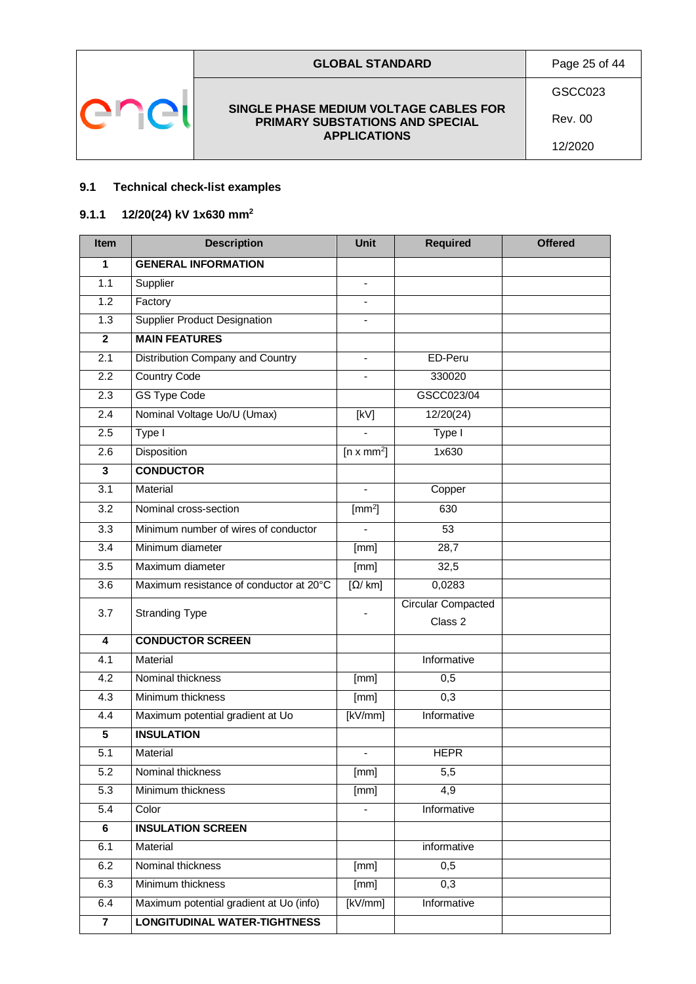

### <span id="page-24-0"></span>**9.1 Technical check-list examples**

### <span id="page-24-1"></span>**9.1.1 12/20(24) kV 1x630 mm<sup>2</sup>**

| <b>Item</b>             | <b>Description</b>                      | <b>Unit</b>                       | <b>Required</b>           | <b>Offered</b> |
|-------------------------|-----------------------------------------|-----------------------------------|---------------------------|----------------|
| 1                       | <b>GENERAL INFORMATION</b>              |                                   |                           |                |
| 1.1                     | Supplier                                | $\blacksquare$                    |                           |                |
| 1.2                     | Factory                                 | $\blacksquare$                    |                           |                |
| 1.3                     | <b>Supplier Product Designation</b>     |                                   |                           |                |
| $\mathbf{2}$            | <b>MAIN FEATURES</b>                    |                                   |                           |                |
| $\overline{2.1}$        | Distribution Company and Country        | $\frac{1}{2}$                     | ED-Peru                   |                |
| 2.2                     | <b>Country Code</b>                     |                                   | 330020                    |                |
| $\overline{2.3}$        | <b>GS Type Code</b>                     |                                   | GSCC023/04                |                |
| 2.4                     | Nominal Voltage Uo/U (Umax)             | [kV]                              | 12/20(24)                 |                |
| 2.5                     | Type I                                  |                                   | Type I                    |                |
| 2.6                     | Disposition                             | $[n \times mm^2]$                 | 1x630                     |                |
| 3                       | <b>CONDUCTOR</b>                        |                                   |                           |                |
| $\overline{3.1}$        | Material                                |                                   | Copper                    |                |
| 3.2                     | Nominal cross-section                   | $\text{[mm}^2\text{]}$            | 630                       |                |
| $\overline{3.3}$        | Minimum number of wires of conductor    |                                   | 53                        |                |
| 3.4                     | Minimum diameter                        | [mm]                              | 28,7                      |                |
| 3.5                     | Maximum diameter                        | [mm]                              | 32,5                      |                |
| 3.6                     | Maximum resistance of conductor at 20°C | $\overline{[\Omega/\mathrm{km}]}$ | 0,0283                    |                |
| 3.7                     | <b>Stranding Type</b>                   |                                   | <b>Circular Compacted</b> |                |
|                         |                                         |                                   | Class 2                   |                |
| $\overline{\mathbf{4}}$ | <b>CONDUCTOR SCREEN</b>                 |                                   |                           |                |
| 4.1                     | Material                                |                                   | Informative               |                |
| 4.2                     | Nominal thickness                       | [mm]                              | 0,5                       |                |
| 4.3                     | Minimum thickness                       | [mm]                              | 0,3                       |                |
| 4.4                     | Maximum potential gradient at Uo        | [kV/mm]                           | Informative               |                |
| $\overline{\mathbf{5}}$ | <b>INSULATION</b>                       |                                   |                           |                |
| 5.1                     | Material                                |                                   | <b>HEPR</b>               |                |
| 5.2                     | Nominal thickness                       | [mm]                              | 5,5                       |                |
| $\overline{5.3}$        | Minimum thickness                       | [mm]                              | 4,9                       |                |
| $\overline{5.4}$        | Color                                   | $\blacksquare$                    | Informative               |                |
| 6                       | <b>INSULATION SCREEN</b>                |                                   |                           |                |
| 6.1                     | Material                                |                                   | informative               |                |
| 6.2                     | Nominal thickness                       | [mm]                              | $\overline{0,5}$          |                |
| 6.3                     | Minimum thickness                       | [mm]                              | 0,3                       |                |
| 6.4                     | Maximum potential gradient at Uo (info) | [kV/mm]                           | Informative               |                |
| $\overline{7}$          | <b>LONGITUDINAL WATER-TIGHTNESS</b>     |                                   |                           |                |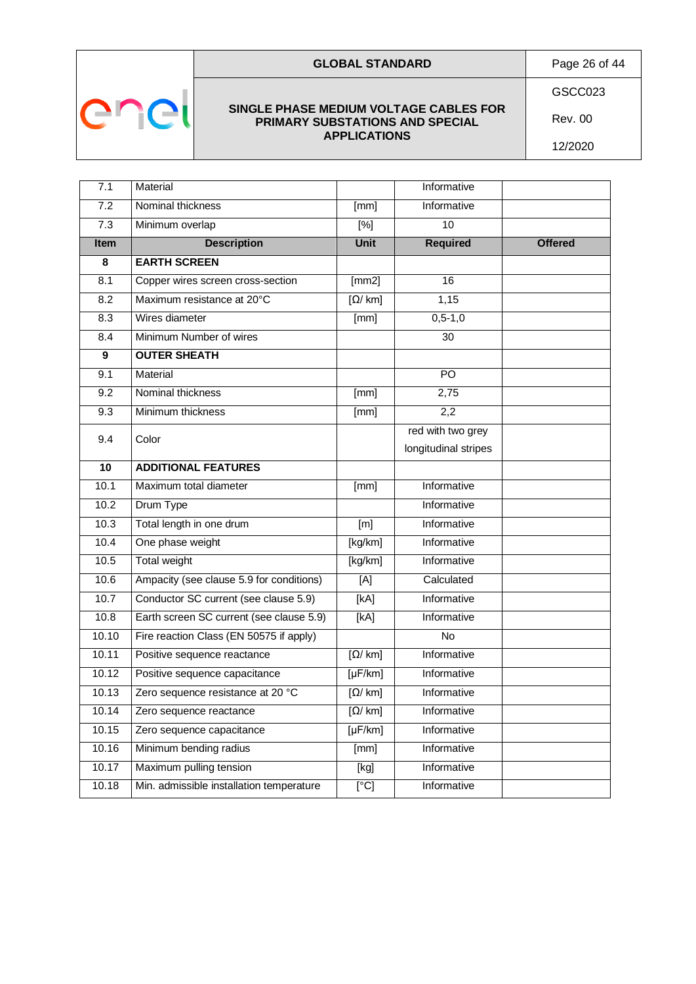



#### **SINGLE PHASE MEDIUM VOLTAGE CABLES FOR PRIMARY SUBSTATIONS AND SPECIAL APPLICATIONS**

Rev. 00 12/2020

| 7.1              | Material                                 |                                     | Informative          |                |
|------------------|------------------------------------------|-------------------------------------|----------------------|----------------|
| 7.2              | Nominal thickness                        | [mm]                                | <b>Informative</b>   |                |
| $\overline{7.3}$ | Minimum overlap                          | $\sqrt{8}$                          | $\overline{10}$      |                |
| Item             | <b>Description</b>                       | <b>Unit</b>                         | <b>Required</b>      | <b>Offered</b> |
| 8                | <b>EARTH SCREEN</b>                      |                                     |                      |                |
| 8.1              | Copper wires screen cross-section        | [mm2]                               | 16                   |                |
| 8.2              | Maximum resistance at 20°C               | $\sqrt{Q/\text{km}}$                | 1,15                 |                |
| 8.3              | Wires diameter                           | [mm]                                | $0, 5 - 1, 0$        |                |
| 8.4              | Minimum Number of wires                  |                                     | 30                   |                |
| 9                | <b>OUTER SHEATH</b>                      |                                     |                      |                |
| 9.1              | Material                                 |                                     | $\overline{PQ}$      |                |
| 9.2              | Nominal thickness                        | [mm]                                | 2,75                 |                |
| 9.3              | Minimum thickness                        | [mm]                                | 2,2                  |                |
| 9.4              | Color                                    |                                     | red with two grey    |                |
|                  |                                          |                                     | longitudinal stripes |                |
| 10               | <b>ADDITIONAL FEATURES</b>               |                                     |                      |                |
| 10.1             | Maximum total diameter                   | [mm]                                | Informative          |                |
| 10.2             | Drum Type                                |                                     | Informative          |                |
| 10.3             | Total length in one drum                 | [m]                                 | Informative          |                |
| 10.4             | One phase weight                         | [kg/km]                             | Informative          |                |
| 10.5             | <b>Total weight</b>                      | [kg/km]                             | Informative          |                |
| 10.6             | Ampacity (see clause 5.9 for conditions) | [A]                                 | Calculated           |                |
| 10.7             | Conductor SC current (see clause 5.9)    | [kA]                                | Informative          |                |
| 10.8             | Earth screen SC current (see clause 5.9) | [kA]                                | Informative          |                |
| 10.10            | Fire reaction Class (EN 50575 if apply)  |                                     | $\overline{N}$       |                |
| 10.11            | Positive sequence reactance              | $\lceil \Omega / \text{ km} \rceil$ | Informative          |                |
| 10.12            | Positive sequence capacitance            | $[\mu$ F/km]                        | Informative          |                |
| 10.13            | Zero sequence resistance at 20 °C        | $\lceil \Omega / \text{ km} \rceil$ | Informative          |                |
| 10.14            | Zero sequence reactance                  | $\lceil \Omega / \text{ km} \rceil$ | Informative          |                |
| 10.15            | Zero sequence capacitance                | $[\mu$ F/km]                        | Informative          |                |
| 10.16            | Minimum bending radius                   | [mm]                                | Informative          |                |
| 10.17            | Maximum pulling tension                  | [kg]                                | Informative          |                |
| 10.18            | Min. admissible installation temperature | $\overline{[°C]}$                   | Informative          |                |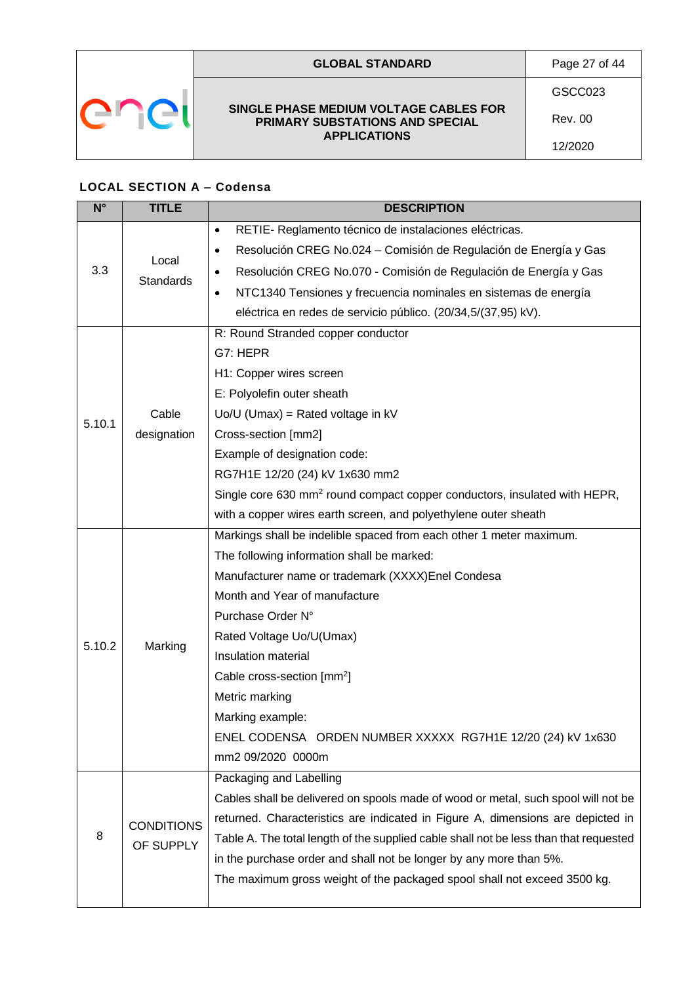

### **GLOBAL STANDARD** Page 27 of 44

**SINGLE PHASE MEDIUM VOLTAGE CABLES FOR PRIMARY SUBSTATIONS AND SPECIAL APPLICATIONS**

GSCC023

Rev. 00 12/2020

### <span id="page-26-0"></span>**LOCAL SECTION A – Codensa**

| $N^{\circ}$ | <b>TITLE</b>      | <b>DESCRIPTION</b>                                                                    |
|-------------|-------------------|---------------------------------------------------------------------------------------|
|             | Local             | RETIE- Reglamento técnico de instalaciones eléctricas.<br>$\bullet$                   |
|             |                   | Resolución CREG No.024 – Comisión de Regulación de Energía y Gas<br>٠                 |
| 3.3         | <b>Standards</b>  | Resolución CREG No.070 - Comisión de Regulación de Energía y Gas<br>٠                 |
|             |                   | NTC1340 Tensiones y frecuencia nominales en sistemas de energía<br>٠                  |
|             |                   | eléctrica en redes de servicio público. (20/34,5/(37,95) kV).                         |
|             |                   | R: Round Stranded copper conductor                                                    |
|             |                   | G7: HEPR                                                                              |
|             |                   | H1: Copper wires screen                                                               |
|             |                   | E: Polyolefin outer sheath                                                            |
| 5.10.1      | Cable             | $Uo/U$ (Umax) = Rated voltage in kV                                                   |
|             | designation       | Cross-section [mm2]                                                                   |
|             |                   | Example of designation code:                                                          |
|             |                   | RG7H1E 12/20 (24) kV 1x630 mm2                                                        |
|             |                   | Single core 630 mm <sup>2</sup> round compact copper conductors, insulated with HEPR, |
|             |                   | with a copper wires earth screen, and polyethylene outer sheath                       |
|             | Marking           | Markings shall be indelible spaced from each other 1 meter maximum.                   |
|             |                   | The following information shall be marked:                                            |
|             |                   | Manufacturer name or trademark (XXXX)Enel Condesa                                     |
|             |                   | Month and Year of manufacture                                                         |
|             |                   | Purchase Order N°                                                                     |
| 5.10.2      |                   | Rated Voltage Uo/U(Umax)                                                              |
|             |                   | Insulation material                                                                   |
|             |                   | Cable cross-section [mm <sup>2</sup> ]                                                |
|             |                   | Metric marking                                                                        |
|             |                   | Marking example:                                                                      |
|             |                   | ENEL CODENSA ORDEN NUMBER XXXXX RG7H1E 12/20 (24) kV 1x630                            |
|             |                   | mm2 09/2020 0000m                                                                     |
|             |                   | Packaging and Labelling                                                               |
|             |                   | Cables shall be delivered on spools made of wood or metal, such spool will not be     |
|             | <b>CONDITIONS</b> | returned. Characteristics are indicated in Figure A, dimensions are depicted in       |
| 8           | OF SUPPLY         | Table A. The total length of the supplied cable shall not be less than that requested |
|             |                   | in the purchase order and shall not be longer by any more than 5%.                    |
|             |                   | The maximum gross weight of the packaged spool shall not exceed 3500 kg.              |
|             |                   |                                                                                       |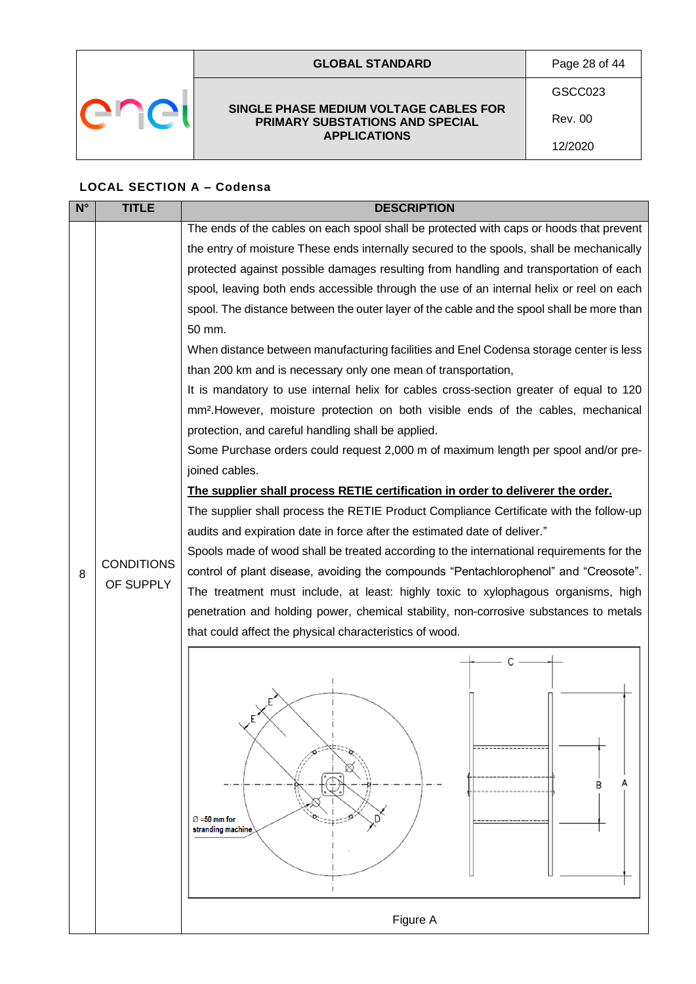|  | <b>GLOBAL STANDARD</b>                                                                           | Page 28 of 44 |
|--|--------------------------------------------------------------------------------------------------|---------------|
|  |                                                                                                  | GSCC023       |
|  | SINGLE PHASE MEDIUM VOLTAGE CABLES FOR<br>PRIMARY SUBSTATIONS AND SPECIAL<br><b>APPLICATIONS</b> | Rev. 00       |
|  |                                                                                                  | 12/2020       |

## **LOCAL SECTION A – Codensa**

| $N^{\circ}$ | <b>TITLE</b>      | <b>DESCRIPTION</b>                                                                            |  |  |  |  |  |  |
|-------------|-------------------|-----------------------------------------------------------------------------------------------|--|--|--|--|--|--|
|             |                   | The ends of the cables on each spool shall be protected with caps or hoods that prevent       |  |  |  |  |  |  |
|             |                   | the entry of moisture These ends internally secured to the spools, shall be mechanically      |  |  |  |  |  |  |
|             |                   | protected against possible damages resulting from handling and transportation of each         |  |  |  |  |  |  |
|             |                   | spool, leaving both ends accessible through the use of an internal helix or reel on each      |  |  |  |  |  |  |
|             |                   | spool. The distance between the outer layer of the cable and the spool shall be more than     |  |  |  |  |  |  |
|             |                   | 50 mm.                                                                                        |  |  |  |  |  |  |
|             |                   | When distance between manufacturing facilities and Enel Codensa storage center is less        |  |  |  |  |  |  |
|             |                   | than 200 km and is necessary only one mean of transportation,                                 |  |  |  |  |  |  |
|             |                   | It is mandatory to use internal helix for cables cross-section greater of equal to 120        |  |  |  |  |  |  |
|             |                   | mm <sup>2</sup> . However, moisture protection on both visible ends of the cables, mechanical |  |  |  |  |  |  |
|             |                   | protection, and careful handling shall be applied.                                            |  |  |  |  |  |  |
|             |                   | Some Purchase orders could request 2,000 m of maximum length per spool and/or pre-            |  |  |  |  |  |  |
|             |                   | joined cables.                                                                                |  |  |  |  |  |  |
|             |                   | The supplier shall process RETIE certification in order to deliverer the order.               |  |  |  |  |  |  |
|             |                   | The supplier shall process the RETIE Product Compliance Certificate with the follow-up        |  |  |  |  |  |  |
|             |                   | audits and expiration date in force after the estimated date of deliver."                     |  |  |  |  |  |  |
|             | <b>CONDITIONS</b> | Spools made of wood shall be treated according to the international requirements for the      |  |  |  |  |  |  |
| 8           |                   | control of plant disease, avoiding the compounds "Pentachlorophenol" and "Creosote".          |  |  |  |  |  |  |
|             | OF SUPPLY         | The treatment must include, at least: highly toxic to xylophagous organisms, high             |  |  |  |  |  |  |
|             |                   | penetration and holding power, chemical stability, non-corrosive substances to metals         |  |  |  |  |  |  |
|             |                   | that could affect the physical characteristics of wood.                                       |  |  |  |  |  |  |
|             |                   | C                                                                                             |  |  |  |  |  |  |
|             |                   |                                                                                               |  |  |  |  |  |  |
|             |                   |                                                                                               |  |  |  |  |  |  |
|             |                   |                                                                                               |  |  |  |  |  |  |
|             |                   |                                                                                               |  |  |  |  |  |  |
|             |                   |                                                                                               |  |  |  |  |  |  |
|             |                   |                                                                                               |  |  |  |  |  |  |
|             |                   |                                                                                               |  |  |  |  |  |  |
|             |                   | $\varnothing$ =50 mm for                                                                      |  |  |  |  |  |  |
|             |                   | stranding machine                                                                             |  |  |  |  |  |  |
|             |                   |                                                                                               |  |  |  |  |  |  |
|             |                   |                                                                                               |  |  |  |  |  |  |
|             |                   |                                                                                               |  |  |  |  |  |  |
|             |                   | Figure A                                                                                      |  |  |  |  |  |  |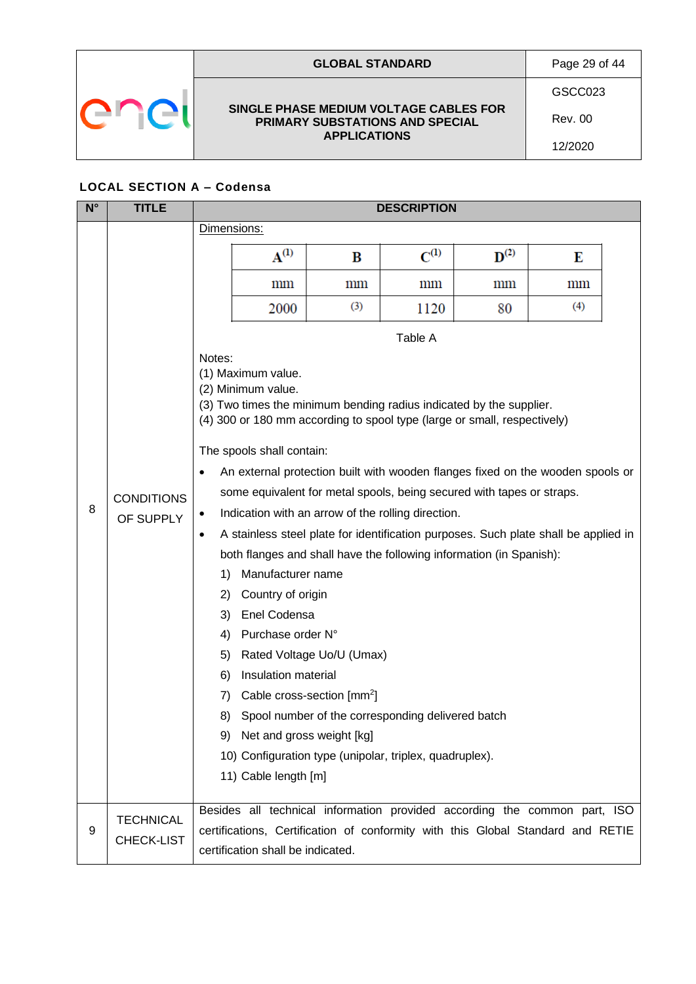| <b>GLOBAL STANDARD</b>                                                           | Page 29 of 44 |
|----------------------------------------------------------------------------------|---------------|
|                                                                                  | GSCC023       |
| SINGLE PHASE MEDIUM VOLTAGE CABLES FOR<br><b>PRIMARY SUBSTATIONS AND SPECIAL</b> | Rev. 00       |
| <b>APPLICATIONS</b>                                                              | 12/2020       |

# **LOCAL SECTION A – Codensa**

| $N^{\circ}$ | <b>TITLE</b>                   | <b>DESCRIPTION</b>                                                              |                                                                                                                                                                             |                                                                     |                                                                                                                                                                                                                                                                                                                                                                                                                                                                                                                                |                    |                 |  |  |  |
|-------------|--------------------------------|---------------------------------------------------------------------------------|-----------------------------------------------------------------------------------------------------------------------------------------------------------------------------|---------------------------------------------------------------------|--------------------------------------------------------------------------------------------------------------------------------------------------------------------------------------------------------------------------------------------------------------------------------------------------------------------------------------------------------------------------------------------------------------------------------------------------------------------------------------------------------------------------------|--------------------|-----------------|--|--|--|
|             |                                |                                                                                 | Dimensions:                                                                                                                                                                 |                                                                     |                                                                                                                                                                                                                                                                                                                                                                                                                                                                                                                                |                    |                 |  |  |  |
|             |                                |                                                                                 | $\mathbf{A}^{(1)}$                                                                                                                                                          | B                                                                   | $C^{(1)}$                                                                                                                                                                                                                                                                                                                                                                                                                                                                                                                      | $\mathbf{D}^{(2)}$ | Е               |  |  |  |
|             |                                |                                                                                 | $\text{mm}$                                                                                                                                                                 | mm                                                                  | mm                                                                                                                                                                                                                                                                                                                                                                                                                                                                                                                             | mm                 | $\,\mathrm{mm}$ |  |  |  |
|             |                                |                                                                                 | 2000                                                                                                                                                                        | (3)                                                                 | 1120                                                                                                                                                                                                                                                                                                                                                                                                                                                                                                                           | 80                 | (4)             |  |  |  |
|             |                                |                                                                                 |                                                                                                                                                                             |                                                                     | Table A                                                                                                                                                                                                                                                                                                                                                                                                                                                                                                                        |                    |                 |  |  |  |
| 8           | <b>CONDITIONS</b><br>OF SUPPLY | Notes:<br>$\bullet$<br>٠<br>$\bullet$<br>1)<br>2)<br>3)<br>4)<br>5)<br>6)<br>7) | (1) Maximum value.<br>(2) Minimum value.<br>The spools shall contain:<br>Manufacturer name<br>Country of origin<br>Enel Codensa<br>Purchase order N°<br>Insulation material | Rated Voltage Uo/U (Umax)<br>Cable cross-section [mm <sup>2</sup> ] | (3) Two times the minimum bending radius indicated by the supplier.<br>(4) 300 or 180 mm according to spool type (large or small, respectively)<br>An external protection built with wooden flanges fixed on the wooden spools or<br>some equivalent for metal spools, being secured with tapes or straps.<br>Indication with an arrow of the rolling direction.<br>A stainless steel plate for identification purposes. Such plate shall be applied in<br>both flanges and shall have the following information (in Spanish): |                    |                 |  |  |  |
|             |                                | 8)                                                                              |                                                                                                                                                                             |                                                                     | Spool number of the corresponding delivered batch                                                                                                                                                                                                                                                                                                                                                                                                                                                                              |                    |                 |  |  |  |
|             |                                |                                                                                 | 9) Net and gross weight [kg]                                                                                                                                                |                                                                     |                                                                                                                                                                                                                                                                                                                                                                                                                                                                                                                                |                    |                 |  |  |  |
|             |                                |                                                                                 |                                                                                                                                                                             |                                                                     | 10) Configuration type (unipolar, triplex, quadruplex).                                                                                                                                                                                                                                                                                                                                                                                                                                                                        |                    |                 |  |  |  |
|             |                                |                                                                                 | 11) Cable length [m]                                                                                                                                                        |                                                                     |                                                                                                                                                                                                                                                                                                                                                                                                                                                                                                                                |                    |                 |  |  |  |
| 9           | <b>TECHNICAL</b><br>CHECK-LIST |                                                                                 | certification shall be indicated.                                                                                                                                           |                                                                     | Besides all technical information provided according the common part, ISO<br>certifications, Certification of conformity with this Global Standard and RETIE                                                                                                                                                                                                                                                                                                                                                                   |                    |                 |  |  |  |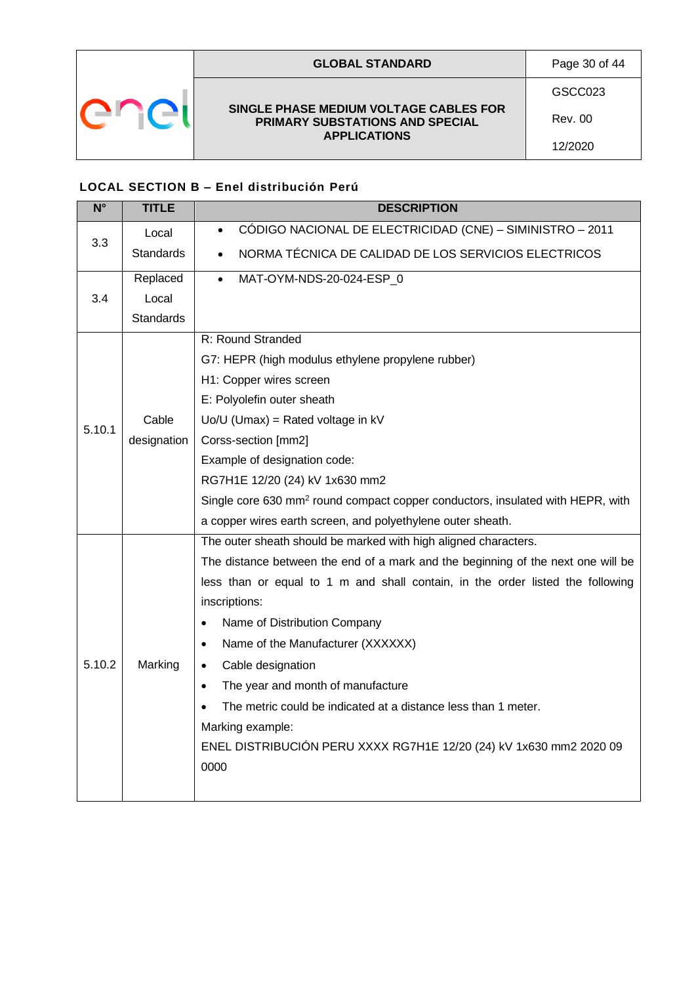| <b>GLOBAL STANDARD</b>                                                    | Page 30 of 44  |
|---------------------------------------------------------------------------|----------------|
|                                                                           | GSCC023        |
| SINGLE PHASE MEDIUM VOLTAGE CABLES FOR<br>PRIMARY SUBSTATIONS AND SPECIAL | <b>Rev. 00</b> |
| <b>APPLICATIONS</b>                                                       | 12/2020        |

## <span id="page-29-0"></span>**LOCAL SECTION B – Enel distribución Perú**

| $\overline{\mathsf{N}^{\circ}}$ | <b>TITLE</b>     | <b>DESCRIPTION</b>                                                                         |  |  |  |  |  |  |
|---------------------------------|------------------|--------------------------------------------------------------------------------------------|--|--|--|--|--|--|
|                                 | Local            | CÓDIGO NACIONAL DE ELECTRICIDAD (CNE) - SIMINISTRO - 2011<br>$\bullet$                     |  |  |  |  |  |  |
| 3.3                             | <b>Standards</b> | NORMA TÉCNICA DE CALIDAD DE LOS SERVICIOS ELECTRICOS                                       |  |  |  |  |  |  |
|                                 | Replaced         | MAT-OYM-NDS-20-024-ESP_0<br>$\bullet$                                                      |  |  |  |  |  |  |
| 3.4                             | Local            |                                                                                            |  |  |  |  |  |  |
|                                 | <b>Standards</b> |                                                                                            |  |  |  |  |  |  |
|                                 |                  | R: Round Stranded                                                                          |  |  |  |  |  |  |
|                                 |                  | G7: HEPR (high modulus ethylene propylene rubber)                                          |  |  |  |  |  |  |
|                                 |                  | H1: Copper wires screen                                                                    |  |  |  |  |  |  |
|                                 |                  | E: Polyolefin outer sheath                                                                 |  |  |  |  |  |  |
| 5.10.1                          | Cable            | $Uo/U$ (Umax) = Rated voltage in $kV$                                                      |  |  |  |  |  |  |
|                                 | designation      | Corss-section [mm2]                                                                        |  |  |  |  |  |  |
|                                 |                  | Example of designation code:                                                               |  |  |  |  |  |  |
|                                 |                  | RG7H1E 12/20 (24) kV 1x630 mm2                                                             |  |  |  |  |  |  |
|                                 |                  | Single core 630 mm <sup>2</sup> round compact copper conductors, insulated with HEPR, with |  |  |  |  |  |  |
|                                 |                  | a copper wires earth screen, and polyethylene outer sheath.                                |  |  |  |  |  |  |
|                                 |                  | The outer sheath should be marked with high aligned characters.                            |  |  |  |  |  |  |
|                                 |                  | The distance between the end of a mark and the beginning of the next one will be           |  |  |  |  |  |  |
|                                 |                  | less than or equal to 1 m and shall contain, in the order listed the following             |  |  |  |  |  |  |
|                                 |                  | inscriptions:                                                                              |  |  |  |  |  |  |
|                                 |                  | Name of Distribution Company<br>$\bullet$                                                  |  |  |  |  |  |  |
|                                 |                  | Name of the Manufacturer (XXXXXX)<br>$\bullet$                                             |  |  |  |  |  |  |
| 5.10.2                          | Marking          | Cable designation<br>$\bullet$                                                             |  |  |  |  |  |  |
|                                 |                  | The year and month of manufacture<br>$\bullet$                                             |  |  |  |  |  |  |
|                                 |                  | The metric could be indicated at a distance less than 1 meter.                             |  |  |  |  |  |  |
|                                 |                  | Marking example:                                                                           |  |  |  |  |  |  |
|                                 |                  | ENEL DISTRIBUCIÓN PERU XXXX RG7H1E 12/20 (24) kV 1x630 mm2 2020 09                         |  |  |  |  |  |  |
|                                 |                  | 0000                                                                                       |  |  |  |  |  |  |
|                                 |                  |                                                                                            |  |  |  |  |  |  |
|                                 |                  |                                                                                            |  |  |  |  |  |  |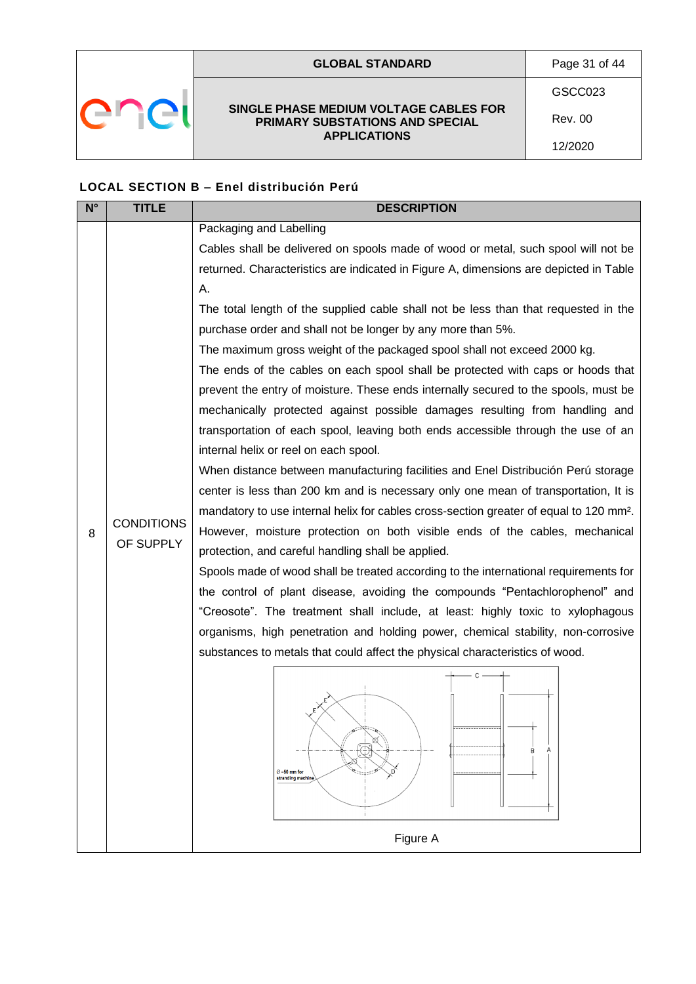| <b>GLOBAL STANDARD</b>                                                    | Page 31 of 44 |
|---------------------------------------------------------------------------|---------------|
|                                                                           | GSCC023       |
| SINGLE PHASE MEDIUM VOLTAGE CABLES FOR<br>PRIMARY SUBSTATIONS AND SPECIAL | Rev. 00       |
| <b>APPLICATIONS</b>                                                       | 12/2020       |

## **LOCAL SECTION B – Enel distribución Perú**

| $N^{\circ}$ | <b>TITLE</b>                   | <b>DESCRIPTION</b>                                                                                 |  |  |  |  |  |  |
|-------------|--------------------------------|----------------------------------------------------------------------------------------------------|--|--|--|--|--|--|
|             |                                | Packaging and Labelling                                                                            |  |  |  |  |  |  |
|             |                                | Cables shall be delivered on spools made of wood or metal, such spool will not be                  |  |  |  |  |  |  |
|             |                                | returned. Characteristics are indicated in Figure A, dimensions are depicted in Table              |  |  |  |  |  |  |
|             |                                | Α.                                                                                                 |  |  |  |  |  |  |
|             |                                | The total length of the supplied cable shall not be less than that requested in the                |  |  |  |  |  |  |
|             |                                | purchase order and shall not be longer by any more than 5%.                                        |  |  |  |  |  |  |
|             |                                | The maximum gross weight of the packaged spool shall not exceed 2000 kg.                           |  |  |  |  |  |  |
|             |                                | The ends of the cables on each spool shall be protected with caps or hoods that                    |  |  |  |  |  |  |
|             |                                | prevent the entry of moisture. These ends internally secured to the spools, must be                |  |  |  |  |  |  |
|             |                                | mechanically protected against possible damages resulting from handling and                        |  |  |  |  |  |  |
|             |                                | transportation of each spool, leaving both ends accessible through the use of an                   |  |  |  |  |  |  |
|             |                                | internal helix or reel on each spool.                                                              |  |  |  |  |  |  |
|             |                                | When distance between manufacturing facilities and Enel Distribución Perú storage                  |  |  |  |  |  |  |
|             |                                | center is less than 200 km and is necessary only one mean of transportation, It is                 |  |  |  |  |  |  |
|             |                                | mandatory to use internal helix for cables cross-section greater of equal to 120 mm <sup>2</sup> . |  |  |  |  |  |  |
| 8           | <b>CONDITIONS</b><br>OF SUPPLY | However, moisture protection on both visible ends of the cables, mechanical                        |  |  |  |  |  |  |
|             |                                | protection, and careful handling shall be applied.                                                 |  |  |  |  |  |  |
|             |                                | Spools made of wood shall be treated according to the international requirements for               |  |  |  |  |  |  |
|             |                                | the control of plant disease, avoiding the compounds "Pentachlorophenol" and                       |  |  |  |  |  |  |
|             |                                | "Creosote". The treatment shall include, at least: highly toxic to xylophagous                     |  |  |  |  |  |  |
|             |                                | organisms, high penetration and holding power, chemical stability, non-corrosive                   |  |  |  |  |  |  |
|             |                                | substances to metals that could affect the physical characteristics of wood.                       |  |  |  |  |  |  |
|             |                                | C                                                                                                  |  |  |  |  |  |  |
|             |                                |                                                                                                    |  |  |  |  |  |  |
|             |                                |                                                                                                    |  |  |  |  |  |  |
|             |                                |                                                                                                    |  |  |  |  |  |  |
|             |                                | В                                                                                                  |  |  |  |  |  |  |
|             |                                | $\oslash$ =50 mm for<br>stranding machine                                                          |  |  |  |  |  |  |
|             |                                |                                                                                                    |  |  |  |  |  |  |
|             |                                |                                                                                                    |  |  |  |  |  |  |
|             |                                | Figure A                                                                                           |  |  |  |  |  |  |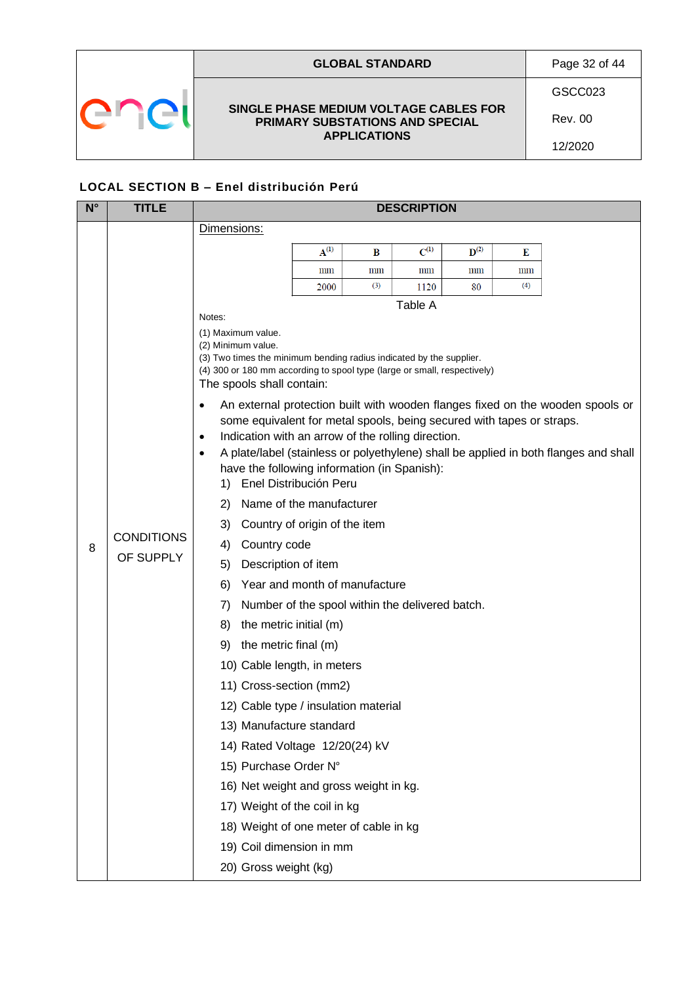| <b>GLOBAL STANDARD</b>                                                    | Page 32 of 44  |
|---------------------------------------------------------------------------|----------------|
|                                                                           | GSCC023        |
| SINGLE PHASE MEDIUM VOLTAGE CABLES FOR<br>PRIMARY SUBSTATIONS AND SPECIAL | <b>Rev. 00</b> |
| <b>APPLICATIONS</b>                                                       | 12/2020        |

## **LOCAL SECTION B – Enel distribución Perú**

| $N^{\circ}$ | <b>TITLE</b>                   | <b>DESCRIPTION</b>                                                                                    |           |     |           |                    |                |                                                                                      |  |
|-------------|--------------------------------|-------------------------------------------------------------------------------------------------------|-----------|-----|-----------|--------------------|----------------|--------------------------------------------------------------------------------------|--|
|             |                                | Dimensions:                                                                                           |           |     |           |                    |                |                                                                                      |  |
|             |                                |                                                                                                       | $A^{(1)}$ | B   | $C^{(1)}$ | $\mathbf{D}^{(2)}$ | Е              |                                                                                      |  |
|             |                                |                                                                                                       | mm        | mm  | mm        | mm                 | $_{\text{mm}}$ |                                                                                      |  |
|             |                                |                                                                                                       | 2000      | (3) | 1120      | 80                 | (4)            |                                                                                      |  |
|             |                                | Notes:                                                                                                |           |     | Table A   |                    |                |                                                                                      |  |
|             |                                | (1) Maximum value.                                                                                    |           |     |           |                    |                |                                                                                      |  |
|             |                                | (2) Minimum value.<br>(3) Two times the minimum bending radius indicated by the supplier.             |           |     |           |                    |                |                                                                                      |  |
|             |                                | (4) 300 or 180 mm according to spool type (large or small, respectively)<br>The spools shall contain: |           |     |           |                    |                |                                                                                      |  |
|             |                                | $\bullet$                                                                                             |           |     |           |                    |                | An external protection built with wooden flanges fixed on the wooden spools or       |  |
|             |                                | some equivalent for metal spools, being secured with tapes or straps.                                 |           |     |           |                    |                |                                                                                      |  |
|             |                                | Indication with an arrow of the rolling direction.<br>$\bullet$                                       |           |     |           |                    |                |                                                                                      |  |
|             |                                | $\bullet$<br>have the following information (in Spanish):                                             |           |     |           |                    |                | A plate/label (stainless or polyethylene) shall be applied in both flanges and shall |  |
|             |                                | 1) Enel Distribución Peru                                                                             |           |     |           |                    |                |                                                                                      |  |
|             |                                | Name of the manufacturer<br>2)                                                                        |           |     |           |                    |                |                                                                                      |  |
|             | <b>CONDITIONS</b><br>OF SUPPLY | 3)<br>Country of origin of the item                                                                   |           |     |           |                    |                |                                                                                      |  |
| 8           |                                | Country code<br>4)                                                                                    |           |     |           |                    |                |                                                                                      |  |
|             |                                | Description of item<br>5)                                                                             |           |     |           |                    |                |                                                                                      |  |
|             |                                | Year and month of manufacture<br>6)                                                                   |           |     |           |                    |                |                                                                                      |  |
|             |                                | 7)<br>Number of the spool within the delivered batch.                                                 |           |     |           |                    |                |                                                                                      |  |
|             |                                | the metric initial (m)<br>8)                                                                          |           |     |           |                    |                |                                                                                      |  |
|             |                                | the metric final (m)<br>9)                                                                            |           |     |           |                    |                |                                                                                      |  |
|             |                                | 10) Cable length, in meters                                                                           |           |     |           |                    |                |                                                                                      |  |
|             |                                | 11) Cross-section (mm2)                                                                               |           |     |           |                    |                |                                                                                      |  |
|             |                                | 12) Cable type / insulation material                                                                  |           |     |           |                    |                |                                                                                      |  |
|             |                                | 13) Manufacture standard                                                                              |           |     |           |                    |                |                                                                                      |  |
|             |                                | 14) Rated Voltage 12/20(24) kV                                                                        |           |     |           |                    |                |                                                                                      |  |
|             |                                | 15) Purchase Order N°                                                                                 |           |     |           |                    |                |                                                                                      |  |
|             |                                | 16) Net weight and gross weight in kg.                                                                |           |     |           |                    |                |                                                                                      |  |
|             |                                | 17) Weight of the coil in kg                                                                          |           |     |           |                    |                |                                                                                      |  |
|             |                                | 18) Weight of one meter of cable in kg                                                                |           |     |           |                    |                |                                                                                      |  |
|             |                                | 19) Coil dimension in mm                                                                              |           |     |           |                    |                |                                                                                      |  |
|             |                                | 20) Gross weight (kg)                                                                                 |           |     |           |                    |                |                                                                                      |  |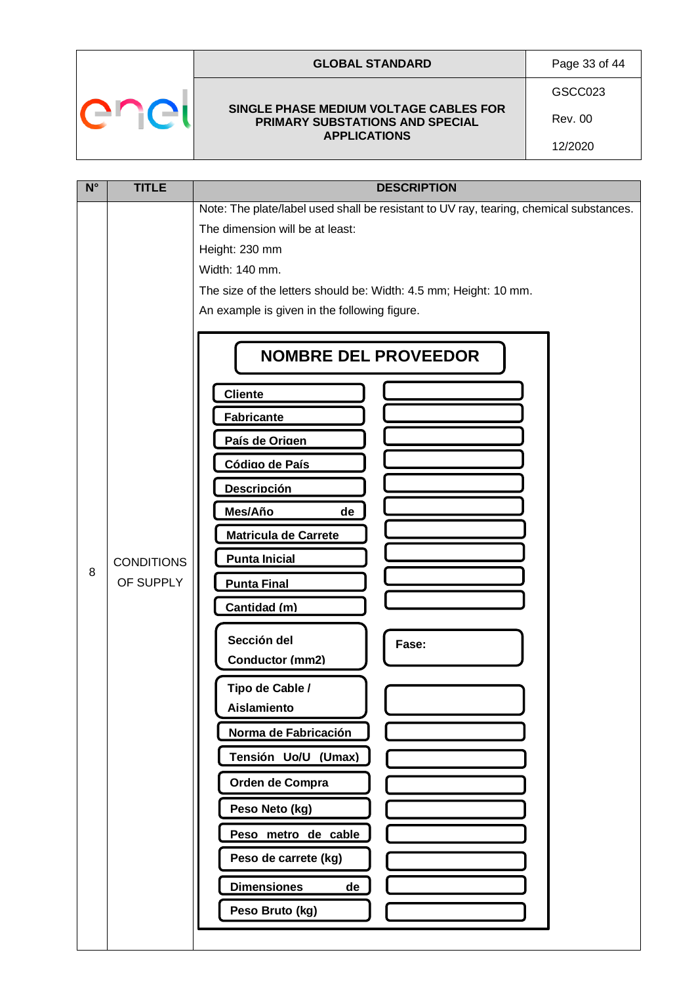| $\cdot$ | $\mathcal{N}$ | - 7<br>ı |
|---------|---------------|----------|
|         |               |          |

 $\sqrt{ }$ 

### **GLOBAL STANDARD** Page 33 of 44

#### **SINGLE PHASE MEDIUM VOLTAGE CABLES FOR PRIMARY SUBSTATIONS AND SPECIAL APPLICATIONS**

GSCC023

12/2020

Rev. 00

| $N^{\circ}$ | <b>TITLE</b>                   | <b>DESCRIPTION</b>                                                                                                                                                                                                                                                                                                                                                                                                                                                                                        |  |  |  |  |
|-------------|--------------------------------|-----------------------------------------------------------------------------------------------------------------------------------------------------------------------------------------------------------------------------------------------------------------------------------------------------------------------------------------------------------------------------------------------------------------------------------------------------------------------------------------------------------|--|--|--|--|
|             |                                | Note: The plate/label used shall be resistant to UV ray, tearing, chemical substances.<br>The dimension will be at least:<br>Height: 230 mm<br>Width: 140 mm.<br>The size of the letters should be: Width: 4.5 mm; Height: 10 mm.<br>An example is given in the following figure.                                                                                                                                                                                                                         |  |  |  |  |
| 8           | <b>CONDITIONS</b><br>OF SUPPLY | <b>NOMBRE DEL PROVEEDOR</b><br><b>Cliente</b><br><b>Fabricante</b><br>País de Origen<br>Código de País<br><b>Descripción</b><br>Mes/Año<br>de<br><b>Matricula de Carrete</b><br><b>Punta Inicial</b><br><b>Punta Final</b><br>Cantidad (m)<br>Sección del<br>Fase:<br>Conductor (mm2)<br>Tipo de Cable /<br>Aislamiento<br>Norma de Fabricación<br>Tensión Uo/U (Umax)<br>Orden de Compra<br>Peso Neto (kg)<br>Peso metro de cable<br>Peso de carrete (kg)<br><b>Dimensiones</b><br>de<br>Peso Bruto (kg) |  |  |  |  |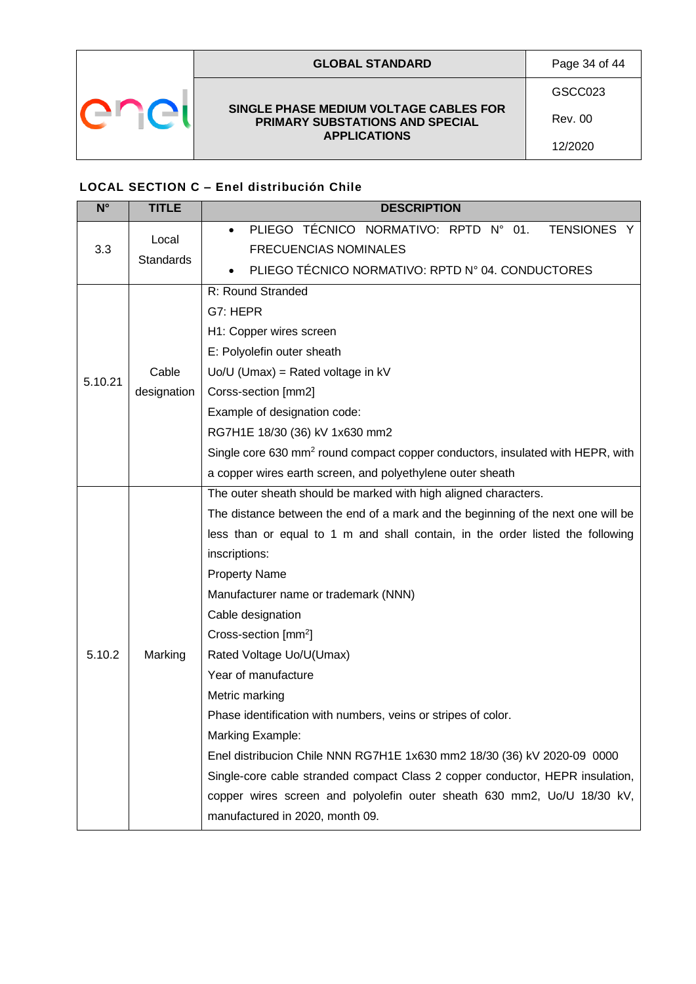|  | <b>GLOBAL STANDARD</b>                                                                           | Page 34 of 44 |
|--|--------------------------------------------------------------------------------------------------|---------------|
|  | SINGLE PHASE MEDIUM VOLTAGE CABLES FOR<br>PRIMARY SUBSTATIONS AND SPECIAL<br><b>APPLICATIONS</b> | GSCC023       |
|  |                                                                                                  | Rev. 00       |
|  |                                                                                                  | 12/2020       |

## <span id="page-33-0"></span>**LOCAL SECTION C – Enel distribución Chile**

| $N^{\circ}$ | <b>TITLE</b>     | <b>DESCRIPTION</b>                                                                         |  |  |  |  |
|-------------|------------------|--------------------------------------------------------------------------------------------|--|--|--|--|
|             | Local            | PLIEGO TÉCNICO NORMATIVO: RPTD N° 01.<br>TENSIONES Y<br>$\bullet$                          |  |  |  |  |
| 3.3         | <b>Standards</b> | <b>FRECUENCIAS NOMINALES</b>                                                               |  |  |  |  |
|             |                  | PLIEGO TÉCNICO NORMATIVO: RPTD Nº 04. CONDUCTORES                                          |  |  |  |  |
|             |                  | R: Round Stranded                                                                          |  |  |  |  |
|             |                  | G7: HEPR                                                                                   |  |  |  |  |
|             |                  | H1: Copper wires screen                                                                    |  |  |  |  |
|             |                  | E: Polyolefin outer sheath                                                                 |  |  |  |  |
| 5.10.21     | Cable            | $Uo/U$ (Umax) = Rated voltage in $kV$                                                      |  |  |  |  |
|             | designation      | Corss-section [mm2]                                                                        |  |  |  |  |
|             |                  | Example of designation code:                                                               |  |  |  |  |
|             |                  | RG7H1E 18/30 (36) kV 1x630 mm2                                                             |  |  |  |  |
|             |                  | Single core 630 mm <sup>2</sup> round compact copper conductors, insulated with HEPR, with |  |  |  |  |
|             |                  | a copper wires earth screen, and polyethylene outer sheath                                 |  |  |  |  |
|             |                  | The outer sheath should be marked with high aligned characters.                            |  |  |  |  |
|             |                  | The distance between the end of a mark and the beginning of the next one will be           |  |  |  |  |
|             |                  | less than or equal to 1 m and shall contain, in the order listed the following             |  |  |  |  |
|             |                  | inscriptions:                                                                              |  |  |  |  |
|             |                  | <b>Property Name</b>                                                                       |  |  |  |  |
|             |                  | Manufacturer name or trademark (NNN)                                                       |  |  |  |  |
|             |                  | Cable designation                                                                          |  |  |  |  |
|             |                  | Cross-section [mm <sup>2</sup> ]                                                           |  |  |  |  |
| 5.10.2      | Marking          | Rated Voltage Uo/U(Umax)                                                                   |  |  |  |  |
|             |                  | Year of manufacture                                                                        |  |  |  |  |
|             |                  | Metric marking                                                                             |  |  |  |  |
|             |                  | Phase identification with numbers, veins or stripes of color.                              |  |  |  |  |
|             |                  | Marking Example:                                                                           |  |  |  |  |
|             |                  | Enel distribucion Chile NNN RG7H1E 1x630 mm2 18/30 (36) kV 2020-09 0000                    |  |  |  |  |
|             |                  | Single-core cable stranded compact Class 2 copper conductor, HEPR insulation,              |  |  |  |  |
|             |                  | copper wires screen and polyolefin outer sheath 630 mm2, Uo/U 18/30 kV,                    |  |  |  |  |
|             |                  | manufactured in 2020, month 09.                                                            |  |  |  |  |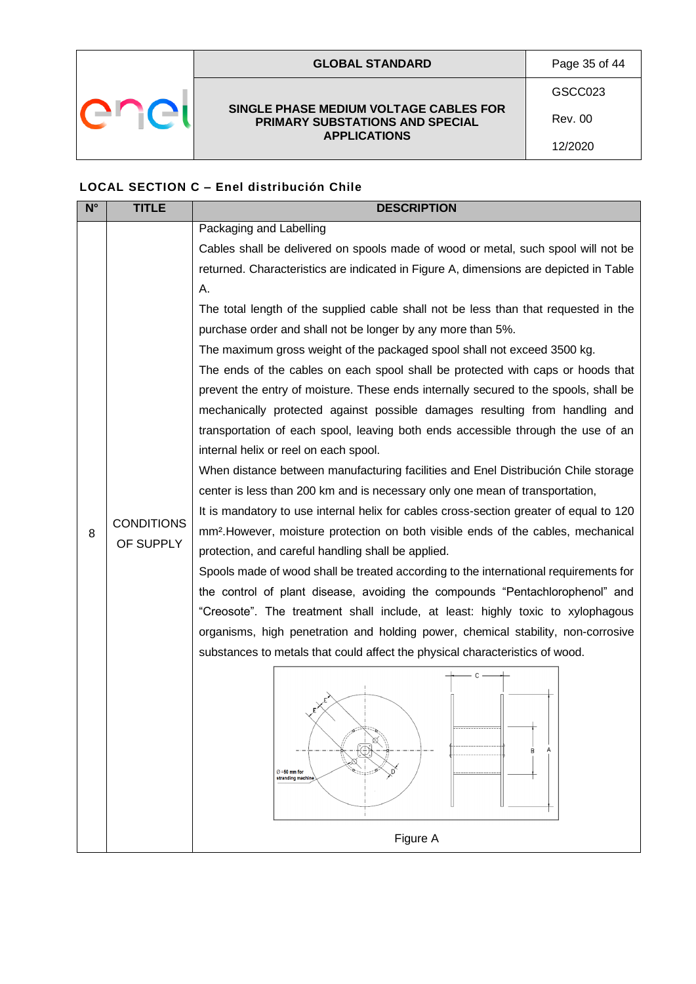|  | <b>GLOBAL STANDARD</b>                                                                           | Page 35 of 44  |
|--|--------------------------------------------------------------------------------------------------|----------------|
|  |                                                                                                  | GSCC023        |
|  | SINGLE PHASE MEDIUM VOLTAGE CABLES FOR<br>PRIMARY SUBSTATIONS AND SPECIAL<br><b>APPLICATIONS</b> | <b>Rev. 00</b> |
|  |                                                                                                  | 12/2020        |

## **LOCAL SECTION C – Enel distribución Chile**

| $N^{\circ}$ | <b>TITLE</b>      | <b>DESCRIPTION</b>                                                                            |  |  |  |  |
|-------------|-------------------|-----------------------------------------------------------------------------------------------|--|--|--|--|
|             |                   | Packaging and Labelling                                                                       |  |  |  |  |
|             |                   | Cables shall be delivered on spools made of wood or metal, such spool will not be             |  |  |  |  |
|             |                   | returned. Characteristics are indicated in Figure A, dimensions are depicted in Table         |  |  |  |  |
|             |                   | Α.                                                                                            |  |  |  |  |
|             |                   | The total length of the supplied cable shall not be less than that requested in the           |  |  |  |  |
|             |                   | purchase order and shall not be longer by any more than 5%.                                   |  |  |  |  |
|             |                   | The maximum gross weight of the packaged spool shall not exceed 3500 kg.                      |  |  |  |  |
|             |                   | The ends of the cables on each spool shall be protected with caps or hoods that               |  |  |  |  |
|             |                   | prevent the entry of moisture. These ends internally secured to the spools, shall be          |  |  |  |  |
|             |                   | mechanically protected against possible damages resulting from handling and                   |  |  |  |  |
|             |                   | transportation of each spool, leaving both ends accessible through the use of an              |  |  |  |  |
|             |                   | internal helix or reel on each spool.                                                         |  |  |  |  |
|             |                   | When distance between manufacturing facilities and Enel Distribución Chile storage            |  |  |  |  |
|             |                   | center is less than 200 km and is necessary only one mean of transportation,                  |  |  |  |  |
|             |                   | It is mandatory to use internal helix for cables cross-section greater of equal to 120        |  |  |  |  |
| 8           | <b>CONDITIONS</b> | mm <sup>2</sup> . However, moisture protection on both visible ends of the cables, mechanical |  |  |  |  |
|             | OF SUPPLY         | protection, and careful handling shall be applied.                                            |  |  |  |  |
|             |                   | Spools made of wood shall be treated according to the international requirements for          |  |  |  |  |
|             |                   | the control of plant disease, avoiding the compounds "Pentachlorophenol" and                  |  |  |  |  |
|             |                   | "Creosote". The treatment shall include, at least: highly toxic to xylophagous                |  |  |  |  |
|             |                   | organisms, high penetration and holding power, chemical stability, non-corrosive              |  |  |  |  |
|             |                   | substances to metals that could affect the physical characteristics of wood.                  |  |  |  |  |
|             |                   | C                                                                                             |  |  |  |  |
|             |                   |                                                                                               |  |  |  |  |
|             |                   |                                                                                               |  |  |  |  |
|             |                   |                                                                                               |  |  |  |  |
|             |                   | R                                                                                             |  |  |  |  |
|             |                   | $\oslash$ =50 mm for<br>stranding machine                                                     |  |  |  |  |
|             |                   |                                                                                               |  |  |  |  |
|             |                   |                                                                                               |  |  |  |  |
|             |                   | Figure A                                                                                      |  |  |  |  |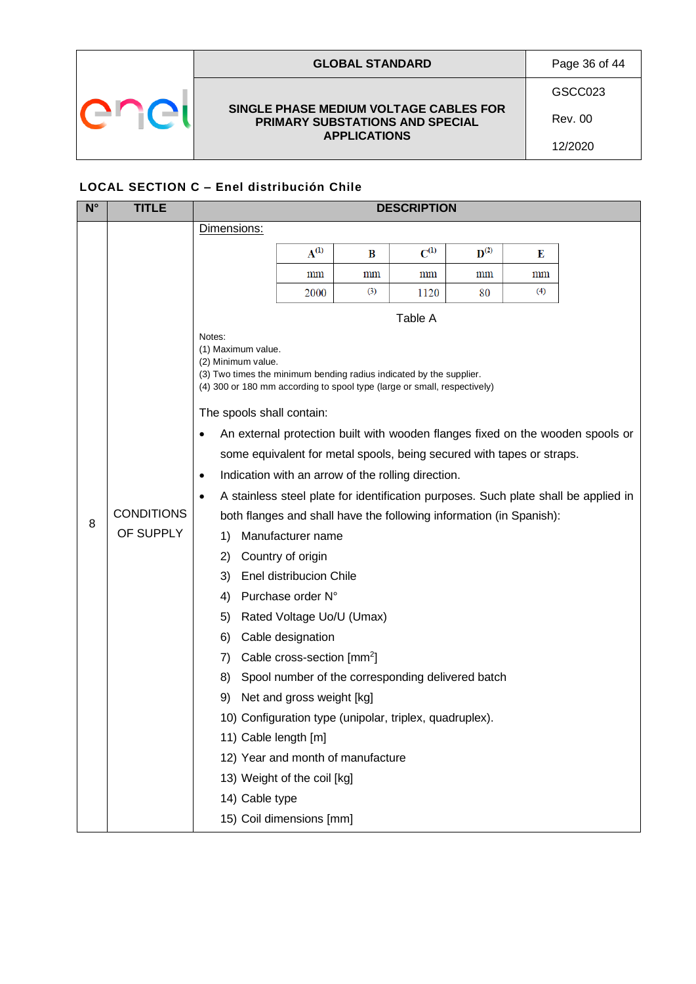| <b>GLOBAL STANDARD</b>                                                                           | Page 36 of 44  |
|--------------------------------------------------------------------------------------------------|----------------|
| SINGLE PHASE MEDIUM VOLTAGE CABLES FOR<br>PRIMARY SUBSTATIONS AND SPECIAL<br><b>APPLICATIONS</b> | GSCC023        |
|                                                                                                  | <b>Rev. 00</b> |
|                                                                                                  | 12/2020        |
|                                                                                                  |                |

## **LOCAL SECTION C – Enel distribución Chile**

| N° | <b>TITLE</b>                   | <b>DESCRIPTION</b>                                                                                                                                                                                                                                                                                                                                                                                                                                                                                                                                                                                                                         |                                                                                                                                                                                                                 |                                                                                                                                                   |                 |                    |                 |                                                                                                                                                                       |
|----|--------------------------------|--------------------------------------------------------------------------------------------------------------------------------------------------------------------------------------------------------------------------------------------------------------------------------------------------------------------------------------------------------------------------------------------------------------------------------------------------------------------------------------------------------------------------------------------------------------------------------------------------------------------------------------------|-----------------------------------------------------------------------------------------------------------------------------------------------------------------------------------------------------------------|---------------------------------------------------------------------------------------------------------------------------------------------------|-----------------|--------------------|-----------------|-----------------------------------------------------------------------------------------------------------------------------------------------------------------------|
|    |                                | Dimensions:                                                                                                                                                                                                                                                                                                                                                                                                                                                                                                                                                                                                                                |                                                                                                                                                                                                                 |                                                                                                                                                   |                 |                    |                 |                                                                                                                                                                       |
|    |                                |                                                                                                                                                                                                                                                                                                                                                                                                                                                                                                                                                                                                                                            | $A^{(1)}$                                                                                                                                                                                                       | B                                                                                                                                                 | $C^{(1)}$       | $\mathbf{D}^{(2)}$ | Е               |                                                                                                                                                                       |
|    |                                |                                                                                                                                                                                                                                                                                                                                                                                                                                                                                                                                                                                                                                            | $\,\mathrm{mm}$                                                                                                                                                                                                 | mm                                                                                                                                                | $\,\mathrm{mm}$ | $\,\mathrm{mm}$    | $\,\mathrm{mm}$ |                                                                                                                                                                       |
|    |                                |                                                                                                                                                                                                                                                                                                                                                                                                                                                                                                                                                                                                                                            | 2000                                                                                                                                                                                                            | (3)                                                                                                                                               | 1120            | 80                 | (4)             |                                                                                                                                                                       |
|    |                                |                                                                                                                                                                                                                                                                                                                                                                                                                                                                                                                                                                                                                                            |                                                                                                                                                                                                                 |                                                                                                                                                   | Table A         |                    |                 |                                                                                                                                                                       |
| 8  | <b>CONDITIONS</b><br>OF SUPPLY | Notes:<br>(1) Maximum value.<br>(2) Minimum value.<br>(3) Two times the minimum bending radius indicated by the supplier.<br>(4) 300 or 180 mm according to spool type (large or small, respectively)<br>The spools shall contain:<br>$\bullet$<br>some equivalent for metal spools, being secured with tapes or straps.<br>Indication with an arrow of the rolling direction.<br>$\bullet$<br>$\bullet$<br>both flanges and shall have the following information (in Spanish):<br>1)<br>2)<br>3)<br>4)<br>5)<br>6)<br>7)<br>8)<br>9)<br>11) Cable length [m]<br>13) Weight of the coil [kg]<br>14) Cable type<br>15) Coil dimensions [mm] | Manufacturer name<br>Country of origin<br>Enel distribucion Chile<br>Purchase order N°<br>Rated Voltage Uo/U (Umax)<br>Cable designation<br>Cable cross-section [mm <sup>2</sup> ]<br>Net and gross weight [kg] | Spool number of the corresponding delivered batch<br>10) Configuration type (unipolar, triplex, quadruplex).<br>12) Year and month of manufacture |                 |                    |                 | An external protection built with wooden flanges fixed on the wooden spools or<br>A stainless steel plate for identification purposes. Such plate shall be applied in |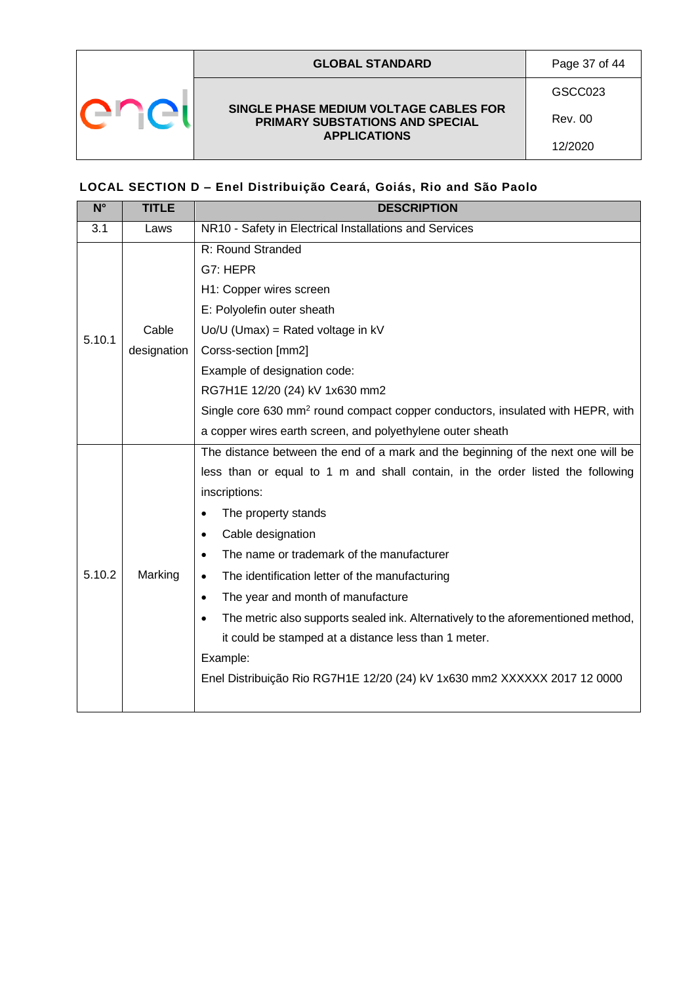

### <span id="page-36-0"></span>**LOCAL SECTION D – Enel Distribuição Ceará, Goiás, Rio and São Paolo**

| $\overline{\mathsf{N}^{\circ}}$ | <b>TITLE</b> | <b>DESCRIPTION</b>                                                                            |  |  |  |
|---------------------------------|--------------|-----------------------------------------------------------------------------------------------|--|--|--|
| 3.1                             | Laws         | NR10 - Safety in Electrical Installations and Services                                        |  |  |  |
|                                 |              | R: Round Stranded                                                                             |  |  |  |
|                                 |              | G7: HEPR                                                                                      |  |  |  |
|                                 |              | H1: Copper wires screen                                                                       |  |  |  |
|                                 |              | E: Polyolefin outer sheath                                                                    |  |  |  |
| 5.10.1                          | Cable        | $Uo/U$ (Umax) = Rated voltage in $kV$                                                         |  |  |  |
|                                 | designation  | Corss-section [mm2]                                                                           |  |  |  |
|                                 |              | Example of designation code:                                                                  |  |  |  |
|                                 |              | RG7H1E 12/20 (24) kV 1x630 mm2                                                                |  |  |  |
|                                 |              | Single core 630 mm <sup>2</sup> round compact copper conductors, insulated with HEPR, with    |  |  |  |
|                                 |              | a copper wires earth screen, and polyethylene outer sheath                                    |  |  |  |
|                                 |              | The distance between the end of a mark and the beginning of the next one will be              |  |  |  |
|                                 |              | less than or equal to 1 m and shall contain, in the order listed the following                |  |  |  |
|                                 |              | inscriptions:                                                                                 |  |  |  |
|                                 |              | The property stands                                                                           |  |  |  |
|                                 |              | Cable designation<br>$\bullet$                                                                |  |  |  |
|                                 | Marking      | The name or trademark of the manufacturer                                                     |  |  |  |
| 5.10.2                          |              | The identification letter of the manufacturing<br>$\bullet$                                   |  |  |  |
|                                 |              | The year and month of manufacture<br>$\bullet$                                                |  |  |  |
|                                 |              | The metric also supports sealed ink. Alternatively to the aforementioned method,<br>$\bullet$ |  |  |  |
|                                 |              | it could be stamped at a distance less than 1 meter.                                          |  |  |  |
|                                 |              | Example:                                                                                      |  |  |  |
|                                 |              | Enel Distribuição Rio RG7H1E 12/20 (24) kV 1x630 mm2 XXXXXX 2017 12 0000                      |  |  |  |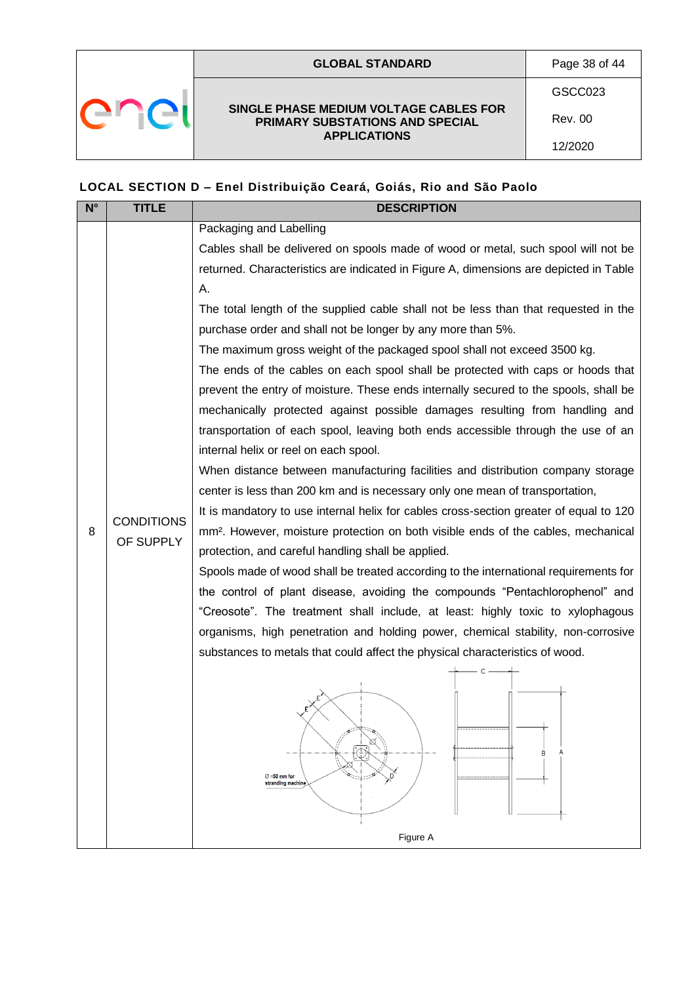|  | <b>GLOBAL STANDARD</b>                                                                           | Page 38 of 44 |
|--|--------------------------------------------------------------------------------------------------|---------------|
|  |                                                                                                  | GSCC023       |
|  | SINGLE PHASE MEDIUM VOLTAGE CABLES FOR<br>PRIMARY SUBSTATIONS AND SPECIAL<br><b>APPLICATIONS</b> | Rev. 00       |
|  |                                                                                                  | 12/2020       |

## **LOCAL SECTION D – Enel Distribuição Ceará, Goiás, Rio and São Paolo**

| $N^{\circ}$ | <b>TITLE</b>      | <b>DESCRIPTION</b>                                                                            |  |  |  |  |
|-------------|-------------------|-----------------------------------------------------------------------------------------------|--|--|--|--|
|             |                   | Packaging and Labelling                                                                       |  |  |  |  |
|             |                   | Cables shall be delivered on spools made of wood or metal, such spool will not be             |  |  |  |  |
|             |                   | returned. Characteristics are indicated in Figure A, dimensions are depicted in Table         |  |  |  |  |
|             |                   | А.                                                                                            |  |  |  |  |
|             |                   | The total length of the supplied cable shall not be less than that requested in the           |  |  |  |  |
|             |                   | purchase order and shall not be longer by any more than 5%.                                   |  |  |  |  |
|             |                   | The maximum gross weight of the packaged spool shall not exceed 3500 kg.                      |  |  |  |  |
|             |                   | The ends of the cables on each spool shall be protected with caps or hoods that               |  |  |  |  |
|             |                   | prevent the entry of moisture. These ends internally secured to the spools, shall be          |  |  |  |  |
|             |                   | mechanically protected against possible damages resulting from handling and                   |  |  |  |  |
|             |                   | transportation of each spool, leaving both ends accessible through the use of an              |  |  |  |  |
|             |                   | internal helix or reel on each spool.                                                         |  |  |  |  |
|             |                   | When distance between manufacturing facilities and distribution company storage               |  |  |  |  |
|             |                   | center is less than 200 km and is necessary only one mean of transportation,                  |  |  |  |  |
|             | <b>CONDITIONS</b> | It is mandatory to use internal helix for cables cross-section greater of equal to 120        |  |  |  |  |
| 8           | OF SUPPLY         | mm <sup>2</sup> . However, moisture protection on both visible ends of the cables, mechanical |  |  |  |  |
|             |                   | protection, and careful handling shall be applied.                                            |  |  |  |  |
|             |                   | Spools made of wood shall be treated according to the international requirements for          |  |  |  |  |
|             |                   | the control of plant disease, avoiding the compounds "Pentachlorophenol" and                  |  |  |  |  |
|             |                   | "Creosote". The treatment shall include, at least: highly toxic to xylophagous                |  |  |  |  |
|             |                   | organisms, high penetration and holding power, chemical stability, non-corrosive              |  |  |  |  |
|             |                   | substances to metals that could affect the physical characteristics of wood.                  |  |  |  |  |
|             |                   |                                                                                               |  |  |  |  |
|             |                   |                                                                                               |  |  |  |  |
|             |                   |                                                                                               |  |  |  |  |
|             |                   | R                                                                                             |  |  |  |  |
|             |                   | $\varnothing$ =50 mm for                                                                      |  |  |  |  |
|             |                   | stranding machine                                                                             |  |  |  |  |
|             |                   |                                                                                               |  |  |  |  |
|             |                   | Figure A                                                                                      |  |  |  |  |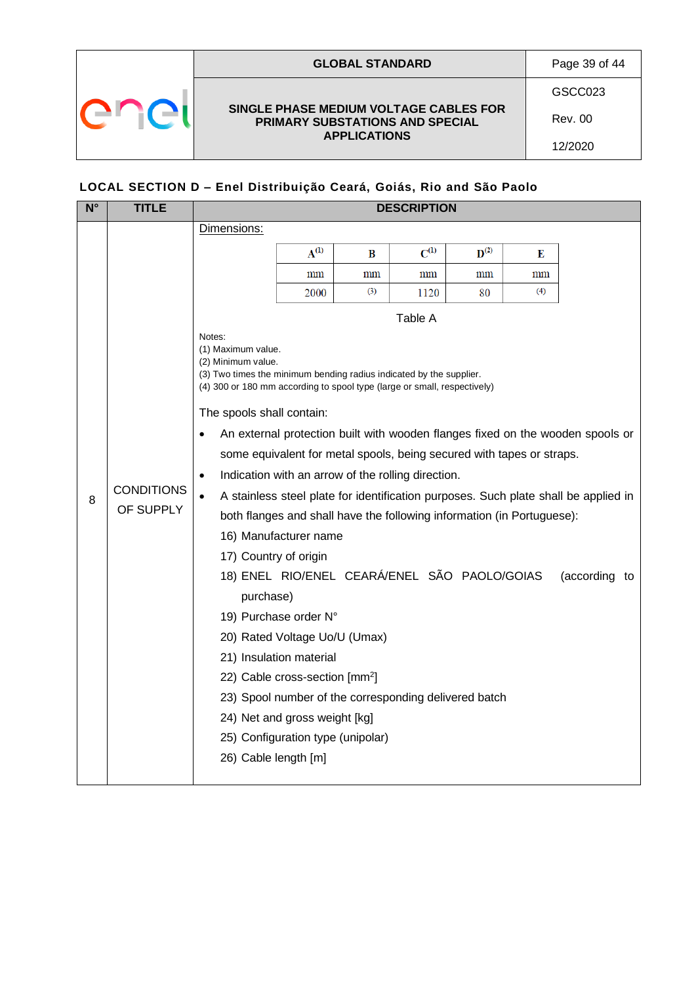|  | <b>GLOBAL STANDARD</b>                                                                           | Page 39 of 44 |
|--|--------------------------------------------------------------------------------------------------|---------------|
|  |                                                                                                  | GSCC023       |
|  | SINGLE PHASE MEDIUM VOLTAGE CABLES FOR<br>PRIMARY SUBSTATIONS AND SPECIAL<br><b>APPLICATIONS</b> | Rev. 00       |
|  |                                                                                                  | 12/2020       |

## **LOCAL SECTION D – Enel Distribuição Ceará, Goiás, Rio and São Paolo**

| <b>TITLE</b>                   | <b>DESCRIPTION</b>                            |           |                                                                                                                                     |                                                                                                                                                                                                                                |                    |                                                                                                                                                                                                       |                                                                                                                                                                                                                                                                                                                                                                                                                                   |  |  |  |  |  |
|--------------------------------|-----------------------------------------------|-----------|-------------------------------------------------------------------------------------------------------------------------------------|--------------------------------------------------------------------------------------------------------------------------------------------------------------------------------------------------------------------------------|--------------------|-------------------------------------------------------------------------------------------------------------------------------------------------------------------------------------------------------|-----------------------------------------------------------------------------------------------------------------------------------------------------------------------------------------------------------------------------------------------------------------------------------------------------------------------------------------------------------------------------------------------------------------------------------|--|--|--|--|--|
|                                | Dimensions:                                   |           |                                                                                                                                     |                                                                                                                                                                                                                                |                    |                                                                                                                                                                                                       |                                                                                                                                                                                                                                                                                                                                                                                                                                   |  |  |  |  |  |
|                                |                                               | $A^{(1)}$ | B                                                                                                                                   | $C^{(1)}$                                                                                                                                                                                                                      | $\mathbf{D}^{(2)}$ | Е                                                                                                                                                                                                     |                                                                                                                                                                                                                                                                                                                                                                                                                                   |  |  |  |  |  |
|                                |                                               | mm        | mm                                                                                                                                  | mm                                                                                                                                                                                                                             | mm                 | $\text{mm}$                                                                                                                                                                                           |                                                                                                                                                                                                                                                                                                                                                                                                                                   |  |  |  |  |  |
|                                |                                               | 2000      | (3)                                                                                                                                 | 1120                                                                                                                                                                                                                           | 80                 | (4)                                                                                                                                                                                                   |                                                                                                                                                                                                                                                                                                                                                                                                                                   |  |  |  |  |  |
|                                |                                               |           |                                                                                                                                     |                                                                                                                                                                                                                                |                    |                                                                                                                                                                                                       |                                                                                                                                                                                                                                                                                                                                                                                                                                   |  |  |  |  |  |
| <b>CONDITIONS</b><br>OF SUPPLY | Notes:<br>$\bullet$<br>$\bullet$<br>$\bullet$ |           |                                                                                                                                     |                                                                                                                                                                                                                                |                    |                                                                                                                                                                                                       | (according to                                                                                                                                                                                                                                                                                                                                                                                                                     |  |  |  |  |  |
|                                |                                               |           | (1) Maximum value.<br>(2) Minimum value.<br>The spools shall contain:<br>17) Country of origin<br>purchase)<br>26) Cable length [m] | 16) Manufacturer name<br>19) Purchase order N°<br>20) Rated Voltage Uo/U (Umax)<br>21) Insulation material<br>22) Cable cross-section [mm <sup>2</sup> ]<br>24) Net and gross weight [kg]<br>25) Configuration type (unipolar) | Table A            | (3) Two times the minimum bending radius indicated by the supplier.<br>(4) 300 or 180 mm according to spool type (large or small, respectively)<br>Indication with an arrow of the rolling direction. | An external protection built with wooden flanges fixed on the wooden spools or<br>some equivalent for metal spools, being secured with tapes or straps.<br>A stainless steel plate for identification purposes. Such plate shall be applied in<br>both flanges and shall have the following information (in Portuguese):<br>18) ENEL RIO/ENEL CEARÁ/ENEL SÃO PAOLO/GOIAS<br>23) Spool number of the corresponding delivered batch |  |  |  |  |  |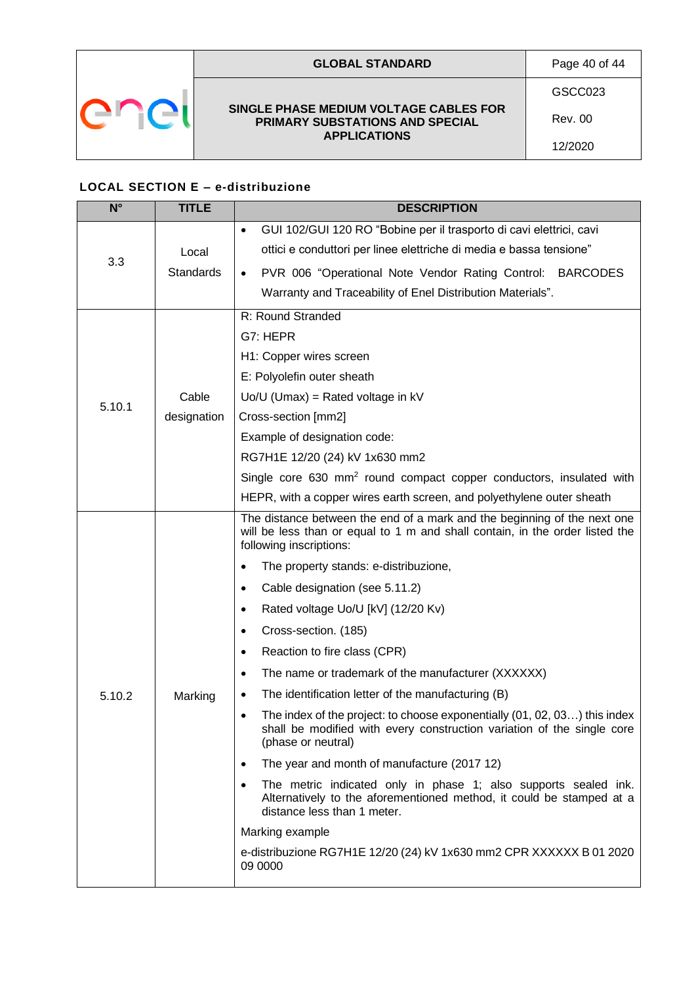

### **GLOBAL STANDARD** Page 40 of 44

**SINGLE PHASE MEDIUM VOLTAGE CABLES FOR PRIMARY SUBSTATIONS AND SPECIAL APPLICATIONS**

GSCC023

Rev. 00

12/2020

## <span id="page-39-0"></span>**LOCAL SECTION E – e-distribuzione**

| $N^{\circ}$ | <b>TITLE</b> | <b>DESCRIPTION</b>                                                                                                                                                                  |  |  |  |  |  |  |
|-------------|--------------|-------------------------------------------------------------------------------------------------------------------------------------------------------------------------------------|--|--|--|--|--|--|
|             |              | GUI 102/GUI 120 RO "Bobine per il trasporto di cavi elettrici, cavi<br>$\bullet$                                                                                                    |  |  |  |  |  |  |
|             | Local        | ottici e conduttori per linee elettriche di media e bassa tensione"                                                                                                                 |  |  |  |  |  |  |
| 3.3         | Standards    | PVR 006 "Operational Note Vendor Rating Control: BARCODES<br>$\bullet$                                                                                                              |  |  |  |  |  |  |
|             |              | Warranty and Traceability of Enel Distribution Materials".                                                                                                                          |  |  |  |  |  |  |
|             |              | R: Round Stranded                                                                                                                                                                   |  |  |  |  |  |  |
|             |              | G7: HEPR                                                                                                                                                                            |  |  |  |  |  |  |
| 5.10.1      |              | H1: Copper wires screen                                                                                                                                                             |  |  |  |  |  |  |
|             |              | E: Polyolefin outer sheath                                                                                                                                                          |  |  |  |  |  |  |
|             | Cable        | $Uo/U$ (Umax) = Rated voltage in kV                                                                                                                                                 |  |  |  |  |  |  |
|             | designation  | Cross-section [mm2]                                                                                                                                                                 |  |  |  |  |  |  |
|             |              | Example of designation code:                                                                                                                                                        |  |  |  |  |  |  |
|             |              | RG7H1E 12/20 (24) kV 1x630 mm2                                                                                                                                                      |  |  |  |  |  |  |
|             |              | Single core 630 mm <sup>2</sup> round compact copper conductors, insulated with                                                                                                     |  |  |  |  |  |  |
|             |              | HEPR, with a copper wires earth screen, and polyethylene outer sheath                                                                                                               |  |  |  |  |  |  |
|             |              | The distance between the end of a mark and the beginning of the next one<br>will be less than or equal to 1 m and shall contain, in the order listed the<br>following inscriptions: |  |  |  |  |  |  |
|             |              | The property stands: e-distribuzione,<br>$\bullet$                                                                                                                                  |  |  |  |  |  |  |
|             |              | Cable designation (see 5.11.2)<br>$\bullet$                                                                                                                                         |  |  |  |  |  |  |
|             |              | Rated voltage Uo/U [kV] (12/20 Kv)<br>$\bullet$                                                                                                                                     |  |  |  |  |  |  |
|             |              | Cross-section. (185)<br>$\bullet$                                                                                                                                                   |  |  |  |  |  |  |
|             |              | Reaction to fire class (CPR)<br>٠                                                                                                                                                   |  |  |  |  |  |  |
|             |              | The name or trademark of the manufacturer (XXXXXX)<br>٠                                                                                                                             |  |  |  |  |  |  |
| 5.10.2      | Marking      | The identification letter of the manufacturing (B)<br>٠                                                                                                                             |  |  |  |  |  |  |
|             |              | The index of the project: to choose exponentially (01, 02, 03) this index<br>٠<br>shall be modified with every construction variation of the single core<br>(phase or neutral)      |  |  |  |  |  |  |
|             |              | The year and month of manufacture (2017 12)<br>٠                                                                                                                                    |  |  |  |  |  |  |
|             |              | The metric indicated only in phase 1; also supports sealed ink.<br>٠<br>Alternatively to the aforementioned method, it could be stamped at a<br>distance less than 1 meter.         |  |  |  |  |  |  |
|             |              | Marking example                                                                                                                                                                     |  |  |  |  |  |  |
|             |              | e-distribuzione RG7H1E 12/20 (24) kV 1x630 mm2 CPR XXXXXX B 01 2020<br>09 0000                                                                                                      |  |  |  |  |  |  |
|             |              |                                                                                                                                                                                     |  |  |  |  |  |  |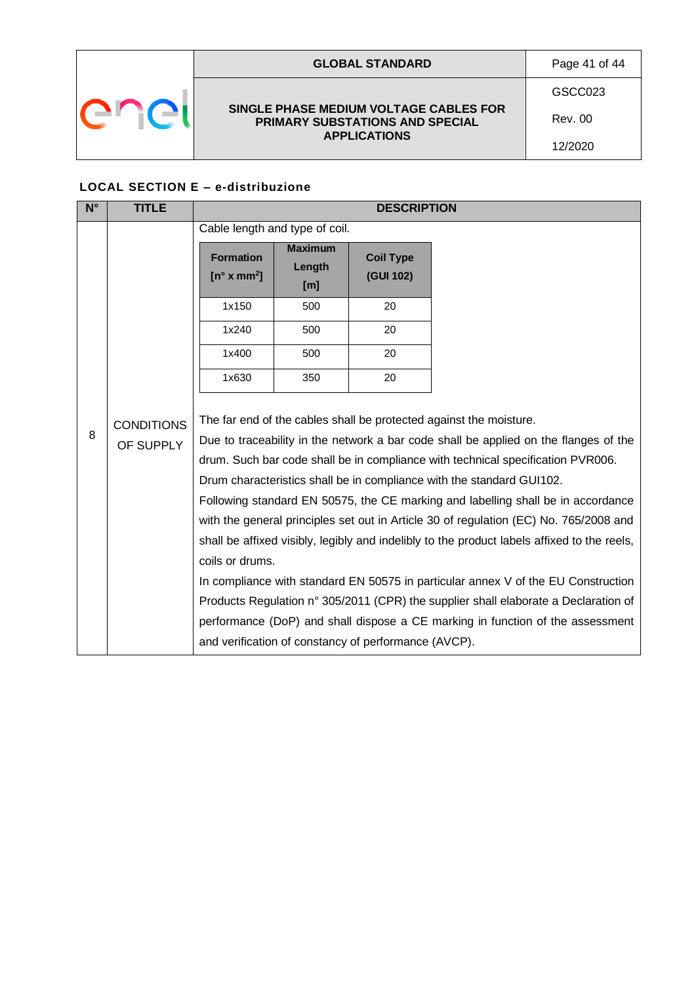|  | <b>GLOBAL STANDARD</b>                                                    | Page 41 of 44  |
|--|---------------------------------------------------------------------------|----------------|
|  |                                                                           | GSCC023        |
|  | SINGLE PHASE MEDIUM VOLTAGE CABLES FOR<br>PRIMARY SUBSTATIONS AND SPECIAL | <b>Rev. 00</b> |
|  | <b>APPLICATIONS</b>                                                       | 12/2020        |

## **LOCAL SECTION E – e-distribuzione**

| $N^{\circ}$ | <b>TITLE</b>                   |                                          |                                 | <b>DESCRIPTION</b>                                   |                                                                                                                                                                                                                                                                                                                                                                                                                                                                                                                                                                                                                                                                                                                                                                                                                                                                  |
|-------------|--------------------------------|------------------------------------------|---------------------------------|------------------------------------------------------|------------------------------------------------------------------------------------------------------------------------------------------------------------------------------------------------------------------------------------------------------------------------------------------------------------------------------------------------------------------------------------------------------------------------------------------------------------------------------------------------------------------------------------------------------------------------------------------------------------------------------------------------------------------------------------------------------------------------------------------------------------------------------------------------------------------------------------------------------------------|
|             |                                | Cable length and type of coil.           |                                 |                                                      |                                                                                                                                                                                                                                                                                                                                                                                                                                                                                                                                                                                                                                                                                                                                                                                                                                                                  |
|             |                                | <b>Formation</b><br>$[n^{\circ} x mm^2]$ | <b>Maximum</b><br>Length<br>[m] | <b>Coil Type</b><br>(GUI 102)                        |                                                                                                                                                                                                                                                                                                                                                                                                                                                                                                                                                                                                                                                                                                                                                                                                                                                                  |
|             |                                | 1x150                                    | 500                             | 20                                                   |                                                                                                                                                                                                                                                                                                                                                                                                                                                                                                                                                                                                                                                                                                                                                                                                                                                                  |
|             |                                | 1x240                                    | 500                             | 20                                                   |                                                                                                                                                                                                                                                                                                                                                                                                                                                                                                                                                                                                                                                                                                                                                                                                                                                                  |
|             |                                | 1x400                                    | 500                             | 20                                                   |                                                                                                                                                                                                                                                                                                                                                                                                                                                                                                                                                                                                                                                                                                                                                                                                                                                                  |
|             |                                | 1x630                                    | 350                             | 20                                                   |                                                                                                                                                                                                                                                                                                                                                                                                                                                                                                                                                                                                                                                                                                                                                                                                                                                                  |
| 8           | <b>CONDITIONS</b><br>OF SUPPLY | coils or drums.                          |                                 | and verification of constancy of performance (AVCP). | The far end of the cables shall be protected against the moisture.<br>Due to traceability in the network a bar code shall be applied on the flanges of the<br>drum. Such bar code shall be in compliance with technical specification PVR006.<br>Drum characteristics shall be in compliance with the standard GUI102.<br>Following standard EN 50575, the CE marking and labelling shall be in accordance<br>with the general principles set out in Article 30 of regulation (EC) No. 765/2008 and<br>shall be affixed visibly, legibly and indelibly to the product labels affixed to the reels,<br>In compliance with standard EN 50575 in particular annex V of the EU Construction<br>Products Regulation n° 305/2011 (CPR) the supplier shall elaborate a Declaration of<br>performance (DoP) and shall dispose a CE marking in function of the assessment |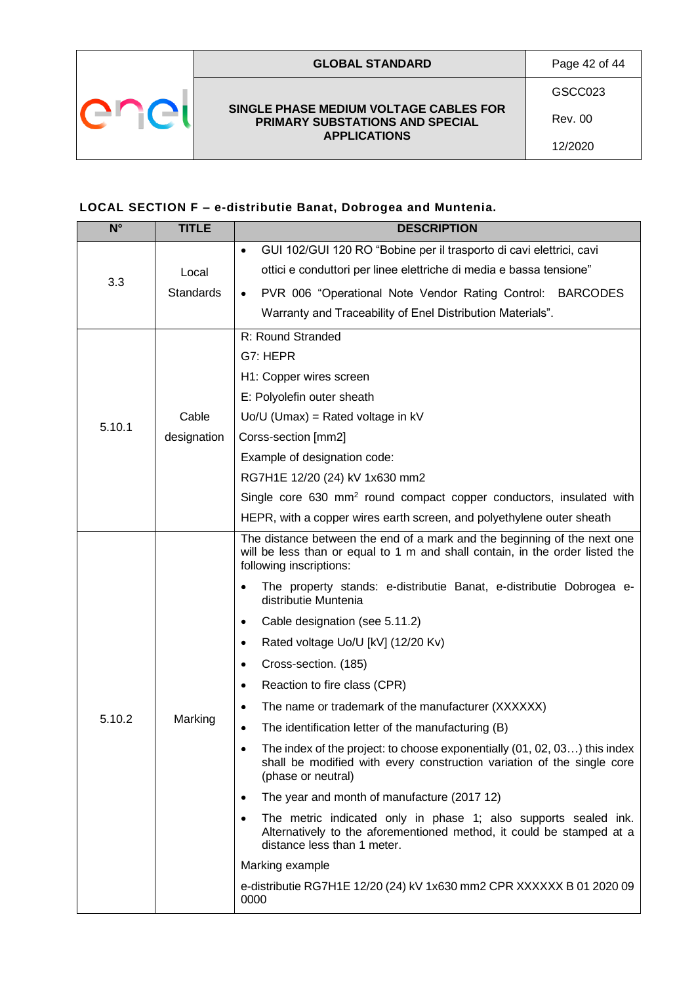**SINGLE PHASE MEDIUM VOLTAGE CABLES FOR PRIMARY SUBSTATIONS AND SPECIAL APPLICATIONS**

## <span id="page-41-0"></span>**LOCAL SECTION F – e-distributie Banat, Dobrogea and Muntenia.**

| $\overline{\mathsf{N}^{\circ}}$ | <b>TITLE</b> | <b>DESCRIPTION</b>                                                                                                                                                                  |  |  |  |  |  |  |  |
|---------------------------------|--------------|-------------------------------------------------------------------------------------------------------------------------------------------------------------------------------------|--|--|--|--|--|--|--|
|                                 |              | GUI 102/GUI 120 RO "Bobine per il trasporto di cavi elettrici, cavi<br>$\bullet$                                                                                                    |  |  |  |  |  |  |  |
| 3.3                             | Local        | ottici e conduttori per linee elettriche di media e bassa tensione"                                                                                                                 |  |  |  |  |  |  |  |
|                                 | Standards    | PVR 006 "Operational Note Vendor Rating Control: BARCODES<br>$\bullet$                                                                                                              |  |  |  |  |  |  |  |
|                                 |              | Warranty and Traceability of Enel Distribution Materials".                                                                                                                          |  |  |  |  |  |  |  |
|                                 |              | R: Round Stranded                                                                                                                                                                   |  |  |  |  |  |  |  |
|                                 |              | G7: HEPR                                                                                                                                                                            |  |  |  |  |  |  |  |
|                                 |              | H1: Copper wires screen                                                                                                                                                             |  |  |  |  |  |  |  |
|                                 |              | E: Polyolefin outer sheath                                                                                                                                                          |  |  |  |  |  |  |  |
| 5.10.1                          | Cable        | $Uo/U$ (Umax) = Rated voltage in kV                                                                                                                                                 |  |  |  |  |  |  |  |
|                                 | designation  | Corss-section [mm2]                                                                                                                                                                 |  |  |  |  |  |  |  |
|                                 |              | Example of designation code:                                                                                                                                                        |  |  |  |  |  |  |  |
|                                 |              | RG7H1E 12/20 (24) kV 1x630 mm2                                                                                                                                                      |  |  |  |  |  |  |  |
|                                 |              | Single core 630 mm <sup>2</sup> round compact copper conductors, insulated with                                                                                                     |  |  |  |  |  |  |  |
|                                 |              | HEPR, with a copper wires earth screen, and polyethylene outer sheath                                                                                                               |  |  |  |  |  |  |  |
|                                 |              | The distance between the end of a mark and the beginning of the next one<br>will be less than or equal to 1 m and shall contain, in the order listed the<br>following inscriptions: |  |  |  |  |  |  |  |
|                                 |              | The property stands: e-distributie Banat, e-distributie Dobrogea e-<br>distributie Muntenia                                                                                         |  |  |  |  |  |  |  |
|                                 |              | Cable designation (see 5.11.2)<br>$\bullet$                                                                                                                                         |  |  |  |  |  |  |  |
|                                 |              | Rated voltage Uo/U [kV] (12/20 Kv)<br>$\bullet$                                                                                                                                     |  |  |  |  |  |  |  |
|                                 |              | Cross-section. (185)<br>$\bullet$                                                                                                                                                   |  |  |  |  |  |  |  |
|                                 |              | Reaction to fire class (CPR)<br>$\bullet$                                                                                                                                           |  |  |  |  |  |  |  |
|                                 |              | The name or trademark of the manufacturer (XXXXXX)<br>$\bullet$                                                                                                                     |  |  |  |  |  |  |  |
| 5.10.2                          | Marking      | The identification letter of the manufacturing (B)<br>$\bullet$                                                                                                                     |  |  |  |  |  |  |  |
|                                 |              | The index of the project: to choose exponentially (01, 02, 03) this index<br>shall be modified with every construction variation of the single core<br>(phase or neutral)           |  |  |  |  |  |  |  |
|                                 |              | The year and month of manufacture (2017 12)<br>$\bullet$                                                                                                                            |  |  |  |  |  |  |  |
|                                 |              | The metric indicated only in phase 1; also supports sealed ink.<br>$\bullet$<br>Alternatively to the aforementioned method, it could be stamped at a<br>distance less than 1 meter. |  |  |  |  |  |  |  |
|                                 |              | Marking example                                                                                                                                                                     |  |  |  |  |  |  |  |
|                                 |              | e-distributie RG7H1E 12/20 (24) kV 1x630 mm2 CPR XXXXXX B 01 2020 09<br>0000                                                                                                        |  |  |  |  |  |  |  |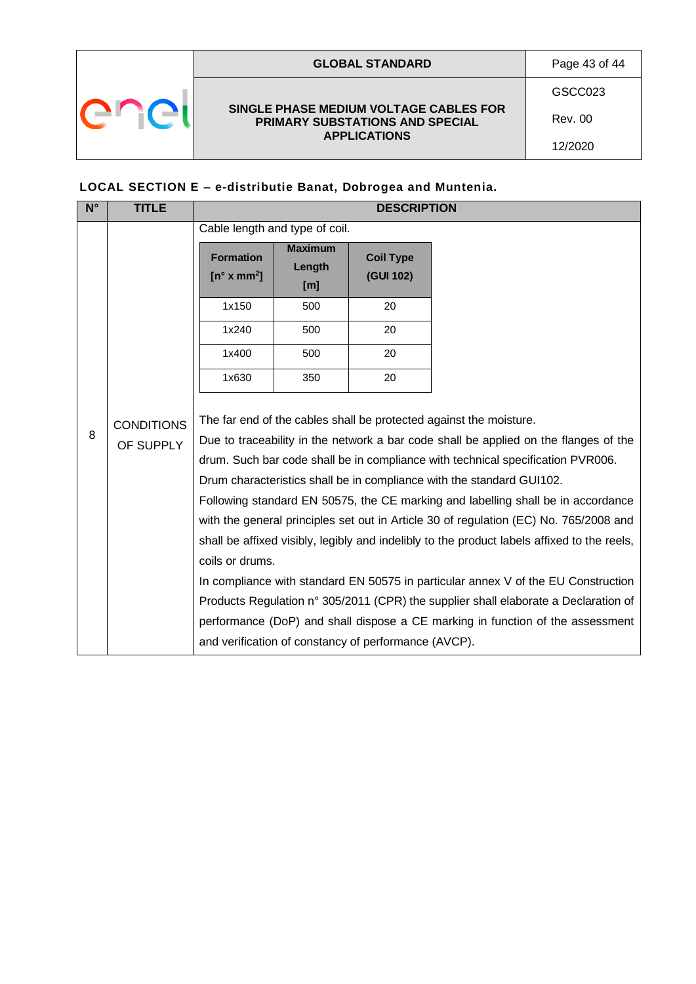|  | <b>GLOBAL STANDARD</b>                                                    | Page 43 of 44 |
|--|---------------------------------------------------------------------------|---------------|
|  |                                                                           | GSCC023       |
|  | SINGLE PHASE MEDIUM VOLTAGE CABLES FOR<br>PRIMARY SUBSTATIONS AND SPECIAL | Rev. 00       |
|  | <b>APPLICATIONS</b>                                                       | 12/2020       |

## **LOCAL SECTION E – e-distributie Banat, Dobrogea and Muntenia.**

| $N^{\circ}$ | <b>TITLE</b>                   |                                          |                                               | <b>DESCRIPTION</b>                                   |                                                                                                                                                                                                                                                                                                                                                                                                                                                                                                                                                                                                                                                                                                                                                                                                                                                                  |
|-------------|--------------------------------|------------------------------------------|-----------------------------------------------|------------------------------------------------------|------------------------------------------------------------------------------------------------------------------------------------------------------------------------------------------------------------------------------------------------------------------------------------------------------------------------------------------------------------------------------------------------------------------------------------------------------------------------------------------------------------------------------------------------------------------------------------------------------------------------------------------------------------------------------------------------------------------------------------------------------------------------------------------------------------------------------------------------------------------|
|             |                                | Cable length and type of coil.           |                                               |                                                      |                                                                                                                                                                                                                                                                                                                                                                                                                                                                                                                                                                                                                                                                                                                                                                                                                                                                  |
|             |                                | <b>Formation</b><br>$[n^{\circ} x mm^2]$ | <b>Maximum</b><br>Length<br>$\lceil m \rceil$ | <b>Coil Type</b><br>(GUI 102)                        |                                                                                                                                                                                                                                                                                                                                                                                                                                                                                                                                                                                                                                                                                                                                                                                                                                                                  |
|             |                                | 1x150                                    | 500                                           | 20                                                   |                                                                                                                                                                                                                                                                                                                                                                                                                                                                                                                                                                                                                                                                                                                                                                                                                                                                  |
|             |                                | 1x240                                    | 500                                           | 20                                                   |                                                                                                                                                                                                                                                                                                                                                                                                                                                                                                                                                                                                                                                                                                                                                                                                                                                                  |
|             |                                | 1x400                                    | 500                                           | 20                                                   |                                                                                                                                                                                                                                                                                                                                                                                                                                                                                                                                                                                                                                                                                                                                                                                                                                                                  |
|             |                                | 1x630                                    | 350                                           | 20                                                   |                                                                                                                                                                                                                                                                                                                                                                                                                                                                                                                                                                                                                                                                                                                                                                                                                                                                  |
| 8           | <b>CONDITIONS</b><br>OF SUPPLY | coils or drums.                          |                                               | and verification of constancy of performance (AVCP). | The far end of the cables shall be protected against the moisture.<br>Due to traceability in the network a bar code shall be applied on the flanges of the<br>drum. Such bar code shall be in compliance with technical specification PVR006.<br>Drum characteristics shall be in compliance with the standard GUI102.<br>Following standard EN 50575, the CE marking and labelling shall be in accordance<br>with the general principles set out in Article 30 of regulation (EC) No. 765/2008 and<br>shall be affixed visibly, legibly and indelibly to the product labels affixed to the reels,<br>In compliance with standard EN 50575 in particular annex V of the EU Construction<br>Products Regulation n° 305/2011 (CPR) the supplier shall elaborate a Declaration of<br>performance (DoP) and shall dispose a CE marking in function of the assessment |